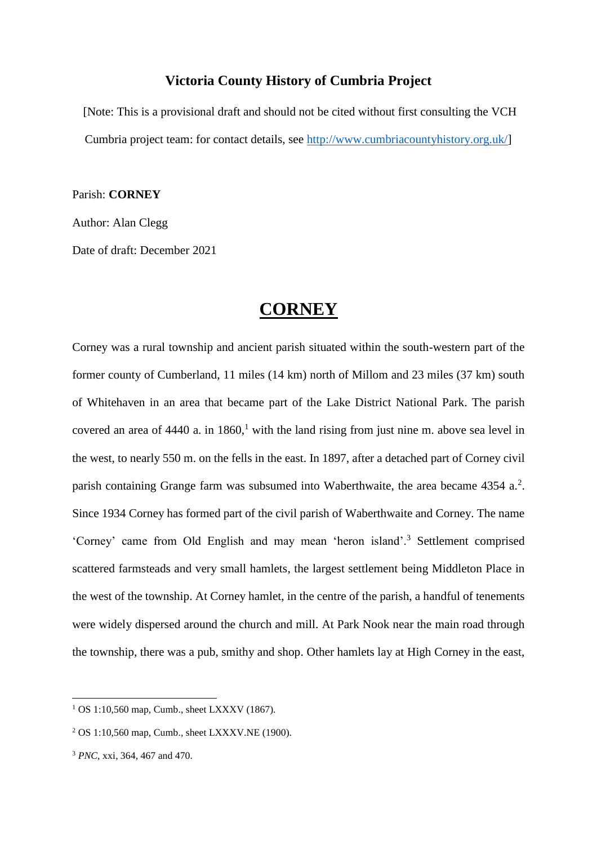# **Victoria County History of Cumbria Project**

[Note: This is a provisional draft and should not be cited without first consulting the VCH Cumbria project team: for contact details, see [http://www.cumbriacountyhistory.org.uk/\]](http://www.cumbriacountyhistory.org.uk/)

Parish: **CORNEY**

Author: Alan Clegg

Date of draft: December 2021

# **CORNEY**

Corney was a rural township and ancient parish situated within the south-western part of the former county of Cumberland, 11 miles (14 km) north of Millom and 23 miles (37 km) south of Whitehaven in an area that became part of the Lake District National Park. The parish covered an area of  $4440$  a. in  $1860$ ,<sup>1</sup> with the land rising from just nine m. above sea level in the west, to nearly 550 m. on the fells in the east. In 1897, after a detached part of Corney civil parish containing Grange farm was subsumed into Waberthwaite, the area became  $4354$  a.<sup>2</sup>. Since 1934 Corney has formed part of the civil parish of Waberthwaite and Corney. The name 'Corney' came from Old English and may mean 'heron island'.<sup>3</sup> Settlement comprised scattered farmsteads and very small hamlets, the largest settlement being Middleton Place in the west of the township. At Corney hamlet, in the centre of the parish, a handful of tenements were widely dispersed around the church and mill. At Park Nook near the main road through the township, there was a pub, smithy and shop. Other hamlets lay at High Corney in the east,

<sup>&</sup>lt;sup>1</sup> OS 1:10,560 map, Cumb., sheet LXXXV (1867).

<sup>2</sup> OS 1:10,560 map, Cumb., sheet LXXXV.NE (1900).

<sup>3</sup> *PNC*, xxi, 364, 467 and 470.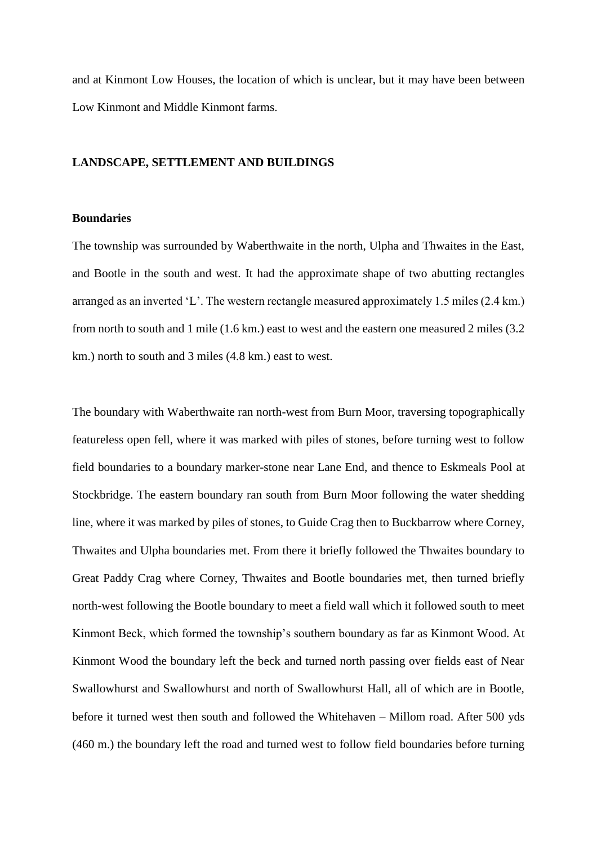and at Kinmont Low Houses, the location of which is unclear, but it may have been between Low Kinmont and Middle Kinmont farms.

#### **LANDSCAPE, SETTLEMENT AND BUILDINGS**

# **Boundaries**

The township was surrounded by Waberthwaite in the north, Ulpha and Thwaites in the East, and Bootle in the south and west. It had the approximate shape of two abutting rectangles arranged as an inverted 'L'. The western rectangle measured approximately 1.5 miles (2.4 km.) from north to south and 1 mile (1.6 km.) east to west and the eastern one measured 2 miles (3.2 km.) north to south and 3 miles (4.8 km.) east to west.

The boundary with Waberthwaite ran north-west from Burn Moor, traversing topographically featureless open fell, where it was marked with piles of stones, before turning west to follow field boundaries to a boundary marker-stone near Lane End, and thence to Eskmeals Pool at Stockbridge. The eastern boundary ran south from Burn Moor following the water shedding line, where it was marked by piles of stones, to Guide Crag then to Buckbarrow where Corney, Thwaites and Ulpha boundaries met. From there it briefly followed the Thwaites boundary to Great Paddy Crag where Corney, Thwaites and Bootle boundaries met, then turned briefly north-west following the Bootle boundary to meet a field wall which it followed south to meet Kinmont Beck, which formed the township's southern boundary as far as Kinmont Wood. At Kinmont Wood the boundary left the beck and turned north passing over fields east of Near Swallowhurst and Swallowhurst and north of Swallowhurst Hall, all of which are in Bootle, before it turned west then south and followed the Whitehaven – Millom road. After 500 yds (460 m.) the boundary left the road and turned west to follow field boundaries before turning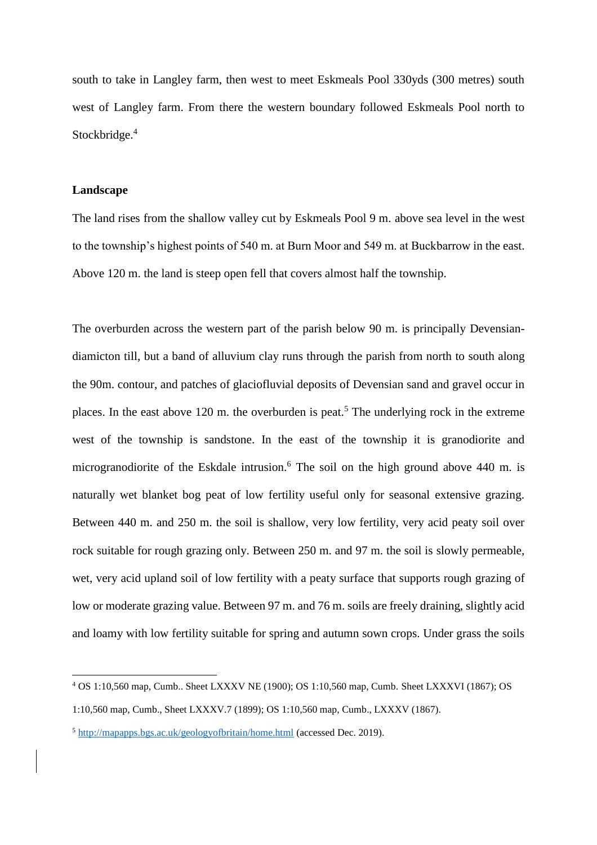south to take in Langley farm, then west to meet Eskmeals Pool 330yds (300 metres) south west of Langley farm. From there the western boundary followed Eskmeals Pool north to Stockbridge.<sup>4</sup>

#### **Landscape**

 $\overline{a}$ 

The land rises from the shallow valley cut by Eskmeals Pool 9 m. above sea level in the west to the township's highest points of 540 m. at Burn Moor and 549 m. at Buckbarrow in the east. Above 120 m. the land is steep open fell that covers almost half the township.

The overburden across the western part of the parish below 90 m. is principally Devensiandiamicton till, but a band of alluvium clay runs through the parish from north to south along the 90m. contour, and patches of glaciofluvial deposits of Devensian sand and gravel occur in places. In the east above 120 m. the overburden is peat.<sup>5</sup> The underlying rock in the extreme west of the township is sandstone. In the east of the township it is granodiorite and microgranodiorite of the Eskdale intrusion.<sup>6</sup> The soil on the high ground above 440 m. is naturally wet blanket bog peat of low fertility useful only for seasonal extensive grazing. Between 440 m. and 250 m. the soil is shallow, very low fertility, very acid peaty soil over rock suitable for rough grazing only. Between 250 m. and 97 m. the soil is slowly permeable, wet, very acid upland soil of low fertility with a peaty surface that supports rough grazing of low or moderate grazing value. Between 97 m. and 76 m. soils are freely draining, slightly acid and loamy with low fertility suitable for spring and autumn sown crops. Under grass the soils

<sup>4</sup> OS 1:10,560 map, Cumb.. Sheet LXXXV NE (1900); OS 1:10,560 map, Cumb. Sheet LXXXVI (1867); OS

<sup>1:10,560</sup> map, Cumb., Sheet LXXXV.7 (1899); OS 1:10,560 map, Cumb., LXXXV (1867).

<sup>5</sup> <http://mapapps.bgs.ac.uk/geologyofbritain/home.html> (accessed Dec. 2019).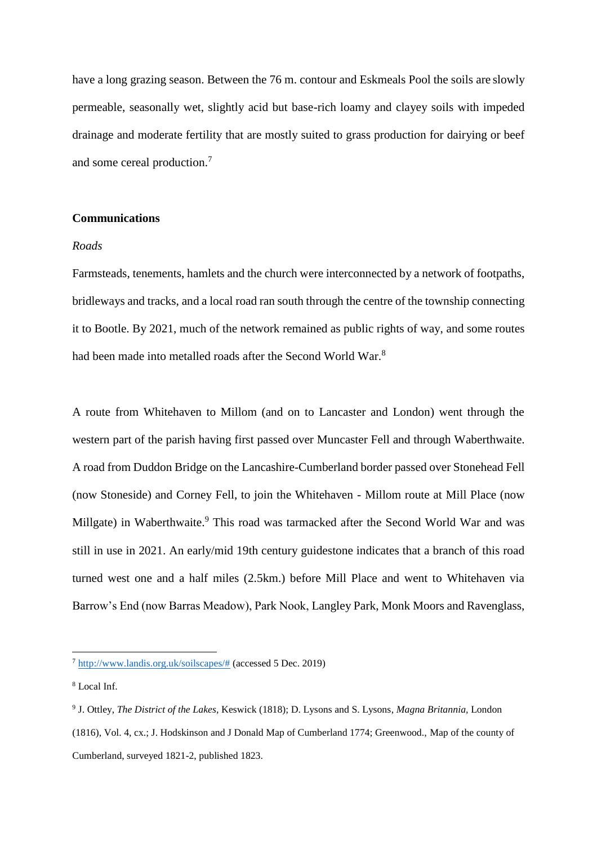have a long grazing season. Between the 76 m. contour and Eskmeals Pool the soils are slowly permeable, seasonally wet, slightly acid but base-rich loamy and clayey soils with impeded drainage and moderate fertility that are mostly suited to grass production for dairying or beef and some cereal production.<sup>7</sup>

# **Communications**

#### *Roads*

Farmsteads, tenements, hamlets and the church were interconnected by a network of footpaths, bridleways and tracks, and a local road ran south through the centre of the township connecting it to Bootle. By 2021, much of the network remained as public rights of way, and some routes had been made into metalled roads after the Second World War.<sup>8</sup>

A route from Whitehaven to Millom (and on to Lancaster and London) went through the western part of the parish having first passed over Muncaster Fell and through Waberthwaite. A road from Duddon Bridge on the Lancashire-Cumberland border passed over Stonehead Fell (now Stoneside) and Corney Fell, to join the Whitehaven - Millom route at Mill Place (now Millgate) in Waberthwaite.<sup>9</sup> This road was tarmacked after the Second World War and was still in use in 2021. An early/mid 19th century guidestone indicates that a branch of this road turned west one and a half miles (2.5km.) before Mill Place and went to Whitehaven via Barrow's End (now Barras Meadow), Park Nook, Langley Park, Monk Moors and Ravenglass,

<sup>7</sup> http://www.landis.org.uk/soilscapes/# (accessed 5 Dec. 2019)

<sup>8</sup> Local Inf.

<sup>9</sup> J. Ottley, *The District of the Lakes,* Keswick (1818); D. Lysons and S. Lysons, *Magna Britannia,* London (1816), Vol. 4, cx.; J. Hodskinson and J Donald Map of Cumberland 1774; Greenwood., Map of the county of Cumberland, surveyed 1821-2, published 1823.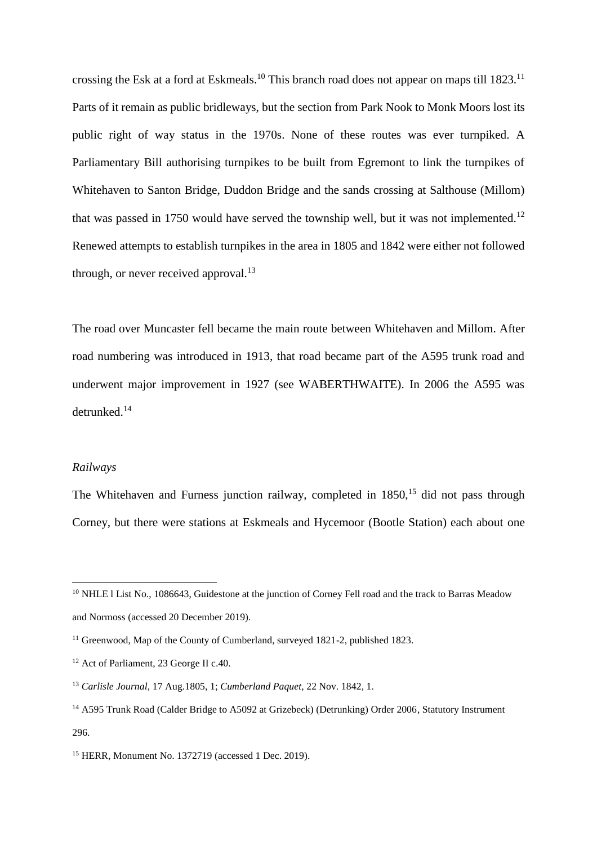crossing the Esk at a ford at Eskmeals.<sup>10</sup> This branch road does not appear on maps till 1823.<sup>11</sup> Parts of it remain as public bridleways, but the section from Park Nook to Monk Moors lost its public right of way status in the 1970s. None of these routes was ever turnpiked. A Parliamentary Bill authorising turnpikes to be built from Egremont to link the turnpikes of Whitehaven to Santon Bridge, Duddon Bridge and the sands crossing at Salthouse (Millom) that was passed in 1750 would have served the township well, but it was not implemented.<sup>12</sup> Renewed attempts to establish turnpikes in the area in 1805 and 1842 were either not followed through, or never received approval. $13$ 

The road over Muncaster fell became the main route between Whitehaven and Millom. After road numbering was introduced in 1913, that road became part of the A595 trunk road and underwent major improvement in 1927 (see WABERTHWAITE). In 2006 the A595 was detrunked.<sup>14</sup>

### *Railways*

 $\overline{a}$ 

The Whitehaven and Furness junction railway, completed in  $1850<sup>15</sup>$  did not pass through Corney, but there were stations at Eskmeals and Hycemoor (Bootle Station) each about one

<sup>&</sup>lt;sup>10</sup> NHLE l List No., 1086643, Guidestone at the junction of Corney Fell road and the track to Barras Meadow and Normoss (accessed 20 December 2019).

<sup>&</sup>lt;sup>11</sup> Greenwood, Map of the County of Cumberland, surveyed 1821-2, published 1823.

<sup>&</sup>lt;sup>12</sup> Act of Parliament, 23 George II c.40.

<sup>13</sup> *Carlisle Journal*, 17 Aug.1805, 1; *Cumberland Paquet*, 22 Nov. 1842, 1.

<sup>&</sup>lt;sup>14</sup> A595 Trunk Road (Calder Bridge to A5092 at Grizebeck) (Detrunking) Order 2006, Statutory Instrument 296.

<sup>15</sup> HERR, Monument No. 1372719 (accessed 1 Dec. 2019).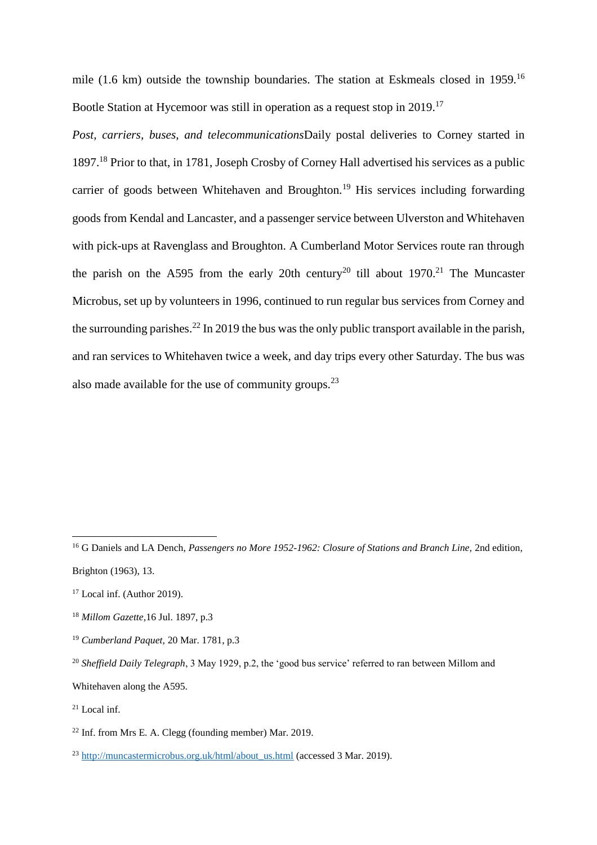mile (1.6 km) outside the township boundaries. The station at Eskmeals closed in 1959.<sup>16</sup> Bootle Station at Hycemoor was still in operation as a request stop in 2019.<sup>17</sup>

*Post, carriers, buses, and telecommunications*Daily postal deliveries to Corney started in 1897.<sup>18</sup> Prior to that, in 1781, Joseph Crosby of Corney Hall advertised his services as a public carrier of goods between Whitehaven and Broughton.<sup>19</sup> His services including forwarding goods from Kendal and Lancaster, and a passenger service between Ulverston and Whitehaven with pick-ups at Ravenglass and Broughton. A Cumberland Motor Services route ran through the parish on the A595 from the early 20th century<sup>20</sup> till about 1970.<sup>21</sup> The Muncaster Microbus, set up by volunteers in 1996, continued to run regular bus services from Corney and the surrounding parishes.<sup>22</sup> In 2019 the bus was the only public transport available in the parish, and ran services to Whitehaven twice a week, and day trips every other Saturday. The bus was also made available for the use of community groups. $^{23}$ 

Whitehaven along the A595.

<sup>&</sup>lt;sup>16</sup> G Daniels and LA Dench, *Passengers no More 1952-1962: Closure of Stations and Branch Line, 2nd edition,* Brighton (1963), 13.

<sup>&</sup>lt;sup>17</sup> Local inf. (Author 2019).

<sup>18</sup> *Millom Gazette,*16 Jul. 1897, p.3

<sup>19</sup> *Cumberland Paquet,* 20 Mar. 1781, p.3

<sup>&</sup>lt;sup>20</sup> Sheffield Daily Telegraph, 3 May 1929, p.2, the 'good bus service' referred to ran between Millom and

 $21$  Local inf.

<sup>22</sup> Inf. from Mrs E. A. Clegg (founding member) Mar. 2019.

<sup>&</sup>lt;sup>23</sup> [http://muncastermicrobus.org.uk/html/about\\_us.html](http://muncastermicrobus.org.uk/html/about_us.html) (accessed 3 Mar. 2019).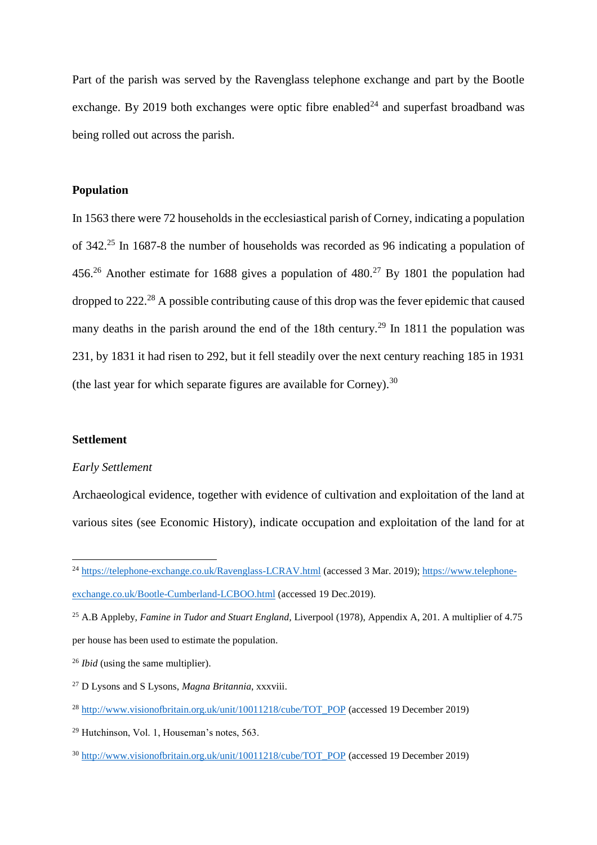Part of the parish was served by the Ravenglass telephone exchange and part by the Bootle exchange. By 2019 both exchanges were optic fibre enabled<sup>24</sup> and superfast broadband was being rolled out across the parish.

### **Population**

In 1563 there were 72 households in the ecclesiastical parish of Corney, indicating a population of 342.<sup>25</sup> In 1687-8 the number of households was recorded as 96 indicating a population of 456.<sup>26</sup> Another estimate for 1688 gives a population of  $480.<sup>27</sup>$  By 1801 the population had dropped to 222.<sup>28</sup> A possible contributing cause of this drop was the fever epidemic that caused many deaths in the parish around the end of the 18th century.<sup>29</sup> In 1811 the population was 231, by 1831 it had risen to 292, but it fell steadily over the next century reaching 185 in 1931 (the last year for which separate figures are available for Corney).  $30$ 

#### **Settlement**

 $\overline{a}$ 

#### *Early Settlement*

Archaeological evidence, together with evidence of cultivation and exploitation of the land at various sites (see Economic History), indicate occupation and exploitation of the land for at

<sup>&</sup>lt;sup>24</sup> <https://telephone-exchange.co.uk/Ravenglass-LCRAV.html> (accessed 3 Mar. 2019)[; https://www.telephone](https://www.telephone-exchange.co.uk/Bootle-Cumberland-LCBOO.html)[exchange.co.uk/Bootle-Cumberland-LCBOO.html](https://www.telephone-exchange.co.uk/Bootle-Cumberland-LCBOO.html) (accessed 19 Dec.2019).

<sup>&</sup>lt;sup>25</sup> A.B Appleby, *Famine in Tudor and Stuart England*, Liverpool (1978), Appendix A, 201. A multiplier of 4.75 per house has been used to estimate the population.

<sup>26</sup> *Ibid* (using the same multiplier).

<sup>27</sup> D Lysons and S Lysons, *Magna Britannia*, xxxviii.

<sup>&</sup>lt;sup>28</sup> http://www.visionofbritain.org.uk/<u>unit/10011218/cube/TOT\_POP</u> (accessed 19 December 2019)

<sup>29</sup> Hutchinson, Vol. 1, Houseman's notes, 563.

<sup>&</sup>lt;sup>30</sup> [http://www.visionofbritain.org.uk/unit/10011218/cube/TOT\\_POP](http://www.visionofbritain.org.uk/unit/10011218/cube/TOT_POP) (accessed 19 December 2019)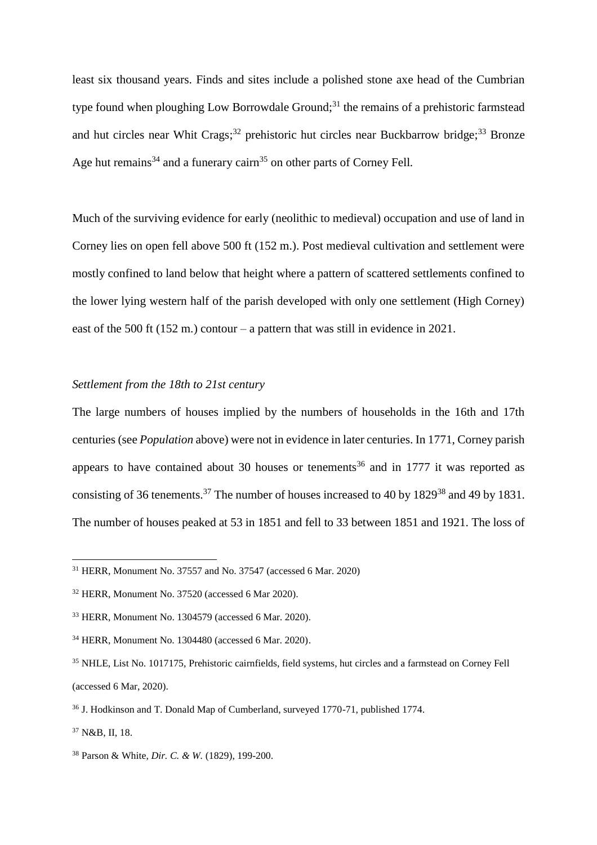least six thousand years. Finds and sites include a polished stone axe head of the Cumbrian type found when ploughing Low Borrowdale Ground;<sup>31</sup> the remains of a prehistoric farmstead and hut circles near Whit Crags;<sup>32</sup> prehistoric hut circles near Buckbarrow bridge;<sup>33</sup> Bronze Age hut remains<sup>34</sup> and a funerary cairn<sup>35</sup> on other parts of Corney Fell.

Much of the surviving evidence for early (neolithic to medieval) occupation and use of land in Corney lies on open fell above 500 ft (152 m.). Post medieval cultivation and settlement were mostly confined to land below that height where a pattern of scattered settlements confined to the lower lying western half of the parish developed with only one settlement (High Corney) east of the 500 ft (152 m.) contour – a pattern that was still in evidence in 2021.

# *Settlement from the 18th to 21st century*

The large numbers of houses implied by the numbers of households in the 16th and 17th centuries (see *Population* above) were not in evidence in later centuries. In 1771, Corney parish appears to have contained about 30 houses or tenements<sup>36</sup> and in 1777 it was reported as consisting of 36 tenements.<sup>37</sup> The number of houses increased to 40 by 1829<sup>38</sup> and 49 by 1831. The number of houses peaked at 53 in 1851 and fell to 33 between 1851 and 1921. The loss of

<sup>37</sup> N&B, II, 18.

 $\overline{a}$ 

<sup>38</sup> Parson & White, *Dir. C. & W.* (1829), 199-200.

 $31$  HERR, Monument No. 37557 and No. 37547 (accessed 6 Mar. 2020)

<sup>32</sup> HERR, Monument No. 37520 (accessed 6 Mar 2020).

<sup>33</sup> HERR, Monument No. 1304579 (accessed 6 Mar. 2020).

<sup>34</sup> HERR, Monument No. 1304480 (accessed 6 Mar. 2020).

<sup>35</sup> NHLE, List No. 1017175, Prehistoric cairnfields, field systems, hut circles and a farmstead on Corney Fell (accessed 6 Mar, 2020).

<sup>36</sup> J. Hodkinson and T. Donald Map of Cumberland, surveyed 1770-71, published 1774.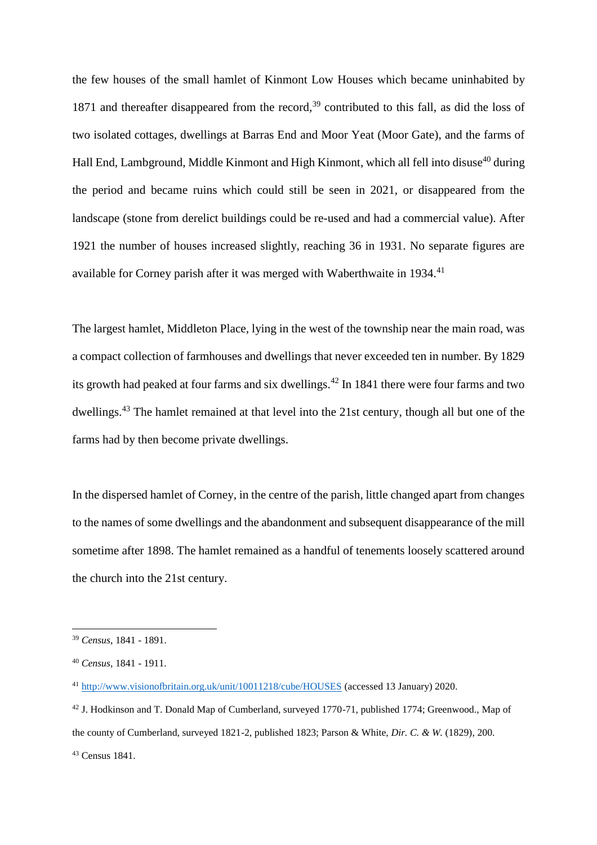the few houses of the small hamlet of Kinmont Low Houses which became uninhabited by 1871 and thereafter disappeared from the record,<sup>39</sup> contributed to this fall, as did the loss of two isolated cottages, dwellings at Barras End and Moor Yeat (Moor Gate), and the farms of Hall End, Lambground, Middle Kinmont and High Kinmont, which all fell into disuse<sup>40</sup> during the period and became ruins which could still be seen in 2021, or disappeared from the landscape (stone from derelict buildings could be re-used and had a commercial value). After 1921 the number of houses increased slightly, reaching 36 in 1931. No separate figures are available for Corney parish after it was merged with Waberthwaite in 1934.<sup>41</sup>

The largest hamlet, Middleton Place, lying in the west of the township near the main road, was a compact collection of farmhouses and dwellings that never exceeded ten in number. By 1829 its growth had peaked at four farms and six dwellings.<sup>42</sup> In 1841 there were four farms and two dwellings.<sup>43</sup> The hamlet remained at that level into the 21st century, though all but one of the farms had by then become private dwellings.

In the dispersed hamlet of Corney, in the centre of the parish, little changed apart from changes to the names of some dwellings and the abandonment and subsequent disappearance of the mill sometime after 1898. The hamlet remained as a handful of tenements loosely scattered around the church into the 21st century.

<sup>39</sup> *Census*, 1841 - 1891.

<sup>40</sup> *Census*, 1841 - 1911.

<sup>41</sup> <http://www.visionofbritain.org.uk/unit/10011218/cube/HOUSES> (accessed 13 January) 2020.

<sup>42</sup> J. Hodkinson and T. Donald Map of Cumberland, surveyed 1770-71, published 1774; Greenwood., Map of the county of Cumberland, surveyed 1821-2, published 1823; Parson & White, *Dir. C. & W.* (1829), 200. <sup>43</sup> Census 1841.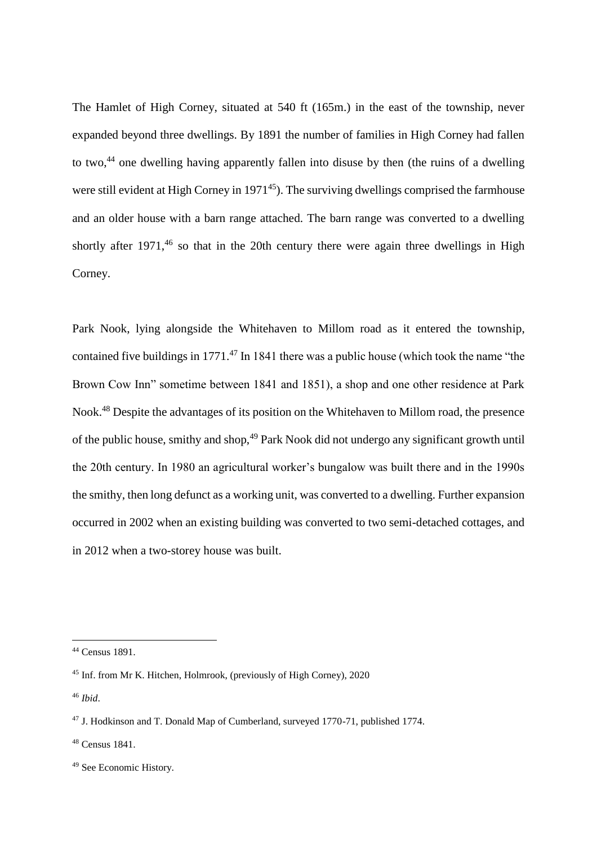The Hamlet of High Corney, situated at 540 ft (165m.) in the east of the township, never expanded beyond three dwellings. By 1891 the number of families in High Corney had fallen to two,<sup>44</sup> one dwelling having apparently fallen into disuse by then (the ruins of a dwelling were still evident at High Corney in 1971<sup>45</sup>). The surviving dwellings comprised the farmhouse and an older house with a barn range attached. The barn range was converted to a dwelling shortly after  $1971<sup>46</sup>$  so that in the 20th century there were again three dwellings in High Corney.

Park Nook, lying alongside the Whitehaven to Millom road as it entered the township, contained five buildings in 1771. $^{47}$  In 1841 there was a public house (which took the name "the Brown Cow Inn" sometime between 1841 and 1851), a shop and one other residence at Park Nook.<sup>48</sup> Despite the advantages of its position on the Whitehaven to Millom road, the presence of the public house, smithy and shop,<sup>49</sup> Park Nook did not undergo any significant growth until the 20th century. In 1980 an agricultural worker's bungalow was built there and in the 1990s the smithy, then long defunct as a working unit, was converted to a dwelling. Further expansion occurred in 2002 when an existing building was converted to two semi-detached cottages, and in 2012 when a two-storey house was built.

<sup>44</sup> Census 1891.

<sup>45</sup> Inf. from Mr K. Hitchen, Holmrook, (previously of High Corney), 2020

<sup>46</sup> *Ibid*.

<sup>47</sup> J. Hodkinson and T. Donald Map of Cumberland, surveyed 1770-71, published 1774.

<sup>48</sup> Census 1841.

<sup>49</sup> See Economic History.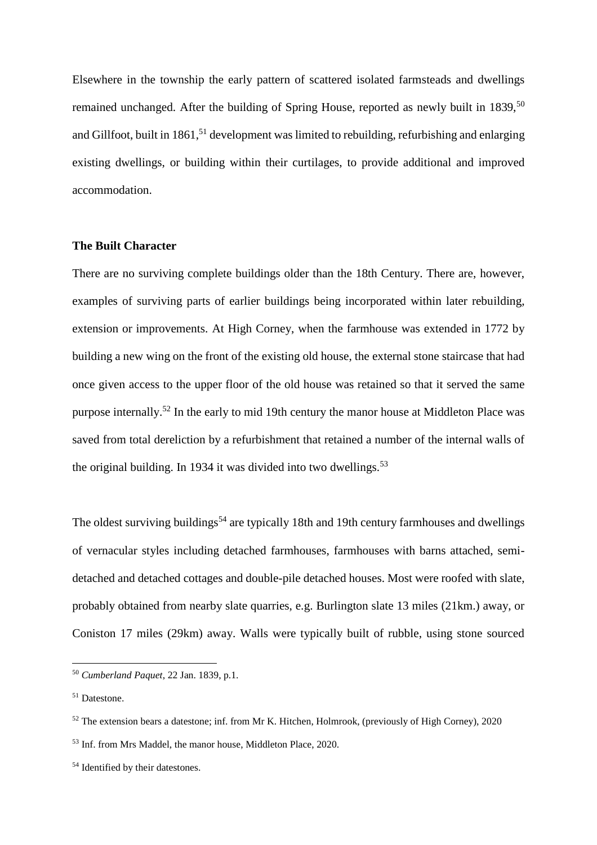Elsewhere in the township the early pattern of scattered isolated farmsteads and dwellings remained unchanged. After the building of Spring House, reported as newly built in 1839,<sup>50</sup> and Gillfoot, built in  $1861$ <sup>51</sup> development was limited to rebuilding, refurbishing and enlarging existing dwellings, or building within their curtilages, to provide additional and improved accommodation.

### **The Built Character**

There are no surviving complete buildings older than the 18th Century. There are, however, examples of surviving parts of earlier buildings being incorporated within later rebuilding, extension or improvements. At High Corney, when the farmhouse was extended in 1772 by building a new wing on the front of the existing old house, the external stone staircase that had once given access to the upper floor of the old house was retained so that it served the same purpose internally.<sup>52</sup> In the early to mid 19th century the manor house at Middleton Place was saved from total dereliction by a refurbishment that retained a number of the internal walls of the original building. In 1934 it was divided into two dwellings.<sup>53</sup>

The oldest surviving buildings<sup>54</sup> are typically 18th and 19th century farmhouses and dwellings of vernacular styles including detached farmhouses, farmhouses with barns attached, semidetached and detached cottages and double-pile detached houses. Most were roofed with slate, probably obtained from nearby slate quarries, e.g. Burlington slate 13 miles (21km.) away, or Coniston 17 miles (29km) away. Walls were typically built of rubble, using stone sourced

<sup>50</sup> *Cumberland Paquet*, 22 Jan. 1839, p.1.

<sup>51</sup> Datestone.

<sup>&</sup>lt;sup>52</sup> The extension bears a datestone; inf. from Mr K. Hitchen, Holmrook, (previously of High Corney), 2020 <sup>53</sup> Inf. from Mrs Maddel, the manor house, Middleton Place, 2020.

<sup>54</sup> Identified by their datestones.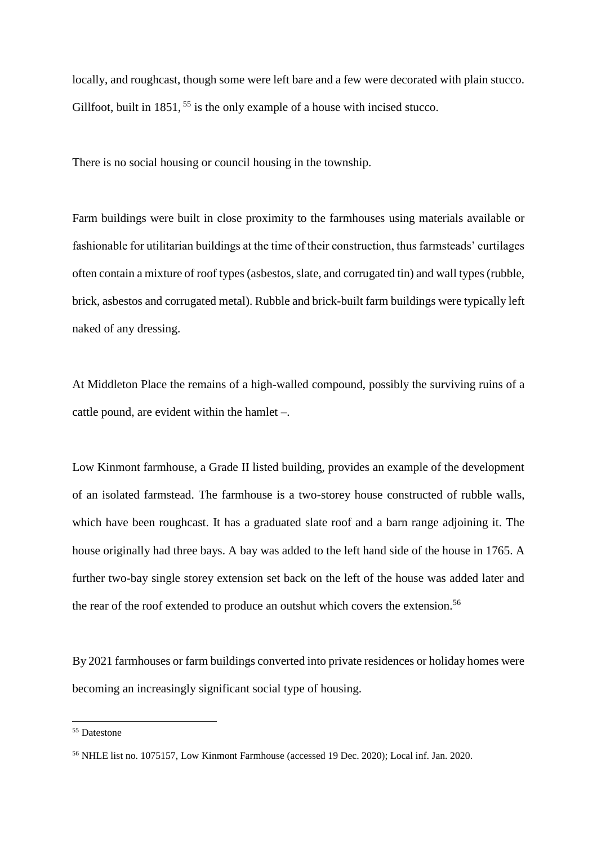locally, and roughcast, though some were left bare and a few were decorated with plain stucco. Gillfoot, built in 1851, <sup>55</sup> is the only example of a house with incised stucco.

There is no social housing or council housing in the township.

Farm buildings were built in close proximity to the farmhouses using materials available or fashionable for utilitarian buildings at the time of their construction, thus farmsteads' curtilages often contain a mixture of roof types (asbestos, slate, and corrugated tin) and wall types (rubble, brick, asbestos and corrugated metal). Rubble and brick-built farm buildings were typically left naked of any dressing.

At Middleton Place the remains of a high-walled compound, possibly the surviving ruins of a cattle pound, are evident within the hamlet –.

Low Kinmont farmhouse, a Grade II listed building, provides an example of the development of an isolated farmstead. The farmhouse is a two-storey house constructed of rubble walls, which have been roughcast. It has a graduated slate roof and a barn range adjoining it. The house originally had three bays. A bay was added to the left hand side of the house in 1765. A further two-bay single storey extension set back on the left of the house was added later and the rear of the roof extended to produce an outshut which covers the extension.<sup>56</sup>

By 2021 farmhouses or farm buildings converted into private residences or holiday homes were becoming an increasingly significant social type of housing.

<sup>55</sup> Datestone

<sup>56</sup> NHLE list no. 1075157, Low Kinmont Farmhouse (accessed 19 Dec. 2020); Local inf. Jan. 2020.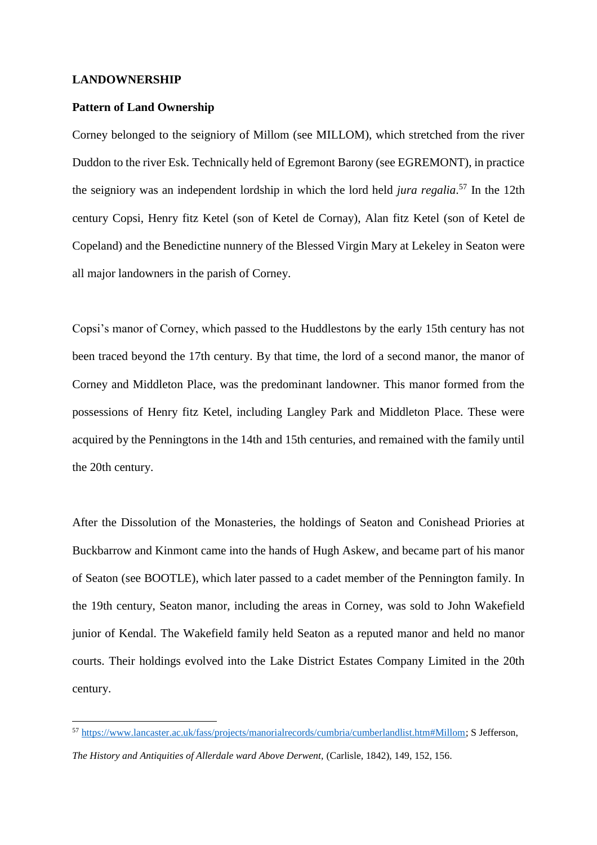#### **LANDOWNERSHIP**

 $\overline{a}$ 

### **Pattern of Land Ownership**

Corney belonged to the seigniory of Millom (see MILLOM), which stretched from the river Duddon to the river Esk. Technically held of Egremont Barony (see EGREMONT), in practice the seigniory was an independent lordship in which the lord held *jura regalia*. <sup>57</sup> In the 12th century Copsi, Henry fitz Ketel (son of Ketel de Cornay), Alan fitz Ketel (son of Ketel de Copeland) and the Benedictine nunnery of the Blessed Virgin Mary at Lekeley in Seaton were all major landowners in the parish of Corney.

Copsi's manor of Corney, which passed to the Huddlestons by the early 15th century has not been traced beyond the 17th century. By that time, the lord of a second manor, the manor of Corney and Middleton Place, was the predominant landowner. This manor formed from the possessions of Henry fitz Ketel, including Langley Park and Middleton Place. These were acquired by the Penningtons in the 14th and 15th centuries, and remained with the family until the 20th century.

After the Dissolution of the Monasteries, the holdings of Seaton and Conishead Priories at Buckbarrow and Kinmont came into the hands of Hugh Askew, and became part of his manor of Seaton (see BOOTLE), which later passed to a cadet member of the Pennington family. In the 19th century, Seaton manor, including the areas in Corney, was sold to John Wakefield junior of Kendal. The Wakefield family held Seaton as a reputed manor and held no manor courts. Their holdings evolved into the Lake District Estates Company Limited in the 20th century.

<sup>57</sup> [https://www.lancaster.ac.uk/fass/projects/manorialrecords/cumbria/cumberlandlist.htm#Millom;](https://www.lancaster.ac.uk/fass/projects/manorialrecords/cumbria/cumberlandlist.htm#Millom) S Jefferson,

*The History and Antiquities of Allerdale ward Above Derwent,* (Carlisle, 1842), 149, 152, 156.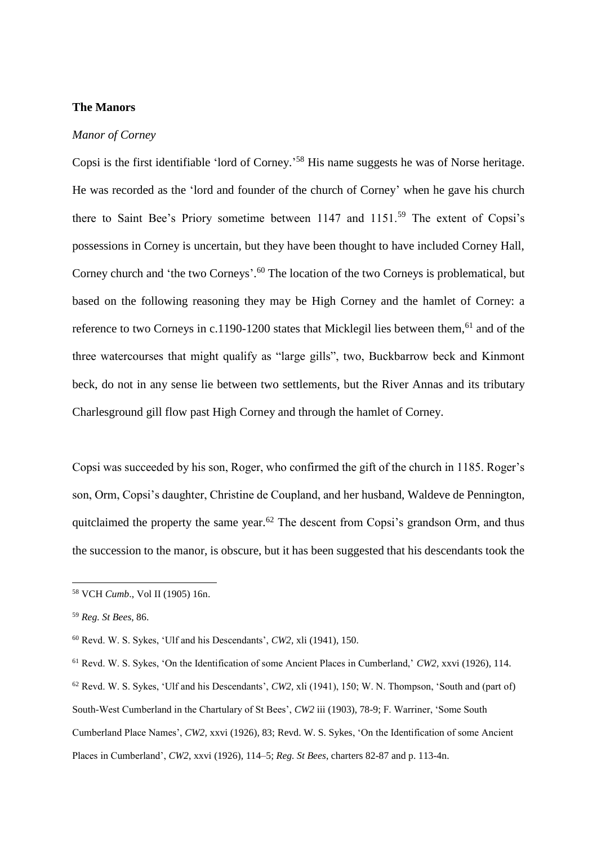# **The Manors**

### *Manor of Corney*

Copsi is the first identifiable 'lord of Corney.' <sup>58</sup> His name suggests he was of Norse heritage. He was recorded as the 'lord and founder of the church of Corney' when he gave his church there to Saint Bee's Priory sometime between 1147 and 1151.<sup>59</sup> The extent of Copsi's possessions in Corney is uncertain, but they have been thought to have included Corney Hall, Corney church and 'the two Corneys'.<sup>60</sup> The location of the two Corneys is problematical, but based on the following reasoning they may be High Corney and the hamlet of Corney: a reference to two Corneys in c.1190-1200 states that Micklegil lies between them,<sup>61</sup> and of the three watercourses that might qualify as "large gills", two, Buckbarrow beck and Kinmont beck, do not in any sense lie between two settlements, but the River Annas and its tributary Charlesground gill flow past High Corney and through the hamlet of Corney.

Copsi was succeeded by his son, Roger, who confirmed the gift of the church in 1185. Roger's son, Orm, Copsi's daughter, Christine de Coupland, and her husband, Waldeve de Pennington, quitclaimed the property the same year.<sup>62</sup> The descent from Copsi's grandson Orm, and thus the succession to the manor, is obscure, but it has been suggested that his descendants took the

<sup>58</sup> VCH *Cumb*., Vol II (1905) 16n.

<sup>59</sup> *Reg. St Bees*, 86.

<sup>60</sup> Revd. W. S. Sykes, 'Ulf and his Descendants', *CW2,* xli (1941), 150.

<sup>61</sup> Revd. W. S. Sykes, 'On the Identification of some Ancient Places in Cumberland,' *CW2,* xxvi (1926), 114.

<sup>62</sup> Revd. W. S. Sykes, 'Ulf and his Descendants', *CW2,* xli (1941), 150; W. N. Thompson, 'South and (part of) South-West Cumberland in the Chartulary of St Bees', *CW2* iii (1903), 78-9; F. Warriner, 'Some South Cumberland Place Names', *CW2,* xxvi (1926), 83; Revd. W. S. Sykes, 'On the Identification of some Ancient Places in Cumberland', *CW2*, xxvi (1926), 114–5; *Reg. St Bees*, charters 82-87 and p. 113-4n.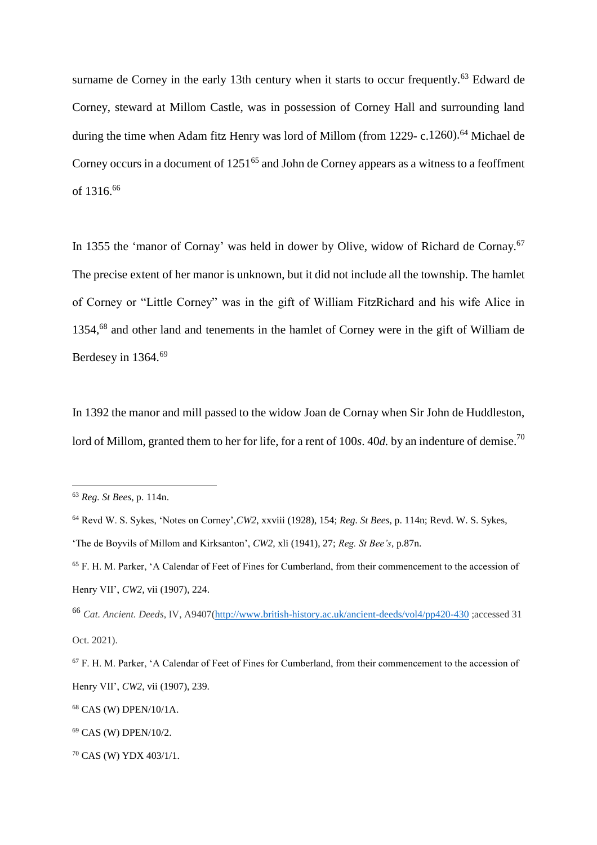surname de Corney in the early 13th century when it starts to occur frequently.<sup>63</sup> Edward de Corney, steward at Millom Castle, was in possession of Corney Hall and surrounding land during the time when Adam fitz Henry was lord of Millom (from 1229- c.1260).<sup>64</sup> Michael de Corney occurs in a document of  $1251^{65}$  and John de Corney appears as a witness to a feoffment of 1316.<sup>66</sup>

In 1355 the 'manor of Cornay' was held in dower by Olive, widow of Richard de Cornay.<sup>67</sup> The precise extent of her manor is unknown, but it did not include all the township. The hamlet of Corney or "Little Corney" was in the gift of William FitzRichard and his wife Alice in 1354,<sup>68</sup> and other land and tenements in the hamlet of Corney were in the gift of William de Berdesey in 1364.<sup>69</sup>

In 1392 the manor and mill passed to the widow Joan de Cornay when Sir John de Huddleston, lord of Millom, granted them to her for life, for a rent of 100*s*. 40*d*. by an indenture of demise.<sup>70</sup>

<sup>63</sup> *Reg. St Bees*, p. 114n.

<sup>64</sup> Revd W. S. Sykes, 'Notes on Corney',*CW2*, xxviii (1928), 154; *Reg. St Bees*, p. 114n; Revd. W. S. Sykes, 'The de Boyvils of Millom and Kirksanton', *CW2,* xli (1941), 27; *Reg. St Bee's*, p.87n.

<sup>65</sup> F. H. M. Parker, 'A Calendar of Feet of Fines for Cumberland, from their commencement to the accession of Henry VII', *CW2,* vii (1907), 224.

<sup>66</sup> *Cat. Ancient. Deeds*, IV, A9407[\(http://www.british-history.ac.uk/ancient-deeds/vol4/pp420-430](http://www.british-history.ac.uk/ancient-deeds/vol4/pp420-430) ;accessed 31 Oct. 2021).

<sup>67</sup> F. H. M. Parker, 'A Calendar of Feet of Fines for Cumberland, from their commencement to the accession of Henry VII', *CW2,* vii (1907), 239.

<sup>68</sup> CAS (W) DPEN/10/1A.

<sup>69</sup> CAS (W) DPEN/10/2.

<sup>70</sup> CAS (W) YDX 403/1/1.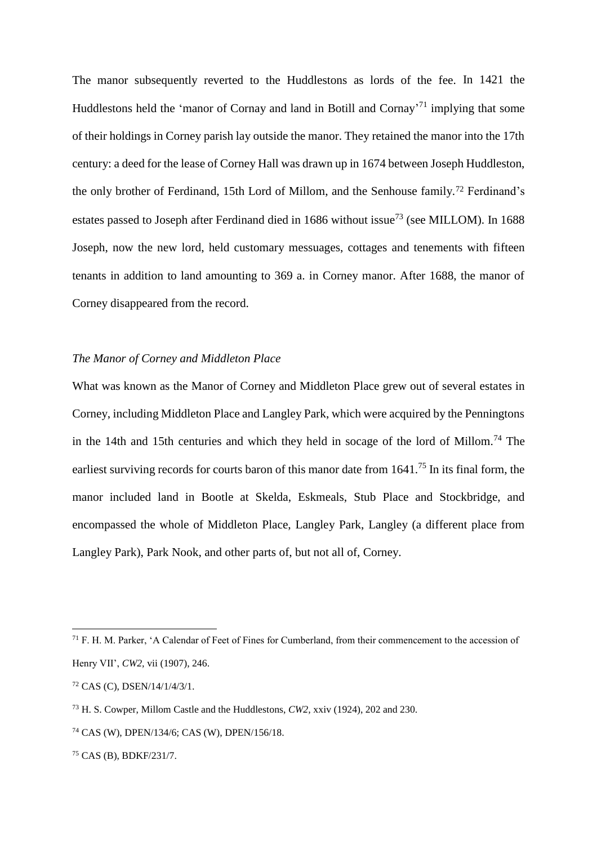The manor subsequently reverted to the Huddlestons as lords of the fee. In 1421 the Huddlestons held the 'manor of Cornay and land in Botill and Cornay'<sup>71</sup> implying that some of their holdings in Corney parish lay outside the manor. They retained the manor into the 17th century: a deed for the lease of Corney Hall was drawn up in 1674 between Joseph Huddleston, the only brother of Ferdinand, 15th Lord of Millom, and the Senhouse family.<sup>72</sup> Ferdinand's estates passed to Joseph after Ferdinand died in 1686 without issue<sup>73</sup> (see MILLOM). In 1688 Joseph, now the new lord, held customary messuages, cottages and tenements with fifteen tenants in addition to land amounting to 369 a. in Corney manor. After 1688, the manor of Corney disappeared from the record.

# *The Manor of Corney and Middleton Place*

What was known as the Manor of Corney and Middleton Place grew out of several estates in Corney, including Middleton Place and Langley Park, which were acquired by the Penningtons in the 14th and 15th centuries and which they held in socage of the lord of Millom.<sup>74</sup> The earliest surviving records for courts baron of this manor date from 1641.<sup>75</sup> In its final form, the manor included land in Bootle at Skelda, Eskmeals, Stub Place and Stockbridge, and encompassed the whole of Middleton Place, Langley Park, Langley (a different place from Langley Park), Park Nook, and other parts of, but not all of, Corney.

 $\overline{a}$ 

<sup>75</sup> CAS (B), BDKF/231/7.

<sup>71</sup> F. H. M. Parker, 'A Calendar of Feet of Fines for Cumberland, from their commencement to the accession of Henry VII', *CW2,* vii (1907), 246.

<sup>72</sup> CAS (C), DSEN/14/1/4/3/1.

<sup>73</sup> H. S. Cowper, Millom Castle and the Huddlestons, *CW2,* xxiv (1924), 202 and 230.

<sup>74</sup> CAS (W), DPEN/134/6; CAS (W), DPEN/156/18.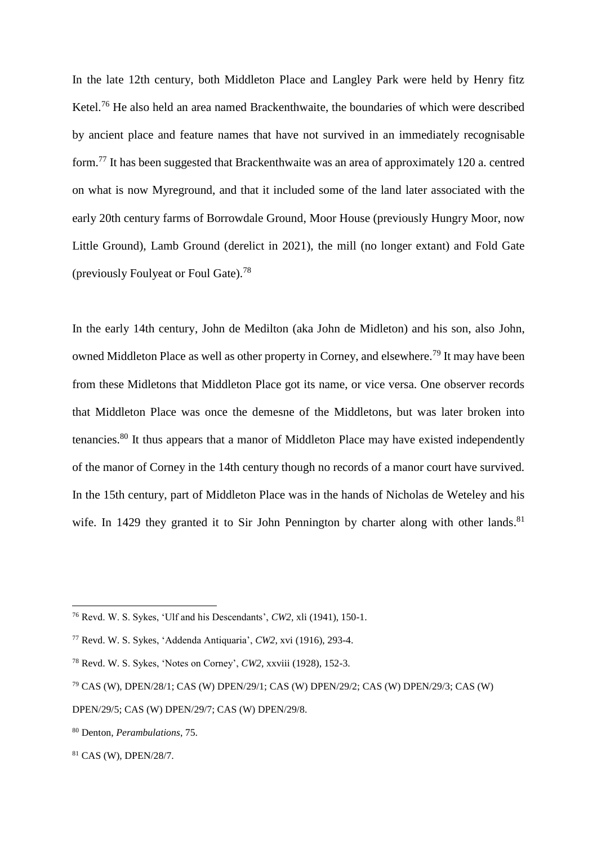In the late 12th century, both Middleton Place and Langley Park were held by Henry fitz Ketel.<sup>76</sup> He also held an area named Brackenthwaite, the boundaries of which were described by ancient place and feature names that have not survived in an immediately recognisable form.<sup>77</sup> It has been suggested that Brackenthwaite was an area of approximately 120 a. centred on what is now Myreground, and that it included some of the land later associated with the early 20th century farms of Borrowdale Ground, Moor House (previously Hungry Moor, now Little Ground), Lamb Ground (derelict in 2021), the mill (no longer extant) and Fold Gate (previously Foulyeat or Foul Gate).<sup>78</sup>

In the early 14th century, John de Medilton (aka John de Midleton) and his son, also John, owned Middleton Place as well as other property in Corney, and elsewhere.<sup>79</sup> It may have been from these Midletons that Middleton Place got its name, or vice versa. One observer records that Middleton Place was once the demesne of the Middletons, but was later broken into tenancies.<sup>80</sup> It thus appears that a manor of Middleton Place may have existed independently of the manor of Corney in the 14th century though no records of a manor court have survived. In the 15th century, part of Middleton Place was in the hands of Nicholas de Weteley and his wife. In 1429 they granted it to Sir John Pennington by charter along with other lands.<sup>81</sup>

<sup>76</sup> Revd. W. S. Sykes, 'Ulf and his Descendants', *CW2,* xli (1941), 150-1.

<sup>77</sup> Revd. W. S. Sykes, 'Addenda Antiquaria', *CW2*, xvi (1916), 293-4.

<sup>78</sup> Revd. W. S. Sykes, 'Notes on Corney', *CW2,* xxviii (1928), 152-3.

<sup>79</sup> CAS (W), DPEN/28/1; CAS (W) DPEN/29/1; CAS (W) DPEN/29/2; CAS (W) DPEN/29/3; CAS (W)

DPEN/29/5; CAS (W) DPEN/29/7; CAS (W) DPEN/29/8.

<sup>80</sup> Denton, *Perambulations*, 75.

<sup>81</sup> CAS (W), DPEN/28/7.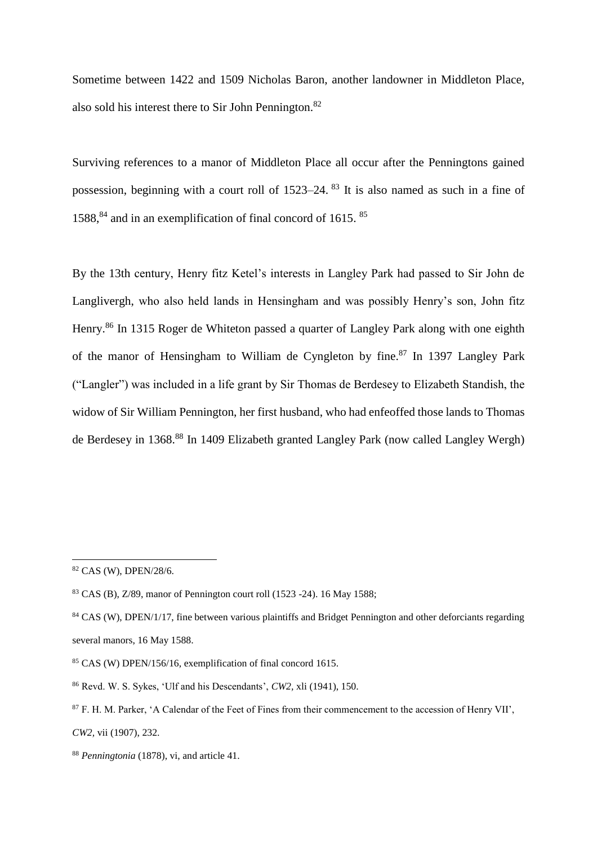Sometime between 1422 and 1509 Nicholas Baron, another landowner in Middleton Place, also sold his interest there to Sir John Pennington.<sup>82</sup>

Surviving references to a manor of Middleton Place all occur after the Penningtons gained possession, beginning with a court roll of 1523–24. <sup>83</sup> It is also named as such in a fine of  $1588$ ,<sup>84</sup> and in an exemplification of final concord of 1615. <sup>85</sup>

By the 13th century, Henry fitz Ketel's interests in Langley Park had passed to Sir John de Langlivergh, who also held lands in Hensingham and was possibly Henry's son, John fitz Henry.<sup>86</sup> In 1315 Roger de Whiteton passed a quarter of Langley Park along with one eighth of the manor of Hensingham to William de Cyngleton by fine.<sup>87</sup> In 1397 Langley Park ("Langler") was included in a life grant by Sir Thomas de Berdesey to Elizabeth Standish, the widow of Sir William Pennington, her first husband, who had enfeoffed those lands to Thomas de Berdesey in 1368.<sup>88</sup> In 1409 Elizabeth granted Langley Park (now called Langley Wergh)

 $\overline{a}$ 

*CW2,* vii (1907), 232.

<sup>82</sup> CAS (W), DPEN/28/6.

<sup>83</sup> CAS (B), Z/89, manor of Pennington court roll (1523 -24). 16 May 1588;

<sup>&</sup>lt;sup>84</sup> CAS (W), DPEN/1/17, fine between various plaintiffs and Bridget Pennington and other deforciants regarding

several manors, 16 May 1588.

<sup>85</sup> CAS (W) DPEN/156/16, exemplification of final concord 1615.

<sup>86</sup> Revd. W. S. Sykes, 'Ulf and his Descendants', *CW2,* xli (1941), 150.

<sup>&</sup>lt;sup>87</sup> F. H. M. Parker, 'A Calendar of the Feet of Fines from their commencement to the accession of Henry VII',

<sup>88</sup> *Penningtonia* (1878), vi, and article 41.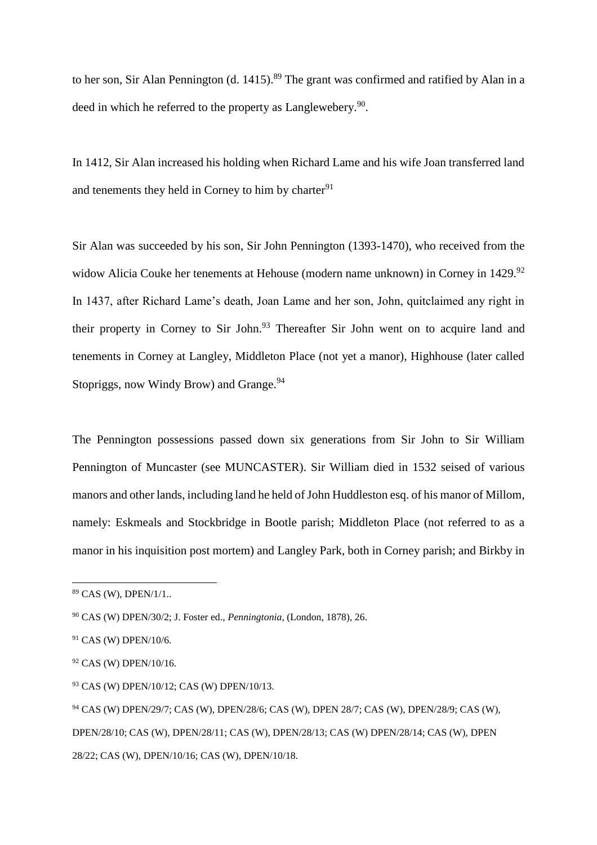to her son, Sir Alan Pennington (d. 1415).<sup>89</sup> The grant was confirmed and ratified by Alan in a deed in which he referred to the property as Langlewebery.<sup>90</sup>.

In 1412, Sir Alan increased his holding when Richard Lame and his wife Joan transferred land and tenements they held in Corney to him by charter $91$ 

Sir Alan was succeeded by his son, Sir John Pennington (1393-1470), who received from the widow Alicia Couke her tenements at Hehouse (modern name unknown) in Corney in 1429.<sup>92</sup> In 1437, after Richard Lame's death, Joan Lame and her son, John, quitclaimed any right in their property in Corney to Sir John.<sup>93</sup> Thereafter Sir John went on to acquire land and tenements in Corney at Langley, Middleton Place (not yet a manor), Highhouse (later called Stopriggs, now Windy Brow) and Grange.<sup>94</sup>

The Pennington possessions passed down six generations from Sir John to Sir William Pennington of Muncaster (see MUNCASTER). Sir William died in 1532 seised of various manors and other lands, including land he held of John Huddleston esq. of his manor of Millom, namely: Eskmeals and Stockbridge in Bootle parish; Middleton Place (not referred to as a manor in his inquisition post mortem) and Langley Park, both in Corney parish; and Birkby in

<sup>89</sup> CAS (W), DPEN/1/1..

<sup>90</sup> CAS (W) DPEN/30/2; J. Foster ed., *Penningtonia*, (London, 1878), 26.

<sup>91</sup> CAS (W) DPEN/10/6.

<sup>92</sup> CAS (W) DPEN/10/16.

<sup>93</sup> CAS (W) DPEN/10/12; CAS (W) DPEN/10/13.

<sup>94</sup> CAS (W) DPEN/29/7; CAS (W), DPEN/28/6; CAS (W), DPEN 28/7; CAS (W), DPEN/28/9; CAS (W), DPEN/28/10; CAS (W), DPEN/28/11; CAS (W), DPEN/28/13; CAS (W) DPEN/28/14; CAS (W), DPEN 28/22; CAS (W), DPEN/10/16; CAS (W), DPEN/10/18.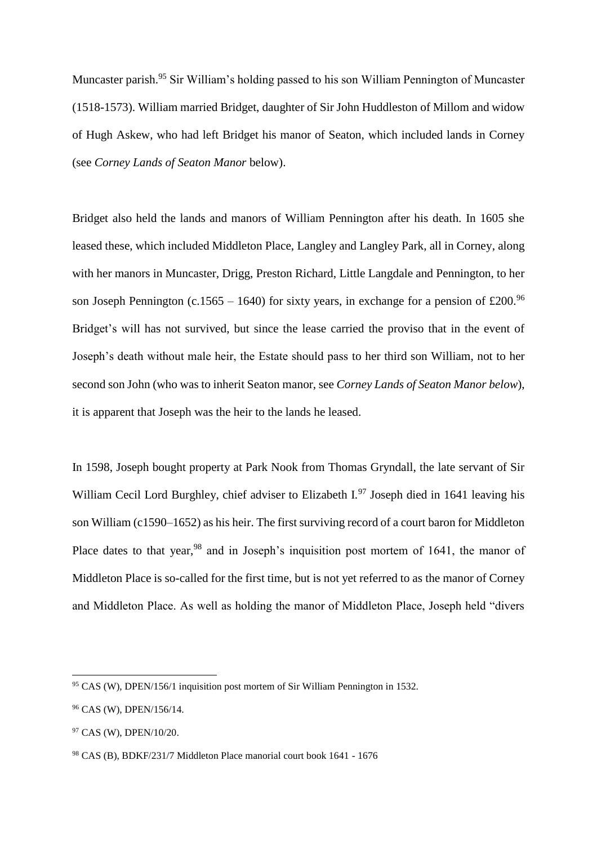Muncaster parish.<sup>95</sup> Sir William's holding passed to his son William Pennington of Muncaster (1518-1573). William married Bridget, daughter of Sir John Huddleston of Millom and widow of Hugh Askew, who had left Bridget his manor of Seaton, which included lands in Corney (see *Corney Lands of Seaton Manor* below).

Bridget also held the lands and manors of William Pennington after his death. In 1605 she leased these, which included Middleton Place, Langley and Langley Park, all in Corney, along with her manors in Muncaster, Drigg, Preston Richard, Little Langdale and Pennington, to her son Joseph Pennington (c.1565 – 1640) for sixty years, in exchange for a pension of £200.<sup>96</sup> Bridget's will has not survived, but since the lease carried the proviso that in the event of Joseph's death without male heir, the Estate should pass to her third son William, not to her second son John (who was to inherit Seaton manor, see *Corney Lands of Seaton Manor below*), it is apparent that Joseph was the heir to the lands he leased.

In 1598, Joseph bought property at Park Nook from Thomas Gryndall, the late servant of Sir William Cecil Lord Burghley, chief adviser to Elizabeth I.<sup>97</sup> Joseph died in 1641 leaving his son William (c1590–1652) as his heir. The first surviving record of a court baron for Middleton Place dates to that year,<sup>98</sup> and in Joseph's inquisition post mortem of 1641, the manor of Middleton Place is so-called for the first time, but is not yet referred to as the manor of Corney and Middleton Place. As well as holding the manor of Middleton Place, Joseph held "divers

<sup>95</sup> CAS (W), DPEN/156/1 inquisition post mortem of Sir William Pennington in 1532.

<sup>96</sup> CAS (W), DPEN/156/14.

<sup>97</sup> CAS (W), DPEN/10/20.

<sup>98</sup> CAS (B), BDKF/231/7 Middleton Place manorial court book 1641 - 1676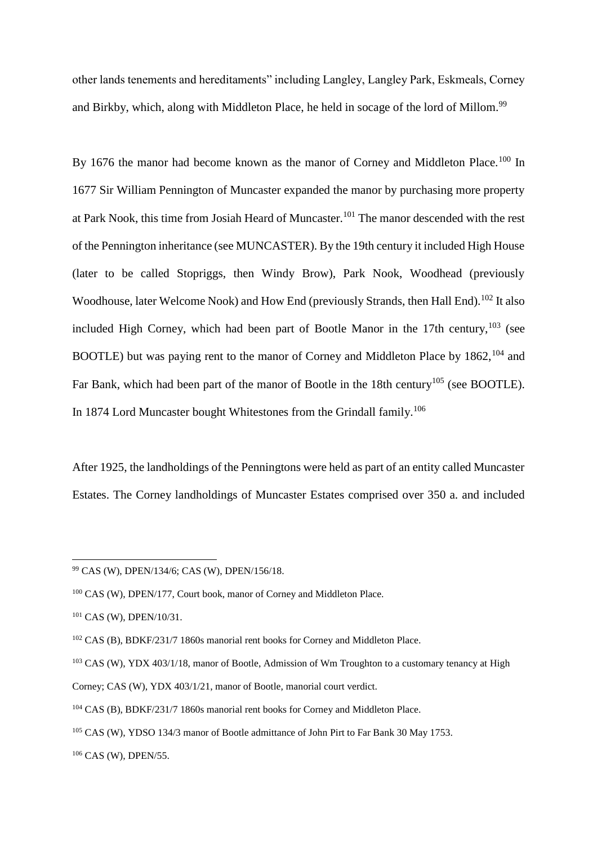other lands tenements and hereditaments" including Langley, Langley Park, Eskmeals, Corney and Birkby, which, along with Middleton Place, he held in socage of the lord of Millom.<sup>99</sup>

By 1676 the manor had become known as the manor of Corney and Middleton Place.<sup>100</sup> In 1677 Sir William Pennington of Muncaster expanded the manor by purchasing more property at Park Nook, this time from Josiah Heard of Muncaster.<sup>101</sup> The manor descended with the rest of the Pennington inheritance (see MUNCASTER). By the 19th century it included High House (later to be called Stopriggs, then Windy Brow), Park Nook, Woodhead (previously Woodhouse, later Welcome Nook) and How End (previously Strands, then Hall End).<sup>102</sup> It also included High Corney, which had been part of Bootle Manor in the  $17th$  century,  $103$  (see BOOTLE) but was paying rent to the manor of Corney and Middleton Place by 1862, <sup>104</sup> and Far Bank, which had been part of the manor of Bootle in the 18th century<sup>105</sup> (see BOOTLE). In 1874 Lord Muncaster bought Whitestones from the Grindall family.<sup>106</sup>

After 1925, the landholdings of the Penningtons were held as part of an entity called Muncaster Estates. The Corney landholdings of Muncaster Estates comprised over 350 a. and included

 $\overline{a}$ 

<sup>106</sup> CAS (W), DPEN/55.

<sup>99</sup> CAS (W), DPEN/134/6; CAS (W), DPEN/156/18.

<sup>100</sup> CAS (W), DPEN/177, Court book, manor of Corney and Middleton Place.

<sup>101</sup> CAS (W), DPEN/10/31.

<sup>102</sup> CAS (B), BDKF/231/7 1860s manorial rent books for Corney and Middleton Place.

<sup>&</sup>lt;sup>103</sup> CAS (W), YDX 403/1/18, manor of Bootle, Admission of Wm Troughton to a customary tenancy at High

Corney; CAS (W), YDX 403/1/21, manor of Bootle, manorial court verdict.

<sup>104</sup> CAS (B), BDKF/231/7 1860s manorial rent books for Corney and Middleton Place.

<sup>105</sup> CAS (W), YDSO 134/3 manor of Bootle admittance of John Pirt to Far Bank 30 May 1753.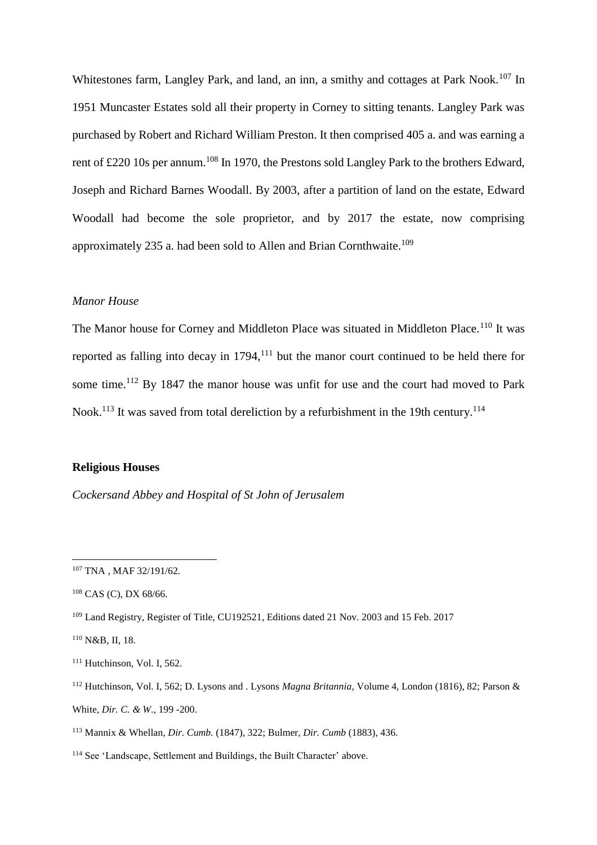Whitestones farm, Langley Park, and land, an inn, a smithy and cottages at Park Nook.<sup>107</sup> In 1951 Muncaster Estates sold all their property in Corney to sitting tenants. Langley Park was purchased by Robert and Richard William Preston. It then comprised 405 a. and was earning a rent of £220 10s per annum.<sup>108</sup> In 1970, the Prestons sold Langley Park to the brothers Edward, Joseph and Richard Barnes Woodall. By 2003, after a partition of land on the estate, Edward Woodall had become the sole proprietor, and by 2017 the estate, now comprising approximately 235 a. had been sold to Allen and Brian Cornthwaite.<sup>109</sup>

### *Manor House*

The Manor house for Corney and Middleton Place was situated in Middleton Place.<sup>110</sup> It was reported as falling into decay in  $1794$ ,<sup>111</sup> but the manor court continued to be held there for some time.<sup>112</sup> By 1847 the manor house was unfit for use and the court had moved to Park Nook.<sup>113</sup> It was saved from total dereliction by a refurbishment in the 19th century.<sup>114</sup>

# **Religious Houses**

*Cockersand Abbey and Hospital of St John of Jerusalem*

<sup>107</sup> TNA , MAF 32/191/62.

<sup>108</sup> CAS (C), DX 68/66.

<sup>109</sup> Land Registry, Register of Title, CU192521, Editions dated 21 Nov. 2003 and 15 Feb. 2017

<sup>110</sup> N&B, II, 18.

<sup>&</sup>lt;sup>111</sup> Hutchinson, Vol. I, 562.

<sup>112</sup> Hutchinson, Vol. I, 562; D. Lysons and . Lysons *Magna Britannia,* Volume 4, London (1816), 82; Parson & White, *Dir. C. & W*., 199 -200.

<sup>113</sup> Mannix & Whellan, *Dir. Cumb.* (1847), 322; Bulmer, *Dir. Cumb* (1883), 436.

<sup>114</sup> See 'Landscape, Settlement and Buildings, the Built Character' above.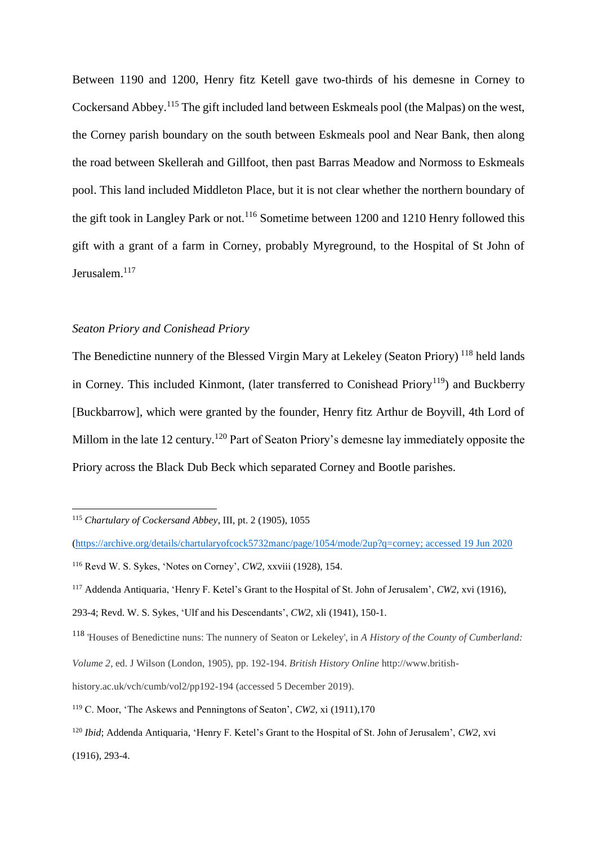Between 1190 and 1200, Henry fitz Ketell gave two-thirds of his demesne in Corney to Cockersand Abbey.<sup>115</sup> The gift included land between Eskmeals pool (the Malpas) on the west, the Corney parish boundary on the south between Eskmeals pool and Near Bank, then along the road between Skellerah and Gillfoot, then past Barras Meadow and Normoss to Eskmeals pool. This land included Middleton Place, but it is not clear whether the northern boundary of the gift took in Langley Park or not.<sup>116</sup> Sometime between 1200 and 1210 Henry followed this gift with a grant of a farm in Corney, probably Myreground, to the Hospital of St John of Jerusalem.<sup>117</sup>

# *Seaton Priory and Conishead Priory*

The Benedictine nunnery of the Blessed Virgin Mary at Lekeley (Seaton Priory)<sup>118</sup> held lands in Corney. This included Kinmont, (later transferred to Conishead Priory<sup>119</sup>) and Buckberry [Buckbarrow], which were granted by the founder, Henry fitz Arthur de Boyvill, 4th Lord of Millom in the late 12 century.<sup>120</sup> Part of Seaton Priory's demesne lay immediately opposite the Priory across the Black Dub Beck which separated Corney and Bootle parishes.

<sup>115</sup> *Chartulary of Cockersand Abbey*, III, pt. 2 (1905), 1055

[<sup>\(</sup>https://archive.org/details/chartularyofcock5732manc/page/1054/mode/2up?q=corney;](https://archive.org/details/chartularyofcock5732manc/page/1054/mode/2up?q=corney) accessed 19 Jun 2020 <sup>116</sup> Revd W. S. Sykes, 'Notes on Corney', *CW2,* xxviii (1928), 154.

<sup>117</sup> Addenda Antiquaria, 'Henry F. Ketel's Grant to the Hospital of St. John of Jerusalem', *CW2,* xvi (1916),

<sup>293-4;</sup> Revd. W. S. Sykes, 'Ulf and his Descendants', *CW2*, xli (1941), 150-1.

<sup>118</sup> 'Houses of Benedictine nuns: The nunnery of Seaton or Lekeley', in *A History of the County of Cumberland:* 

*Volume 2*, ed. J Wilson (London, 1905), pp. 192-194. *British History Online* http://www.british-

history.ac.uk/vch/cumb/vol2/pp192-194 (accessed 5 December 2019).

<sup>119</sup> C. Moor, 'The Askews and Penningtons of Seaton', *CW2,* xi (1911),170

<sup>120</sup> *Ibid*; Addenda Antiquaria, 'Henry F. Ketel's Grant to the Hospital of St. John of Jerusalem', *CW2,* xvi (1916), 293-4.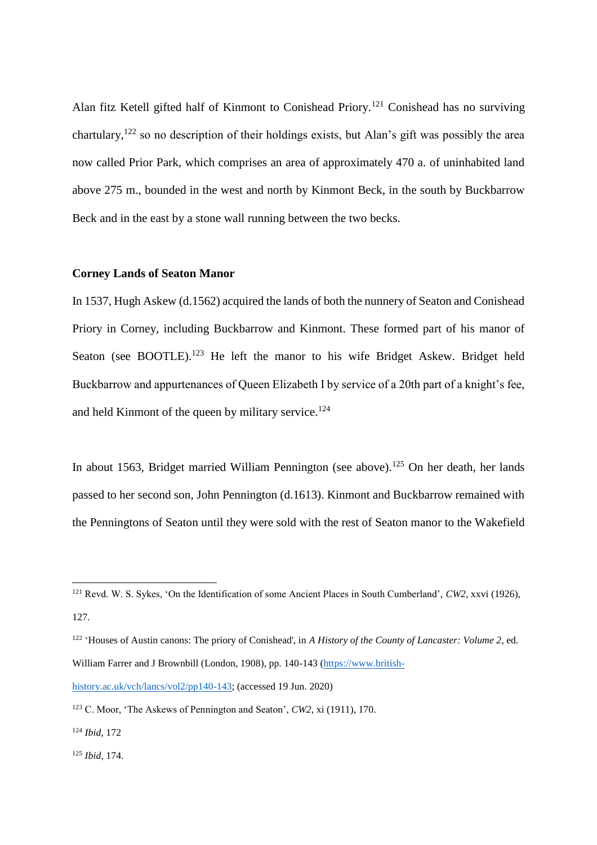Alan fitz Ketell gifted half of Kinmont to Conishead Priory.<sup>121</sup> Conishead has no surviving chartulary,<sup>122</sup> so no description of their holdings exists, but Alan's gift was possibly the area now called Prior Park, which comprises an area of approximately 470 a. of uninhabited land above 275 m., bounded in the west and north by Kinmont Beck, in the south by Buckbarrow Beck and in the east by a stone wall running between the two becks.

### **Corney Lands of Seaton Manor**

In 1537, Hugh Askew (d.1562) acquired the lands of both the nunnery of Seaton and Conishead Priory in Corney, including Buckbarrow and Kinmont. These formed part of his manor of Seaton (see BOOTLE).<sup>123</sup> He left the manor to his wife Bridget Askew. Bridget held Buckbarrow and appurtenances of Queen Elizabeth I by service of a 20th part of a knight's fee, and held Kinmont of the queen by military service.<sup>124</sup>

In about 1563, Bridget married William Pennington (see above).<sup>125</sup> On her death, her lands passed to her second son, John Pennington (d.1613). Kinmont and Buckbarrow remained with the Penningtons of Seaton until they were sold with the rest of Seaton manor to the Wakefield

<sup>121</sup> Revd. W. S. Sykes, 'On the Identification of some Ancient Places in South Cumberland', *CW2*, xxvi (1926), 127.

<sup>&</sup>lt;sup>122</sup> 'Houses of Austin canons: The priory of Conishead', in *A History of the County of Lancaster: Volume 2*, ed. William Farrer and J Brownbill (London, 1908), pp. 140-143 [\(https://www.british-](https://www.british-history.ac.uk/vch/lancs/vol2/pp140-143)

[history.ac.uk/vch/lancs/vol2/pp140-143;](https://www.british-history.ac.uk/vch/lancs/vol2/pp140-143) (accessed 19 Jun. 2020)

<sup>123</sup> C. Moor, 'The Askews of Pennington and Seaton', *CW2*, xi (1911), 170.

<sup>124</sup> *Ibid*, 172

<sup>125</sup> *Ibid*, 174.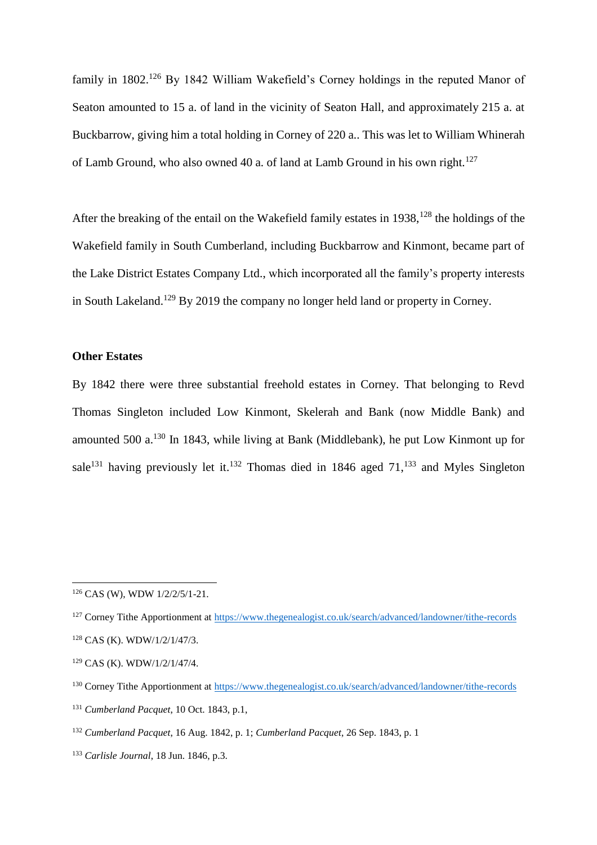family in 1802.<sup>126</sup> By 1842 William Wakefield's Corney holdings in the reputed Manor of Seaton amounted to 15 a. of land in the vicinity of Seaton Hall, and approximately 215 a. at Buckbarrow, giving him a total holding in Corney of 220 a.. This was let to William Whinerah of Lamb Ground, who also owned 40 a. of land at Lamb Ground in his own right.<sup>127</sup>

After the breaking of the entail on the Wakefield family estates in 1938,<sup>128</sup> the holdings of the Wakefield family in South Cumberland, including Buckbarrow and Kinmont, became part of the Lake District Estates Company Ltd., which incorporated all the family's property interests in South Lakeland.<sup>129</sup> By 2019 the company no longer held land or property in Corney.

# **Other Estates**

By 1842 there were three substantial freehold estates in Corney. That belonging to Revd Thomas Singleton included Low Kinmont, Skelerah and Bank (now Middle Bank) and amounted 500 a.<sup>130</sup> In 1843, while living at Bank (Middlebank), he put Low Kinmont up for sale<sup>131</sup> having previously let it.<sup>132</sup> Thomas died in 1846 aged  $71$ ,<sup>133</sup> and Myles Singleton

<sup>126</sup> CAS (W), WDW 1/2/2/5/1-21.

<sup>&</sup>lt;sup>127</sup> Corney Tithe Apportionment at<https://www.thegenealogist.co.uk/search/advanced/landowner/tithe-records>

<sup>128</sup> CAS (K). WDW/1/2/1/47/3.

<sup>129</sup> CAS (K). WDW/1/2/1/47/4.

<sup>130</sup> Corney Tithe Apportionment at<https://www.thegenealogist.co.uk/search/advanced/landowner/tithe-records>

<sup>131</sup> *Cumberland Pacquet*, 10 Oct. 1843, p.1,

<sup>132</sup> *Cumberland Pacquet*, 16 Aug. 1842, p. 1; *Cumberland Pacquet*, 26 Sep. 1843, p. 1

<sup>133</sup> *Carlisle Journal*, 18 Jun. 1846, p.3.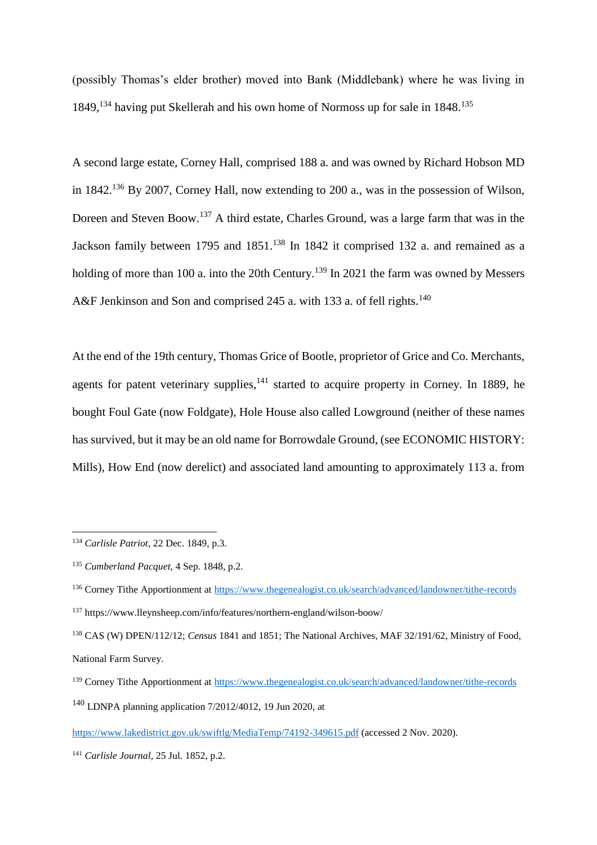(possibly Thomas's elder brother) moved into Bank (Middlebank) where he was living in 1849,<sup>134</sup> having put Skellerah and his own home of Normoss up for sale in 1848.<sup>135</sup>

A second large estate, Corney Hall, comprised 188 a. and was owned by Richard Hobson MD in 1842.<sup>136</sup> By 2007, Corney Hall, now extending to 200 a., was in the possession of Wilson, Doreen and Steven Boow.<sup>137</sup> A third estate, Charles Ground, was a large farm that was in the Jackson family between 1795 and 1851.<sup>138</sup> In 1842 it comprised 132 a. and remained as a holding of more than 100 a. into the 20th Century.<sup>139</sup> In 2021 the farm was owned by Messers A&F Jenkinson and Son and comprised 245 a. with 133 a. of fell rights.<sup>140</sup>

At the end of the 19th century, Thomas Grice of Bootle, proprietor of Grice and Co. Merchants, agents for patent veterinary supplies, <sup>141</sup> started to acquire property in Corney. In 1889, he bought Foul Gate (now Foldgate), Hole House also called Lowground (neither of these names has survived, but it may be an old name for Borrowdale Ground, (see ECONOMIC HISTORY: Mills), How End (now derelict) and associated land amounting to approximately 113 a. from

National Farm Survey.

<sup>134</sup> *Carlisle Patriot*, 22 Dec. 1849, p.3.

<sup>135</sup> *Cumberland Pacquet*, 4 Sep. 1848, p.2.

<sup>136</sup> Corney Tithe Apportionment at<https://www.thegenealogist.co.uk/search/advanced/landowner/tithe-records> <sup>137</sup> https://www.lleynsheep.com/info/features/northern-england/wilson-boow/

<sup>138</sup> CAS (W) DPEN/112/12; *Census* 1841 and 1851; The National Archives, MAF 32/191/62, Ministry of Food,

<sup>139</sup> Corney Tithe Apportionment at<https://www.thegenealogist.co.uk/search/advanced/landowner/tithe-records> <sup>140</sup> LDNPA planning application 7/2012/4012, 19 Jun 2020, at

<https://www.lakedistrict.gov.uk/swiftlg/MediaTemp/74192-349615.pdf> (accessed 2 Nov. 2020).

<sup>141</sup> *Carlisle Journal*, 25 Jul. 1852, p.2.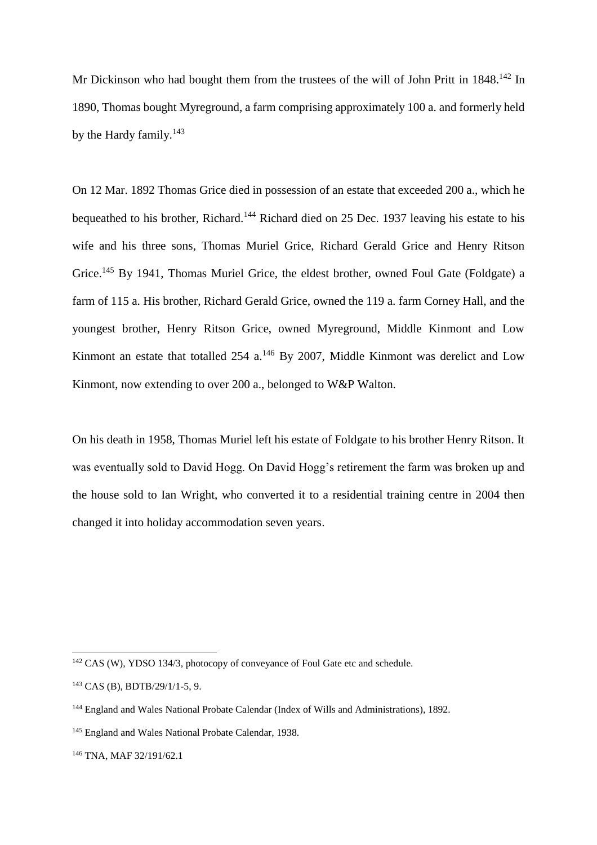Mr Dickinson who had bought them from the trustees of the will of John Pritt in 1848.<sup>142</sup> In 1890, Thomas bought Myreground, a farm comprising approximately 100 a. and formerly held by the Hardy family.<sup>143</sup>

On 12 Mar. 1892 Thomas Grice died in possession of an estate that exceeded 200 a., which he bequeathed to his brother, Richard.<sup>144</sup> Richard died on 25 Dec. 1937 leaving his estate to his wife and his three sons, Thomas Muriel Grice, Richard Gerald Grice and Henry Ritson Grice.<sup>145</sup> By 1941, Thomas Muriel Grice, the eldest brother, owned Foul Gate (Foldgate) a farm of 115 a. His brother, Richard Gerald Grice, owned the 119 a. farm Corney Hall, and the youngest brother, Henry Ritson Grice, owned Myreground, Middle Kinmont and Low Kinmont an estate that totalled  $254$  a.<sup>146</sup> By 2007, Middle Kinmont was derelict and Low Kinmont, now extending to over 200 a., belonged to W&P Walton.

On his death in 1958, Thomas Muriel left his estate of Foldgate to his brother Henry Ritson. It was eventually sold to David Hogg. On David Hogg's retirement the farm was broken up and the house sold to Ian Wright, who converted it to a residential training centre in 2004 then changed it into holiday accommodation seven years.

 $\overline{a}$ 

<sup>146</sup> TNA, MAF 32/191/62.1

<sup>142</sup> CAS (W), YDSO 134/3, photocopy of conveyance of Foul Gate etc and schedule.

<sup>143</sup> CAS (B), BDTB/29/1/1-5, 9.

<sup>144</sup> England and Wales National Probate Calendar (Index of Wills and Administrations), 1892.

<sup>&</sup>lt;sup>145</sup> England and Wales National Probate Calendar, 1938.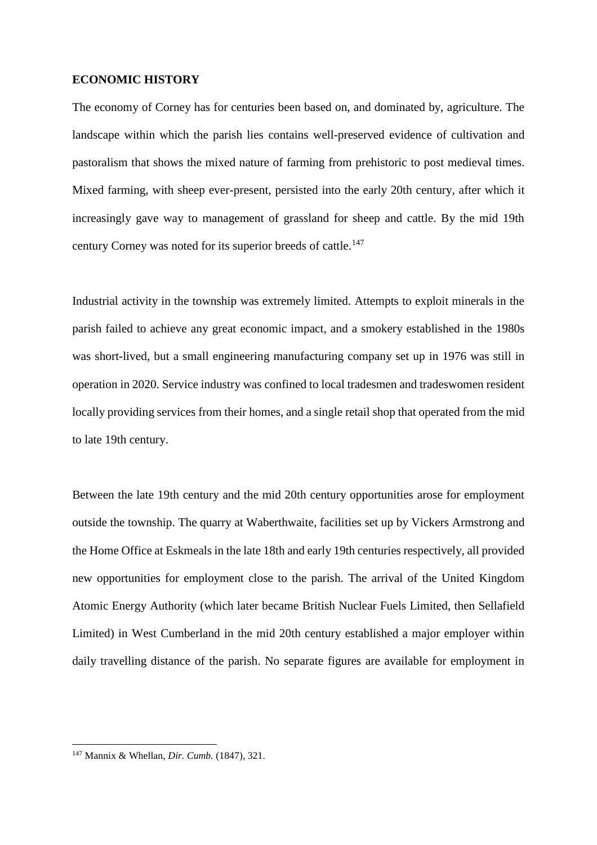### **ECONOMIC HISTORY**

The economy of Corney has for centuries been based on, and dominated by, agriculture. The landscape within which the parish lies contains well-preserved evidence of cultivation and pastoralism that shows the mixed nature of farming from prehistoric to post medieval times. Mixed farming, with sheep ever-present, persisted into the early 20th century, after which it increasingly gave way to management of grassland for sheep and cattle. By the mid 19th century Corney was noted for its superior breeds of cattle.<sup>147</sup>

Industrial activity in the township was extremely limited. Attempts to exploit minerals in the parish failed to achieve any great economic impact, and a smokery established in the 1980s was short-lived, but a small engineering manufacturing company set up in 1976 was still in operation in 2020. Service industry was confined to local tradesmen and tradeswomen resident locally providing services from their homes, and a single retail shop that operated from the mid to late 19th century.

Between the late 19th century and the mid 20th century opportunities arose for employment outside the township. The quarry at Waberthwaite, facilities set up by Vickers Armstrong and the Home Office at Eskmeals in the late 18th and early 19th centuries respectively, all provided new opportunities for employment close to the parish. The arrival of the United Kingdom Atomic Energy Authority (which later became British Nuclear Fuels Limited, then Sellafield Limited) in West Cumberland in the mid 20th century established a major employer within daily travelling distance of the parish. No separate figures are available for employment in

<sup>147</sup> Mannix & Whellan, *Dir. Cumb.* (1847), 321.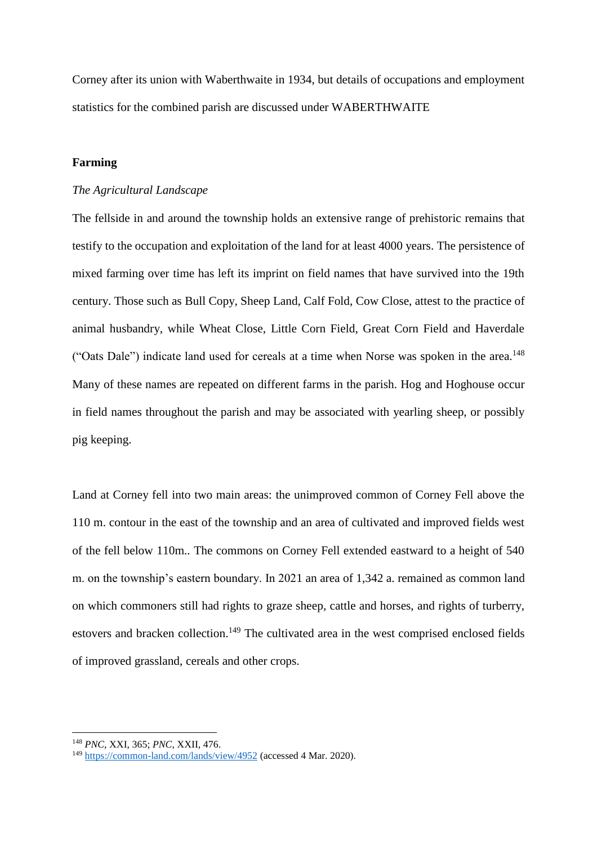Corney after its union with Waberthwaite in 1934, but details of occupations and employment statistics for the combined parish are discussed under WABERTHWAITE

### **Farming**

### *The Agricultural Landscape*

The fellside in and around the township holds an extensive range of prehistoric remains that testify to the occupation and exploitation of the land for at least 4000 years. The persistence of mixed farming over time has left its imprint on field names that have survived into the 19th century. Those such as Bull Copy, Sheep Land, Calf Fold, Cow Close, attest to the practice of animal husbandry, while Wheat Close, Little Corn Field, Great Corn Field and Haverdale ("Oats Dale") indicate land used for cereals at a time when Norse was spoken in the area.<sup>148</sup> Many of these names are repeated on different farms in the parish. Hog and Hoghouse occur in field names throughout the parish and may be associated with yearling sheep, or possibly pig keeping.

Land at Corney fell into two main areas: the unimproved common of Corney Fell above the 110 m. contour in the east of the township and an area of cultivated and improved fields west of the fell below 110m.. The commons on Corney Fell extended eastward to a height of 540 m. on the township's eastern boundary. In 2021 an area of 1,342 a. remained as common land on which commoners still had rights to graze sheep, cattle and horses, and rights of turberry, estovers and bracken collection.<sup>149</sup> The cultivated area in the west comprised enclosed fields of improved grassland, cereals and other crops.

<sup>148</sup> *PNC*, XXI, 365; *PNC*, XXII, 476.

<sup>149</sup> <https://common-land.com/lands/view/4952> (accessed 4 Mar. 2020).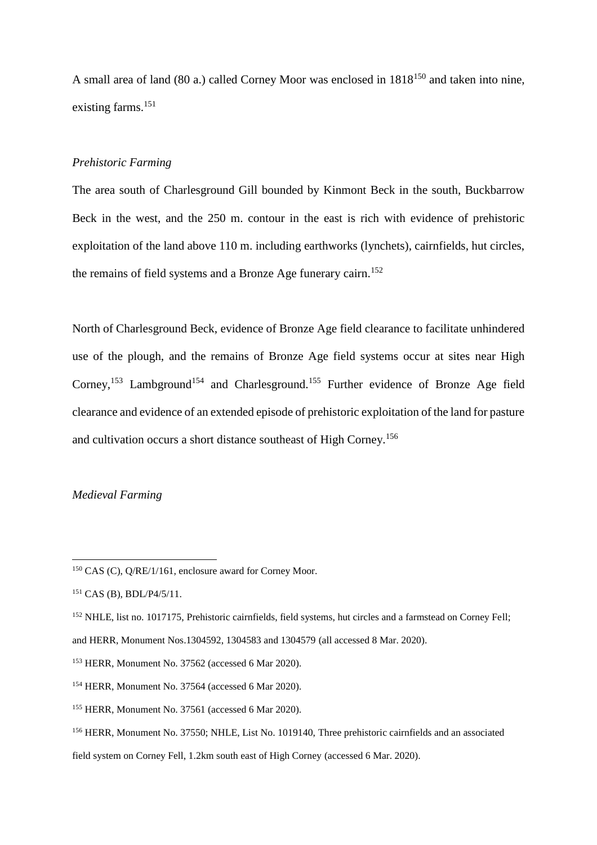A small area of land (80 a.) called Corney Moor was enclosed in 1818<sup>150</sup> and taken into nine, existing farms.<sup>151</sup>

# *Prehistoric Farming*

The area south of Charlesground Gill bounded by Kinmont Beck in the south, Buckbarrow Beck in the west, and the 250 m. contour in the east is rich with evidence of prehistoric exploitation of the land above 110 m. including earthworks (lynchets), cairnfields, hut circles, the remains of field systems and a Bronze Age funerary cairn.<sup>152</sup>

North of Charlesground Beck, evidence of Bronze Age field clearance to facilitate unhindered use of the plough, and the remains of Bronze Age field systems occur at sites near High Corney,<sup>153</sup> Lambground<sup>154</sup> and Charlesground.<sup>155</sup> Further evidence of Bronze Age field clearance and evidence of an extended episode of prehistoric exploitation of the land for pasture and cultivation occurs a short distance southeast of High Corney.<sup>156</sup>

# *Medieval Farming*

<sup>&</sup>lt;sup>150</sup> CAS (C), Q/RE/1/161, enclosure award for Corney Moor.

<sup>151</sup> CAS (B), BDL/P4/5/11.

<sup>&</sup>lt;sup>152</sup> NHLE, list no. 1017175, Prehistoric cairnfields, field systems, hut circles and a farmstead on Corney Fell;

and HERR, Monument Nos.1304592, 1304583 and 1304579 (all accessed 8 Mar. 2020).

<sup>153</sup> HERR, Monument No. 37562 (accessed 6 Mar 2020).

<sup>154</sup> HERR, Monument No. 37564 (accessed 6 Mar 2020).

<sup>155</sup> HERR, Monument No. 37561 (accessed 6 Mar 2020).

<sup>156</sup> HERR, Monument No. 37550; NHLE, List No. 1019140, Three prehistoric cairnfields and an associated

field system on Corney Fell, 1.2km south east of High Corney (accessed 6 Mar. 2020).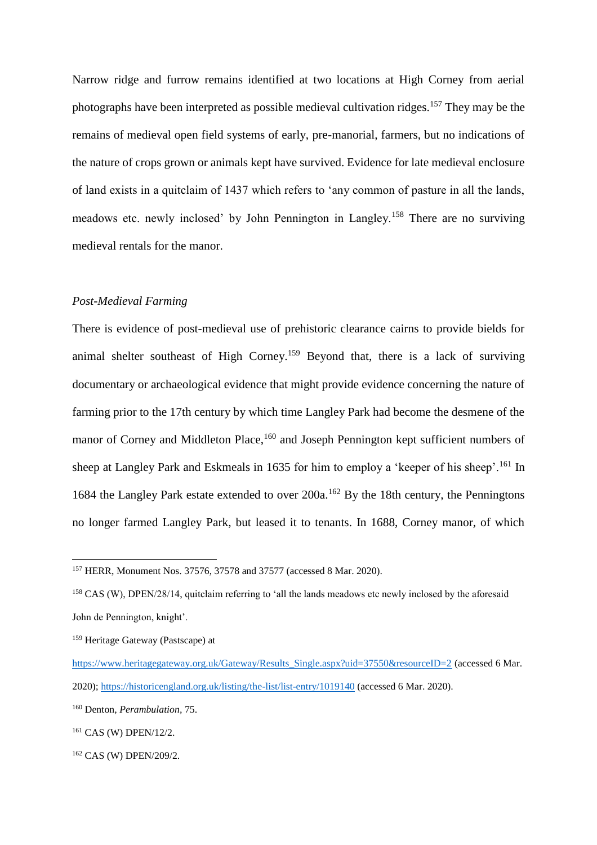Narrow ridge and furrow remains identified at two locations at High Corney from aerial photographs have been interpreted as possible medieval cultivation ridges.<sup>157</sup> They may be the remains of medieval open field systems of early, pre-manorial, farmers, but no indications of the nature of crops grown or animals kept have survived. Evidence for late medieval enclosure of land exists in a quitclaim of 1437 which refers to 'any common of pasture in all the lands, meadows etc. newly inclosed' by John Pennington in Langley.<sup>158</sup> There are no surviving medieval rentals for the manor.

### *Post-Medieval Farming*

There is evidence of post-medieval use of prehistoric clearance cairns to provide bields for animal shelter southeast of High Corney.<sup>159</sup> Beyond that, there is a lack of surviving documentary or archaeological evidence that might provide evidence concerning the nature of farming prior to the 17th century by which time Langley Park had become the desmene of the manor of Corney and Middleton Place,<sup>160</sup> and Joseph Pennington kept sufficient numbers of sheep at Langley Park and Eskmeals in 1635 for him to employ a 'keeper of his sheep'.<sup>161</sup> In 1684 the Langley Park estate extended to over 200a.<sup>162</sup> By the 18th century, the Penningtons no longer farmed Langley Park, but leased it to tenants. In 1688, Corney manor, of which

<sup>157</sup> HERR, Monument Nos. 37576, 37578 and 37577 (accessed 8 Mar. 2020).

<sup>&</sup>lt;sup>158</sup> CAS (W), DPEN/28/14, quitclaim referring to 'all the lands meadows etc newly inclosed by the aforesaid John de Pennington, knight'.

<sup>159</sup> Heritage Gateway (Pastscape) at

[https://www.heritagegateway.org.uk/Gateway/Results\\_Single.aspx?uid=37550&resourceID=2](https://www.heritagegateway.org.uk/Gateway/Results_Single.aspx?uid=37550&resourceID=2) (accessed 6 Mar. 2020)[; https://historicengland.org.uk/listing/the-list/list-entry/1019140](https://historicengland.org.uk/listing/the-list/list-entry/1019140) (accessed 6 Mar. 2020).

<sup>160</sup> Denton, *Perambulation,* 75.

<sup>161</sup> CAS (W) DPEN/12/2.

<sup>162</sup> CAS (W) DPEN/209/2.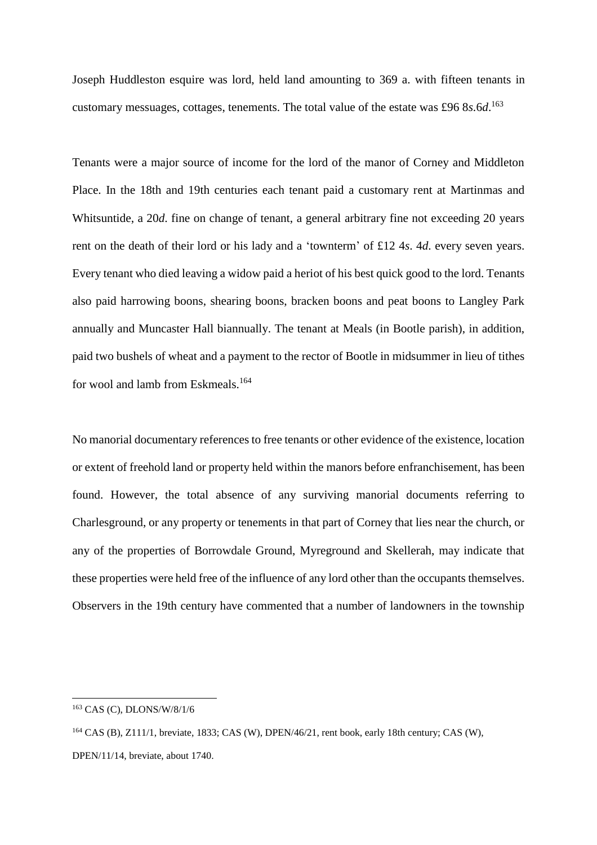Joseph Huddleston esquire was lord, held land amounting to 369 a. with fifteen tenants in customary messuages, cottages, tenements. The total value of the estate was £96 8*s.*6*d*. 163

Tenants were a major source of income for the lord of the manor of Corney and Middleton Place. In the 18th and 19th centuries each tenant paid a customary rent at Martinmas and Whitsuntide, a 20*d*. fine on change of tenant, a general arbitrary fine not exceeding 20 years rent on the death of their lord or his lady and a 'townterm' of £12 4*s*. 4*d*. every seven years. Every tenant who died leaving a widow paid a heriot of his best quick good to the lord. Tenants also paid harrowing boons, shearing boons, bracken boons and peat boons to Langley Park annually and Muncaster Hall biannually. The tenant at Meals (in Bootle parish), in addition, paid two bushels of wheat and a payment to the rector of Bootle in midsummer in lieu of tithes for wool and lamb from Eskmeals.<sup>164</sup>

No manorial documentary references to free tenants or other evidence of the existence, location or extent of freehold land or property held within the manors before enfranchisement, has been found. However, the total absence of any surviving manorial documents referring to Charlesground, or any property or tenements in that part of Corney that lies near the church, or any of the properties of Borrowdale Ground, Myreground and Skellerah, may indicate that these properties were held free of the influence of any lord other than the occupants themselves. Observers in the 19th century have commented that a number of landowners in the township

<sup>163</sup> CAS (C), DLONS/W/8/1/6

<sup>164</sup> CAS (B), Z111/1, breviate, 1833; CAS (W), DPEN/46/21, rent book, early 18th century; CAS (W), DPEN/11/14, breviate, about 1740.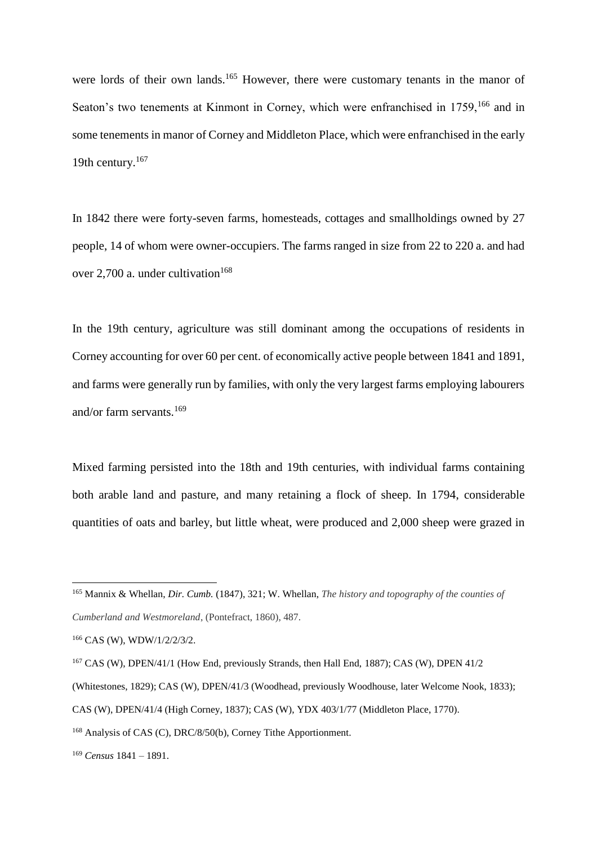were lords of their own lands.<sup>165</sup> However, there were customary tenants in the manor of Seaton's two tenements at Kinmont in Corney, which were enfranchised in 1759,<sup>166</sup> and in some tenements in manor of Corney and Middleton Place, which were enfranchised in the early 19th century.<sup>167</sup>

In 1842 there were forty-seven farms, homesteads, cottages and smallholdings owned by 27 people, 14 of whom were owner-occupiers. The farms ranged in size from 22 to 220 a. and had over 2,700 a. under cultivation<sup>168</sup>

In the 19th century, agriculture was still dominant among the occupations of residents in Corney accounting for over 60 per cent. of economically active people between 1841 and 1891, and farms were generally run by families, with only the very largest farms employing labourers and/or farm servants.<sup>169</sup>

Mixed farming persisted into the 18th and 19th centuries, with individual farms containing both arable land and pasture, and many retaining a flock of sheep. In 1794, considerable quantities of oats and barley, but little wheat, were produced and 2,000 sheep were grazed in

 $\overline{a}$ 

<sup>169</sup> *Census* 1841 – 1891.

<sup>165</sup> Mannix & Whellan, *Dir. Cumb.* (1847), 321; W. Whellan, *The history and topography of the counties of Cumberland and Westmoreland*, (Pontefract, 1860), 487.

<sup>166</sup> CAS (W), WDW/1/2/2/3/2.

<sup>&</sup>lt;sup>167</sup> CAS (W), DPEN/41/1 (How End, previously Strands, then Hall End, 1887); CAS (W), DPEN 41/2

<sup>(</sup>Whitestones, 1829); CAS (W), DPEN/41/3 (Woodhead, previously Woodhouse, later Welcome Nook, 1833);

CAS (W), DPEN/41/4 (High Corney, 1837); CAS (W), YDX 403/1/77 (Middleton Place, 1770).

<sup>168</sup> Analysis of CAS (C), DRC/8/50(b), Corney Tithe Apportionment.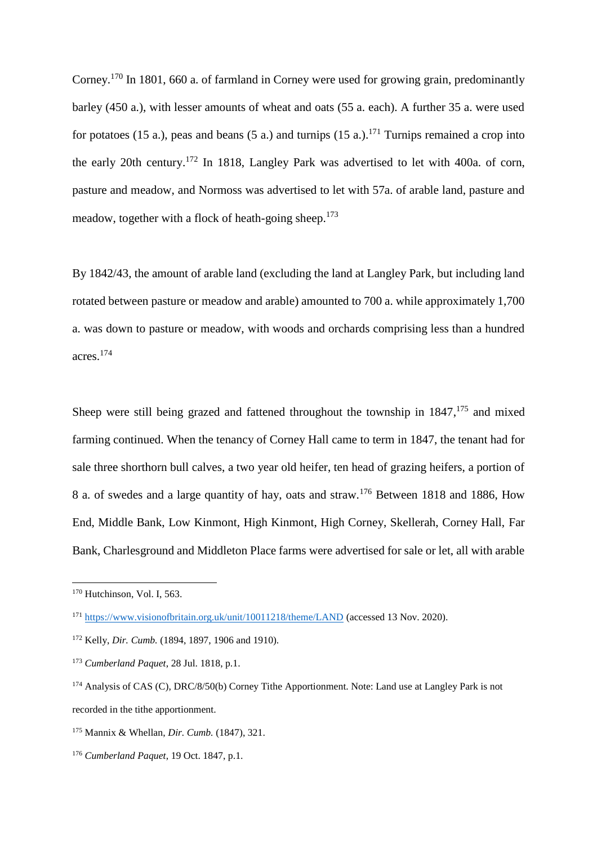Corney.<sup>170</sup> In 1801, 660 a. of farmland in Corney were used for growing grain, predominantly barley (450 a.), with lesser amounts of wheat and oats (55 a. each). A further 35 a. were used for potatoes (15 a.), peas and beans (5 a.) and turnips (15 a.).<sup>171</sup> Turnips remained a crop into the early 20th century.<sup>172</sup> In 1818, Langley Park was advertised to let with 400a. of corn, pasture and meadow, and Normoss was advertised to let with 57a. of arable land, pasture and meadow, together with a flock of heath-going sheep.<sup>173</sup>

By 1842/43, the amount of arable land (excluding the land at Langley Park, but including land rotated between pasture or meadow and arable) amounted to 700 a. while approximately 1,700 a. was down to pasture or meadow, with woods and orchards comprising less than a hundred acres.<sup>174</sup>

Sheep were still being grazed and fattened throughout the township in 1847,<sup>175</sup> and mixed farming continued. When the tenancy of Corney Hall came to term in 1847, the tenant had for sale three shorthorn bull calves, a two year old heifer, ten head of grazing heifers, a portion of 8 a. of swedes and a large quantity of hay, oats and straw.<sup>176</sup> Between 1818 and 1886, How End, Middle Bank, Low Kinmont, High Kinmont, High Corney, Skellerah, Corney Hall, Far Bank, Charlesground and Middleton Place farms were advertised for sale or let, all with arable

<sup>&</sup>lt;sup>170</sup> Hutchinson, Vol. I, 563.

<sup>171</sup> <https://www.visionofbritain.org.uk/unit/10011218/theme/LAND> (accessed 13 Nov. 2020).

<sup>172</sup> Kelly, *Dir. Cumb.* (1894, 1897, 1906 and 1910).

<sup>173</sup> *Cumberland Paquet*, 28 Jul. 1818, p.1.

<sup>&</sup>lt;sup>174</sup> Analysis of CAS (C), DRC/8/50(b) Corney Tithe Apportionment. Note: Land use at Langley Park is not recorded in the tithe apportionment.

<sup>175</sup> Mannix & Whellan, *Dir. Cumb.* (1847), 321.

<sup>176</sup> *Cumberland Paquet*, 19 Oct. 1847, p.1.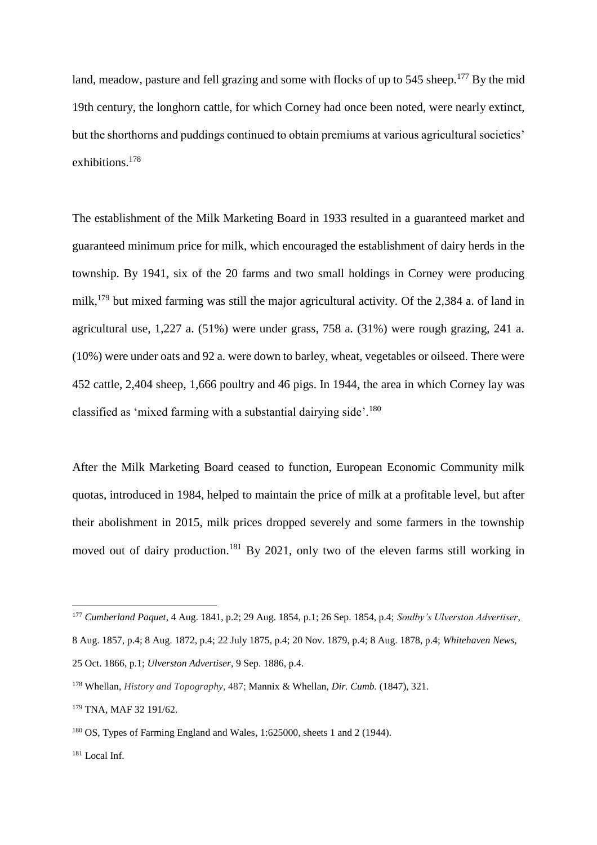land, meadow, pasture and fell grazing and some with flocks of up to 545 sheep.<sup>177</sup> By the mid 19th century, the longhorn cattle, for which Corney had once been noted, were nearly extinct, but the shorthorns and puddings continued to obtain premiums at various agricultural societies' exhibitions.<sup>178</sup>

The establishment of the Milk Marketing Board in 1933 resulted in a guaranteed market and guaranteed minimum price for milk, which encouraged the establishment of dairy herds in the township. By 1941, six of the 20 farms and two small holdings in Corney were producing milk,<sup>179</sup> but mixed farming was still the major agricultural activity. Of the 2,384 a. of land in agricultural use, 1,227 a. (51%) were under grass, 758 a. (31%) were rough grazing, 241 a. (10%) were under oats and 92 a. were down to barley, wheat, vegetables or oilseed. There were 452 cattle, 2,404 sheep, 1,666 poultry and 46 pigs. In 1944, the area in which Corney lay was classified as 'mixed farming with a substantial dairying side'.<sup>180</sup>

After the Milk Marketing Board ceased to function, European Economic Community milk quotas, introduced in 1984, helped to maintain the price of milk at a profitable level, but after their abolishment in 2015, milk prices dropped severely and some farmers in the township moved out of dairy production.<sup>181</sup> By 2021, only two of the eleven farms still working in

<sup>177</sup> *Cumberland Paquet*, 4 Aug. 1841, p.2; 29 Aug. 1854, p.1; 26 Sep. 1854, p.4; *Soulby's Ulverston Advertiser*,

<sup>8</sup> Aug. 1857, p.4; 8 Aug. 1872, p.4; 22 July 1875, p.4; 20 Nov. 1879, p.4; 8 Aug. 1878, p.4; *Whitehaven News,*

<sup>25</sup> Oct. 1866, p.1; *Ulverston Advertiser*, 9 Sep. 1886, p.4.

<sup>178</sup> Whellan, *History and Topography,* 487; Mannix & Whellan, *Dir. Cumb.* (1847), 321.

<sup>179</sup> TNA, MAF 32 191/62.

<sup>180</sup> OS, Types of Farming England and Wales, 1:625000, sheets 1 and 2 (1944).

 $181$  Local Inf.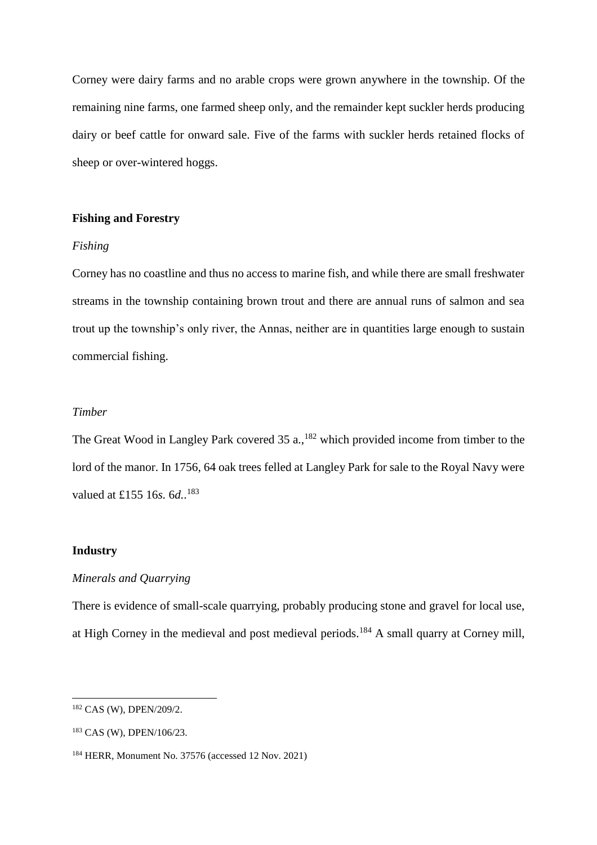Corney were dairy farms and no arable crops were grown anywhere in the township. Of the remaining nine farms, one farmed sheep only, and the remainder kept suckler herds producing dairy or beef cattle for onward sale. Five of the farms with suckler herds retained flocks of sheep or over-wintered hoggs.

# **Fishing and Forestry**

#### *Fishing*

Corney has no coastline and thus no access to marine fish, and while there are small freshwater streams in the township containing brown trout and there are annual runs of salmon and sea trout up the township's only river, the Annas, neither are in quantities large enough to sustain commercial fishing.

### *Timber*

The Great Wood in Langley Park covered  $35$  a.,  $182$  which provided income from timber to the lord of the manor. In 1756, 64 oak trees felled at Langley Park for sale to the Royal Navy were valued at £155 16*s.* 6*d.*. 183

#### **Industry**

 $\overline{a}$ 

# *Minerals and Quarrying*

There is evidence of small-scale quarrying, probably producing stone and gravel for local use, at High Corney in the medieval and post medieval periods.<sup>184</sup> A small quarry at Corney mill,

<sup>&</sup>lt;sup>182</sup> CAS (W), DPEN/209/2.

<sup>183</sup> CAS (W), DPEN/106/23.

<sup>184</sup> HERR, Monument No. 37576 (accessed 12 Nov. 2021)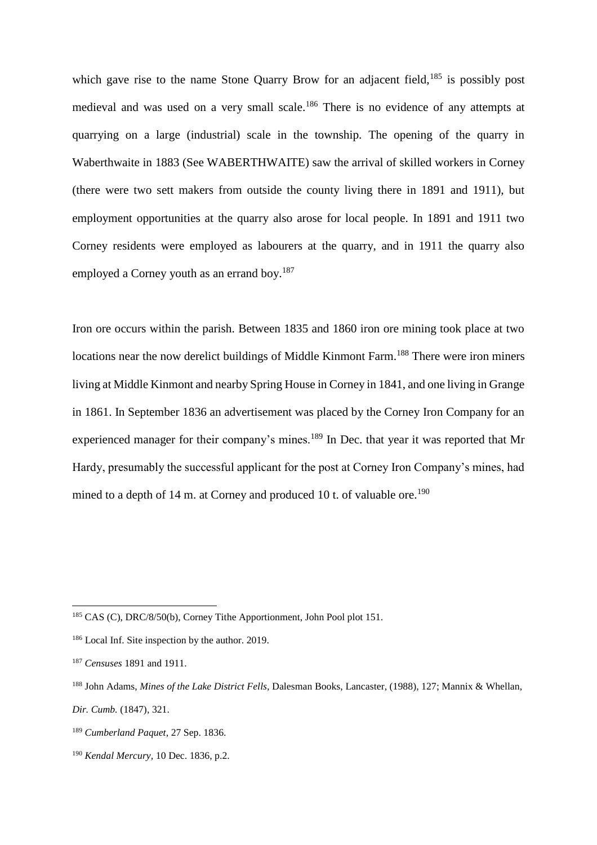which gave rise to the name Stone Quarry Brow for an adjacent field,<sup>185</sup> is possibly post medieval and was used on a very small scale.<sup>186</sup> There is no evidence of any attempts at quarrying on a large (industrial) scale in the township. The opening of the quarry in Waberthwaite in 1883 (See WABERTHWAITE) saw the arrival of skilled workers in Corney (there were two sett makers from outside the county living there in 1891 and 1911), but employment opportunities at the quarry also arose for local people. In 1891 and 1911 two Corney residents were employed as labourers at the quarry, and in 1911 the quarry also employed a Corney youth as an errand boy.<sup>187</sup>

Iron ore occurs within the parish. Between 1835 and 1860 iron ore mining took place at two locations near the now derelict buildings of Middle Kinmont Farm.<sup>188</sup> There were iron miners living at Middle Kinmont and nearby Spring House in Corney in 1841, and one living in Grange in 1861. In September 1836 an advertisement was placed by the Corney Iron Company for an experienced manager for their company's mines.<sup>189</sup> In Dec. that year it was reported that Mr Hardy, presumably the successful applicant for the post at Corney Iron Company's mines, had mined to a depth of 14 m. at Corney and produced 10 t. of valuable ore.<sup>190</sup>

<sup>&</sup>lt;sup>185</sup> CAS (C), DRC/8/50(b), Corney Tithe Apportionment, John Pool plot 151.

<sup>186</sup> Local Inf. Site inspection by the author. 2019.

<sup>187</sup> *Censuses* 1891 and 1911.

<sup>188</sup> John Adams, *Mines of the Lake District Fells,* Dalesman Books, Lancaster, (1988), 127; Mannix & Whellan, *Dir. Cumb.* (1847)*,* 321.

<sup>189</sup> *Cumberland Paquet*, 27 Sep. 1836.

<sup>190</sup> *Kendal Mercury,* 10 Dec. 1836, p.2.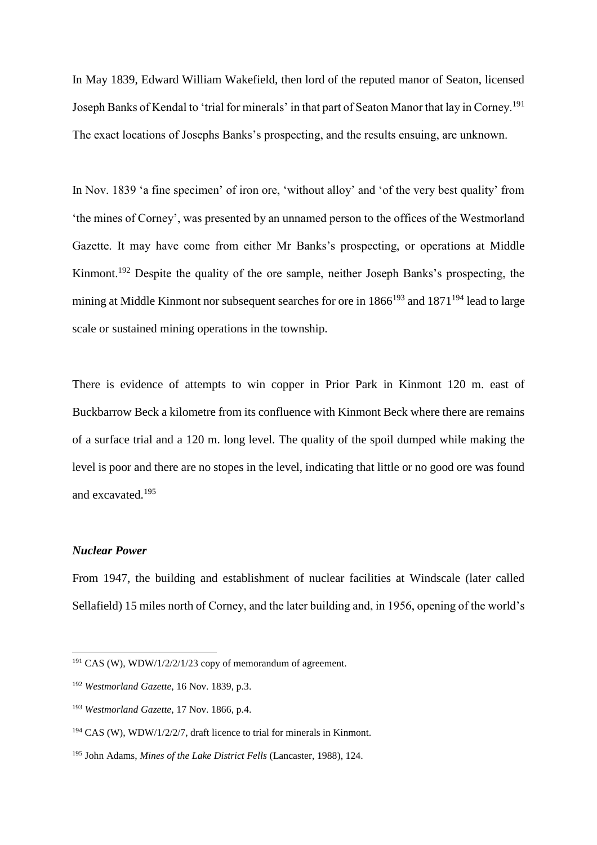In May 1839, Edward William Wakefield, then lord of the reputed manor of Seaton, licensed Joseph Banks of Kendal to 'trial for minerals' in that part of Seaton Manor that lay in Corney.<sup>191</sup> The exact locations of Josephs Banks's prospecting, and the results ensuing, are unknown.

In Nov. 1839 'a fine specimen' of iron ore, 'without alloy' and 'of the very best quality' from 'the mines of Corney', was presented by an unnamed person to the offices of the Westmorland Gazette. It may have come from either Mr Banks's prospecting, or operations at Middle Kinmont.<sup>192</sup> Despite the quality of the ore sample, neither Joseph Banks's prospecting, the mining at Middle Kinmont nor subsequent searches for ore in  $1866^{193}$  and  $1871^{194}$  lead to large scale or sustained mining operations in the township.

There is evidence of attempts to win copper in Prior Park in Kinmont 120 m. east of Buckbarrow Beck a kilometre from its confluence with Kinmont Beck where there are remains of a surface trial and a 120 m. long level. The quality of the spoil dumped while making the level is poor and there are no stopes in the level, indicating that little or no good ore was found and excavated.<sup>195</sup>

### *Nuclear Power*

 $\overline{a}$ 

From 1947, the building and establishment of nuclear facilities at Windscale (later called Sellafield) 15 miles north of Corney, and the later building and, in 1956, opening of the world's

 $191$  CAS (W), WDW/1/2/2/1/23 copy of memorandum of agreement.

<sup>192</sup> *Westmorland Gazette*, 16 Nov. 1839, p.3.

<sup>193</sup> *Westmorland Gazette*, 17 Nov. 1866, p.4.

 $194$  CAS (W), WDW/1/2/2/7, draft licence to trial for minerals in Kinmont.

<sup>195</sup> John Adams, *Mines of the Lake District Fells* (Lancaster, 1988), 124.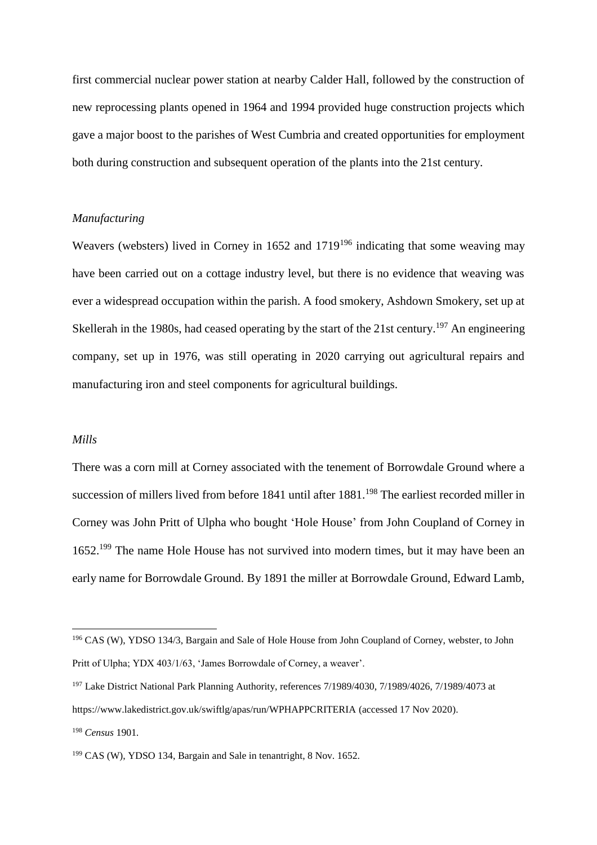first commercial nuclear power station at nearby Calder Hall, followed by the construction of new reprocessing plants opened in 1964 and 1994 provided huge construction projects which gave a major boost to the parishes of West Cumbria and created opportunities for employment both during construction and subsequent operation of the plants into the 21st century.

# *Manufacturing*

Weavers (websters) lived in Corney in 1652 and 1719<sup>196</sup> indicating that some weaving may have been carried out on a cottage industry level, but there is no evidence that weaving was ever a widespread occupation within the parish. A food smokery, Ashdown Smokery, set up at Skellerah in the 1980s, had ceased operating by the start of the 21st century.<sup>197</sup> An engineering company, set up in 1976, was still operating in 2020 carrying out agricultural repairs and manufacturing iron and steel components for agricultural buildings.

#### *Mills*

 $\overline{a}$ 

There was a corn mill at Corney associated with the tenement of Borrowdale Ground where a succession of millers lived from before 1841 until after 1881.<sup>198</sup> The earliest recorded miller in Corney was John Pritt of Ulpha who bought 'Hole House' from John Coupland of Corney in 1652.<sup>199</sup> The name Hole House has not survived into modern times, but it may have been an early name for Borrowdale Ground. By 1891 the miller at Borrowdale Ground, Edward Lamb,

<sup>196</sup> CAS (W), YDSO 134/3, Bargain and Sale of Hole House from John Coupland of Corney, webster, to John Pritt of Ulpha; YDX 403/1/63, 'James Borrowdale of Corney, a weaver'.

<sup>&</sup>lt;sup>197</sup> Lake District National Park Planning Authority, references 7/1989/4030, 7/1989/4026, 7/1989/4073 at <https://www.lakedistrict.gov.uk/swiftlg/apas/run/WPHAPPCRITERIA> (accessed 17 Nov 2020). <sup>198</sup> *Census* 1901*.*

<sup>199</sup> CAS (W), YDSO 134, Bargain and Sale in tenantright, 8 Nov. 1652.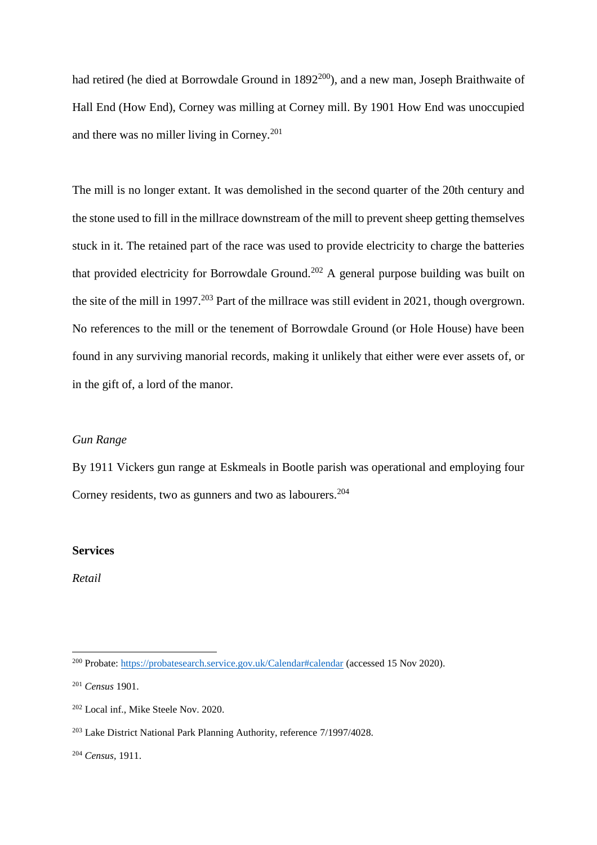had retired (he died at Borrowdale Ground in 1892<sup>200</sup>), and a new man, Joseph Braithwaite of Hall End (How End), Corney was milling at Corney mill. By 1901 How End was unoccupied and there was no miller living in Corney.<sup>201</sup>

The mill is no longer extant. It was demolished in the second quarter of the 20th century and the stone used to fill in the millrace downstream of the mill to prevent sheep getting themselves stuck in it. The retained part of the race was used to provide electricity to charge the batteries that provided electricity for Borrowdale Ground.<sup>202</sup> A general purpose building was built on the site of the mill in 1997.<sup>203</sup> Part of the millrace was still evident in 2021, though overgrown. No references to the mill or the tenement of Borrowdale Ground (or Hole House) have been found in any surviving manorial records, making it unlikely that either were ever assets of, or in the gift of, a lord of the manor.

#### *Gun Range*

By 1911 Vickers gun range at Eskmeals in Bootle parish was operational and employing four Corney residents, two as gunners and two as labourers.<sup>204</sup>

#### **Services**

*Retail*

<sup>200</sup> Probate:<https://probatesearch.service.gov.uk/Calendar#calendar> (accessed 15 Nov 2020).

<sup>201</sup> *Census* 1901.

<sup>202</sup> Local inf., Mike Steele Nov. 2020.

<sup>203</sup> Lake District National Park Planning Authority, reference 7/1997/4028.

<sup>204</sup> *Census,* 1911.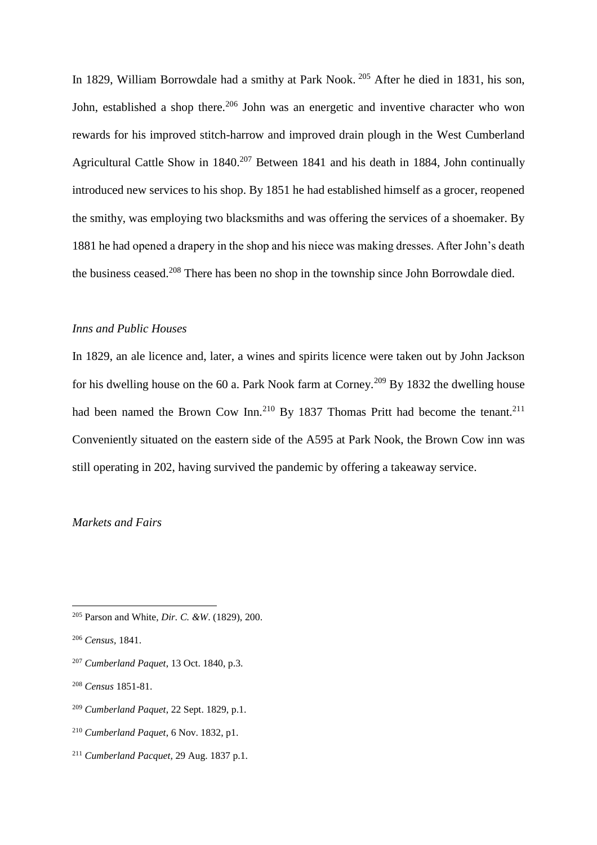In 1829, William Borrowdale had a smithy at Park Nook. <sup>205</sup> After he died in 1831, his son, John, established a shop there.<sup>206</sup> John was an energetic and inventive character who won rewards for his improved stitch-harrow and improved drain plough in the West Cumberland Agricultural Cattle Show in 1840.<sup>207</sup> Between 1841 and his death in 1884, John continually introduced new services to his shop. By 1851 he had established himself as a grocer, reopened the smithy, was employing two blacksmiths and was offering the services of a shoemaker. By 1881 he had opened a drapery in the shop and his niece was making dresses. After John's death the business ceased.<sup>208</sup> There has been no shop in the township since John Borrowdale died.

#### *Inns and Public Houses*

In 1829, an ale licence and, later, a wines and spirits licence were taken out by John Jackson for his dwelling house on the 60 a. Park Nook farm at Corney.<sup>209</sup> By 1832 the dwelling house had been named the Brown Cow Inn.<sup>210</sup> By 1837 Thomas Pritt had become the tenant.<sup>211</sup> Conveniently situated on the eastern side of the A595 at Park Nook, the Brown Cow inn was still operating in 202, having survived the pandemic by offering a takeaway service.

# *Markets and Fairs*

 $\overline{a}$ 

<sup>207</sup> *Cumberland Paquet*, 13 Oct. 1840, p.3.

- <sup>209</sup> *Cumberland Paquet*, 22 Sept. 1829, p.1.
- <sup>210</sup> *Cumberland Paquet*, 6 Nov. 1832, p1.
- <sup>211</sup> *Cumberland Pacquet,* 29 Aug. 1837 p.1.

<sup>205</sup> Parson and White, *Dir. C. &W*. (1829), 200.

<sup>206</sup> *Census,* 1841.

<sup>208</sup> *Census* 1851-81.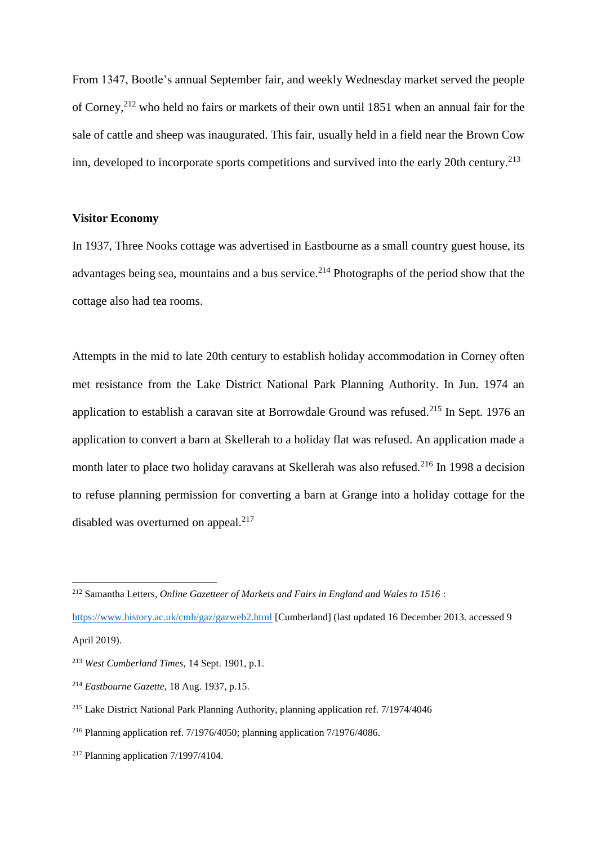From 1347, Bootle's annual September fair, and weekly Wednesday market served the people of Corney,<sup>212</sup> who held no fairs or markets of their own until 1851 when an annual fair for the sale of cattle and sheep was inaugurated. This fair, usually held in a field near the Brown Cow inn, developed to incorporate sports competitions and survived into the early 20th century.<sup>213</sup>

# **Visitor Economy**

In 1937, Three Nooks cottage was advertised in Eastbourne as a small country guest house, its advantages being sea, mountains and a bus service.<sup>214</sup> Photographs of the period show that the cottage also had tea rooms.

Attempts in the mid to late 20th century to establish holiday accommodation in Corney often met resistance from the Lake District National Park Planning Authority. In Jun. 1974 an application to establish a caravan site at Borrowdale Ground was refused.<sup>215</sup> In Sept. 1976 an application to convert a barn at Skellerah to a holiday flat was refused. An application made a month later to place two holiday caravans at Skellerah was also refused.<sup>216</sup> In 1998 a decision to refuse planning permission for converting a barn at Grange into a holiday cottage for the disabled was overturned on appeal.<sup>217</sup>

<sup>212</sup> Samantha Letters, *Online Gazetteer of Markets and Fairs in England and Wales to 1516* :

<https://www.history.ac.uk/cmh/gaz/gazweb2.html> [Cumberland] (last updated 16 December 2013. accessed 9 April 2019).

<sup>213</sup> *West Cumberland Times*, 14 Sept. 1901, p.1.

<sup>214</sup> *Eastbourne Gazette,* 18 Aug. 1937, p.15.

<sup>215</sup> Lake District National Park Planning Authority, planning application ref. 7/1974/4046

<sup>216</sup> Planning application ref. 7/1976/4050; planning application 7/1976/4086.

 $217$  Planning application  $7/1997/4104$ .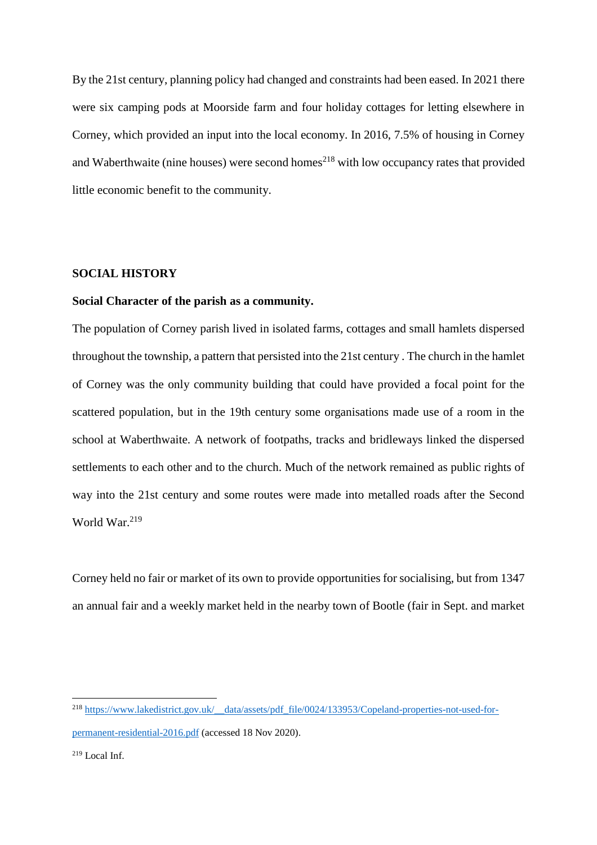By the 21st century, planning policy had changed and constraints had been eased. In 2021 there were six camping pods at Moorside farm and four holiday cottages for letting elsewhere in Corney, which provided an input into the local economy. In 2016, 7.5% of housing in Corney and Waberthwaite (nine houses) were second homes<sup>218</sup> with low occupancy rates that provided little economic benefit to the community.

### **SOCIAL HISTORY**

#### **Social Character of the parish as a community.**

The population of Corney parish lived in isolated farms, cottages and small hamlets dispersed throughout the township, a pattern that persisted into the 21st century . The church in the hamlet of Corney was the only community building that could have provided a focal point for the scattered population, but in the 19th century some organisations made use of a room in the school at Waberthwaite. A network of footpaths, tracks and bridleways linked the dispersed settlements to each other and to the church. Much of the network remained as public rights of way into the 21st century and some routes were made into metalled roads after the Second World War.<sup>219</sup>

Corney held no fair or market of its own to provide opportunities for socialising, but from 1347 an annual fair and a weekly market held in the nearby town of Bootle (fair in Sept. and market

<sup>&</sup>lt;sup>218</sup> [https://www.lakedistrict.gov.uk/\\_\\_data/assets/pdf\\_file/0024/133953/Copeland-properties-not-used-for](https://www.lakedistrict.gov.uk/__data/assets/pdf_file/0024/133953/Copeland-properties-not-used-for-permanent-residential-2016.pdf)[permanent-residential-2016.pdf](https://www.lakedistrict.gov.uk/__data/assets/pdf_file/0024/133953/Copeland-properties-not-used-for-permanent-residential-2016.pdf) (accessed 18 Nov 2020).

 $219$  Local Inf.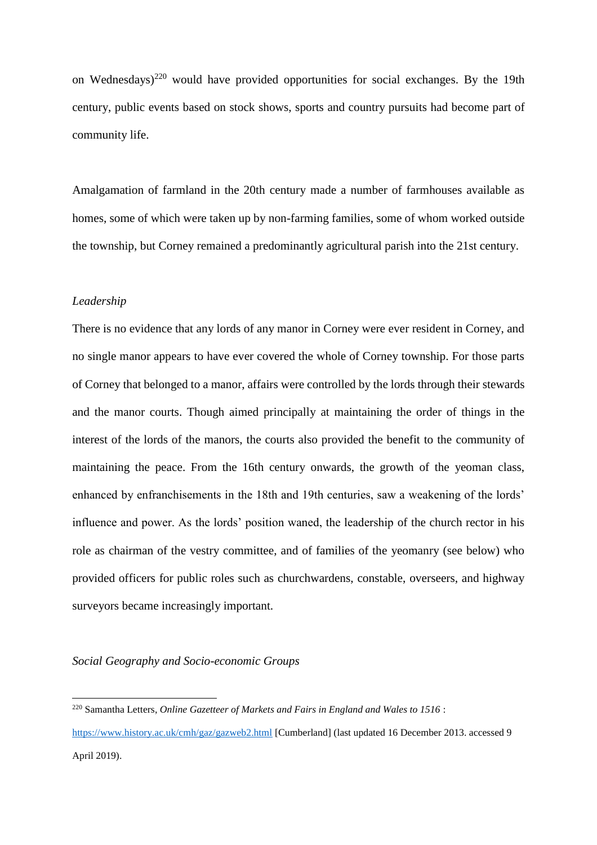on Wednesdays)<sup>220</sup> would have provided opportunities for social exchanges. By the 19th century, public events based on stock shows, sports and country pursuits had become part of community life.

Amalgamation of farmland in the 20th century made a number of farmhouses available as homes, some of which were taken up by non-farming families, some of whom worked outside the township, but Corney remained a predominantly agricultural parish into the 21st century.

### *Leadership*

 $\overline{a}$ 

There is no evidence that any lords of any manor in Corney were ever resident in Corney, and no single manor appears to have ever covered the whole of Corney township. For those parts of Corney that belonged to a manor, affairs were controlled by the lords through their stewards and the manor courts. Though aimed principally at maintaining the order of things in the interest of the lords of the manors, the courts also provided the benefit to the community of maintaining the peace. From the 16th century onwards, the growth of the yeoman class, enhanced by enfranchisements in the 18th and 19th centuries, saw a weakening of the lords' influence and power. As the lords' position waned, the leadership of the church rector in his role as chairman of the vestry committee, and of families of the yeomanry (see below) who provided officers for public roles such as churchwardens, constable, overseers, and highway surveyors became increasingly important.

*Social Geography and Socio-economic Groups*

<sup>220</sup> Samantha Letters, *Online Gazetteer of Markets and Fairs in England and Wales to 1516* :

<https://www.history.ac.uk/cmh/gaz/gazweb2.html> [Cumberland] (last updated 16 December 2013. accessed 9 April 2019).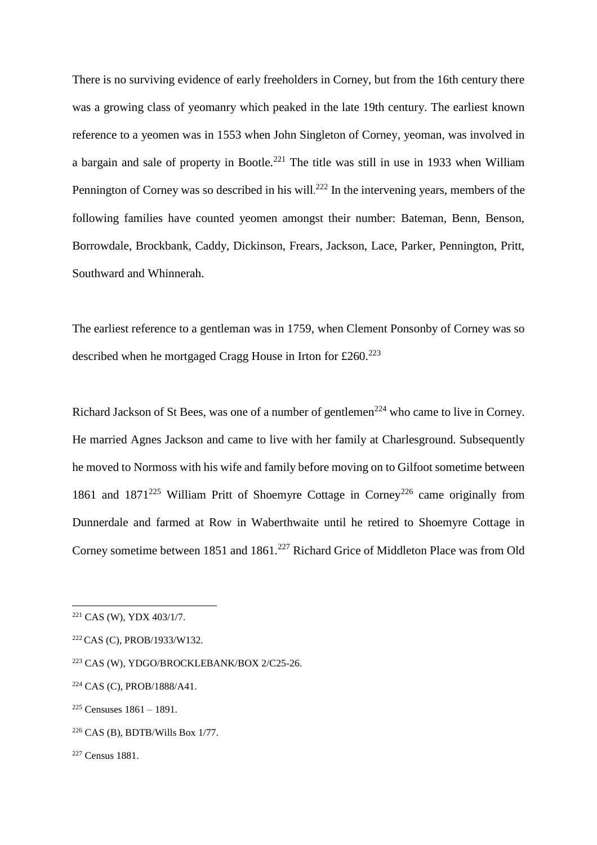There is no surviving evidence of early freeholders in Corney, but from the 16th century there was a growing class of yeomanry which peaked in the late 19th century. The earliest known reference to a yeomen was in 1553 when John Singleton of Corney, yeoman, was involved in a bargain and sale of property in Bootle.<sup>221</sup> The title was still in use in 1933 when William Pennington of Corney was so described in his will.<sup>222</sup> In the intervening years, members of the following families have counted yeomen amongst their number: Bateman, Benn, Benson, Borrowdale, Brockbank, Caddy, Dickinson, Frears, Jackson, Lace, Parker, Pennington, Pritt, Southward and Whinnerah.

The earliest reference to a gentleman was in 1759, when Clement Ponsonby of Corney was so described when he mortgaged Cragg House in Irton for  $£260.^{223}$ 

Richard Jackson of St Bees, was one of a number of gentlemen<sup>224</sup> who came to live in Corney. He married Agnes Jackson and came to live with her family at Charlesground. Subsequently he moved to Normoss with his wife and family before moving on to Gilfoot sometime between 1861 and  $1871^{225}$  William Pritt of Shoemyre Cottage in Corney<sup>226</sup> came originally from Dunnerdale and farmed at Row in Waberthwaite until he retired to Shoemyre Cottage in Corney sometime between 1851 and 1861.<sup>227</sup> Richard Grice of Middleton Place was from Old

<sup>221</sup> CAS (W), YDX 403/1/7.

<sup>222</sup> CAS (C), PROB/1933/W132.

<sup>223</sup> CAS (W), YDGO/BROCKLEBANK/BOX 2/C25-26.

<sup>224</sup> CAS (C), PROB/1888/A41.

<sup>225</sup> Censuses 1861 – 1891.

 $226$  CAS (B), BDTB/Wills Box 1/77.

<sup>227</sup> Census 1881.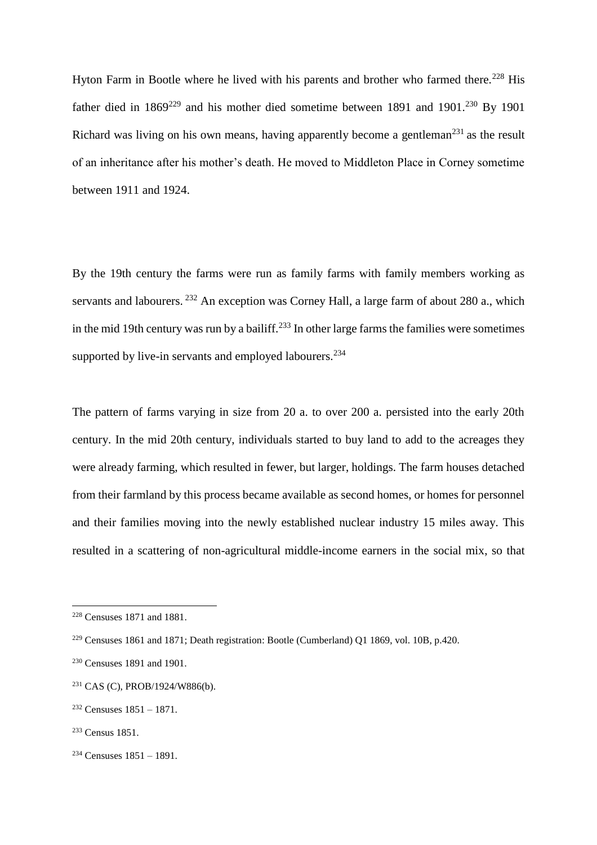Hyton Farm in Bootle where he lived with his parents and brother who farmed there.<sup>228</sup> His father died in  $1869^{229}$  and his mother died sometime between 1891 and 1901.<sup>230</sup> By 1901 Richard was living on his own means, having apparently become a gentleman<sup>231</sup> as the result of an inheritance after his mother's death. He moved to Middleton Place in Corney sometime between 1911 and 1924.

By the 19th century the farms were run as family farms with family members working as servants and labourers. <sup>232</sup> An exception was Corney Hall, a large farm of about 280 a., which in the mid 19th century was run by a bailiff.<sup>233</sup> In other large farms the families were sometimes supported by live-in servants and employed labourers.<sup>234</sup>

The pattern of farms varying in size from 20 a. to over 200 a. persisted into the early 20th century. In the mid 20th century, individuals started to buy land to add to the acreages they were already farming, which resulted in fewer, but larger, holdings. The farm houses detached from their farmland by this process became available as second homes, or homes for personnel and their families moving into the newly established nuclear industry 15 miles away. This resulted in a scattering of non-agricultural middle-income earners in the social mix, so that

<sup>228</sup> Censuses 1871 and 1881.

<sup>229</sup> Censuses 1861 and 1871; Death registration: Bootle (Cumberland) Q1 1869, vol. 10B, p.420.

<sup>230</sup> Censuses 1891 and 1901.

<sup>231</sup> CAS (C), PROB/1924/W886(b).

<sup>232</sup> Censuses 1851 – 1871.

<sup>233</sup> Census 1851.

 $234$  Censuses  $1851 - 1891$ .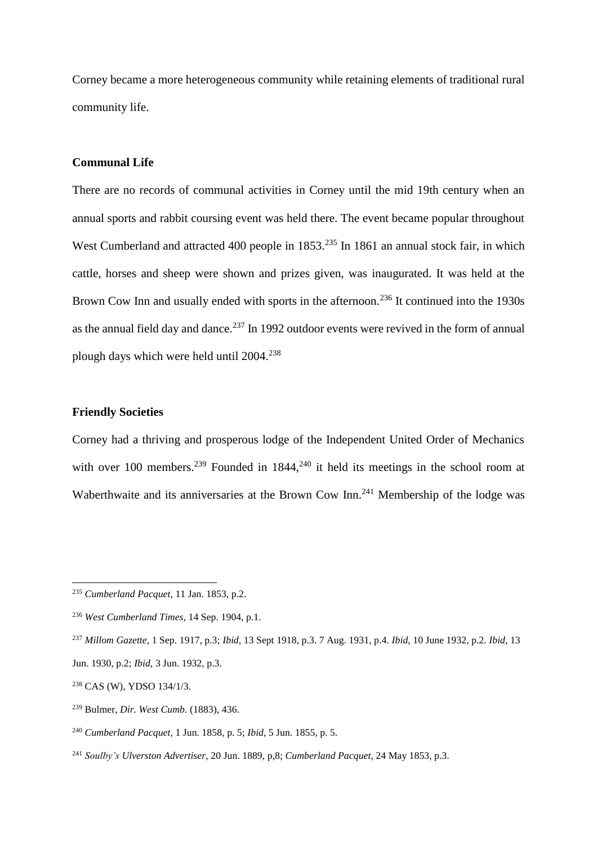Corney became a more heterogeneous community while retaining elements of traditional rural community life.

### **Communal Life**

There are no records of communal activities in Corney until the mid 19th century when an annual sports and rabbit coursing event was held there. The event became popular throughout West Cumberland and attracted 400 people in 1853.<sup>235</sup> In 1861 an annual stock fair, in which cattle, horses and sheep were shown and prizes given, was inaugurated. It was held at the Brown Cow Inn and usually ended with sports in the afternoon.<sup>236</sup> It continued into the 1930s as the annual field day and dance.<sup>237</sup> In 1992 outdoor events were revived in the form of annual plough days which were held until 2004.<sup>238</sup>

# **Friendly Societies**

 $\overline{a}$ 

Corney had a thriving and prosperous lodge of the Independent United Order of Mechanics with over 100 members.<sup>239</sup> Founded in  $1844$ ,<sup>240</sup> it held its meetings in the school room at Waberthwaite and its anniversaries at the Brown Cow Inn.<sup>241</sup> Membership of the lodge was

<sup>235</sup> *Cumberland Pacquet*, 11 Jan. 1853, p.2.

<sup>236</sup> *West Cumberland Times*, 14 Sep. 1904, p.1.

<sup>237</sup> *Millom Gazette,* 1 Sep. 1917, p.3; *Ibid,* 13 Sept 1918, p.3. 7 Aug. 1931, p.4. *Ibid*, 10 June 1932, p.2. *Ibid*, 13 Jun. 1930, p.2; *Ibid,* 3 Jun. 1932, p.3.

<sup>238</sup> CAS (W), YDSO 134/1/3.

<sup>239</sup> Bulmer, *Dir. West Cumb.* (1883), 436.

<sup>240</sup> *Cumberland Pacquet,* 1 Jun. 1858, p. 5; *Ibid*, 5 Jun. 1855, p. 5.

<sup>241</sup> *Soulby's Ulverston Advertiser,* 20 Jun. 1889, p,8; *Cumberland Pacquet*, 24 May 1853, p.3.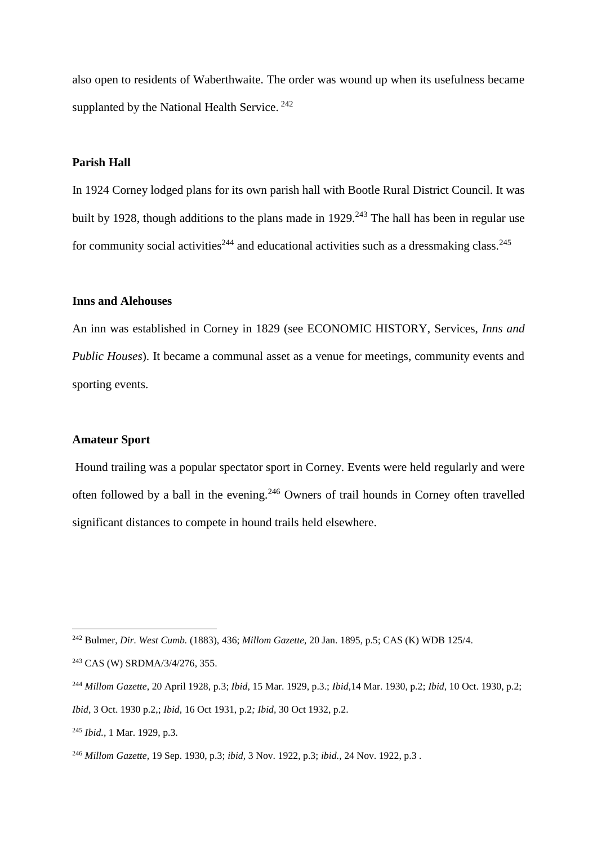also open to residents of Waberthwaite. The order was wound up when its usefulness became supplanted by the National Health Service.<sup>242</sup>

# **Parish Hall**

In 1924 Corney lodged plans for its own parish hall with Bootle Rural District Council. It was built by 1928, though additions to the plans made in 1929.<sup>243</sup> The hall has been in regular use for community social activities<sup>244</sup> and educational activities such as a dressmaking class.<sup>245</sup>

#### **Inns and Alehouses**

An inn was established in Corney in 1829 (see ECONOMIC HISTORY, Services, *Inns and Public Houses*). It became a communal asset as a venue for meetings, community events and sporting events.

#### **Amateur Sport**

Hound trailing was a popular spectator sport in Corney. Events were held regularly and were often followed by a ball in the evening.<sup>246</sup> Owners of trail hounds in Corney often travelled significant distances to compete in hound trails held elsewhere.

<sup>242</sup> Bulmer, *Dir. West Cumb.* (1883), 436; *Millom Gazette,* 20 Jan. 1895, p.5; CAS (K) WDB 125/4.

<sup>243</sup> CAS (W) SRDMA/3/4/276, 355.

<sup>244</sup> *Millom Gazette*, 20 April 1928, p.3; *Ibid,* 15 Mar. 1929, p.3.; *Ibid,*14 Mar. 1930, p.2; *Ibid,* 10 Oct. 1930, p.2; *Ibid,* 3 Oct. 1930 p.2,; *Ibid,* 16 Oct 1931, p.2*; Ibid,* 30 Oct 1932, p.2.

<sup>245</sup> *Ibid.,* 1 Mar. 1929, p.3.

<sup>246</sup> *Millom Gazette,* 19 Sep. 1930, p.3; *ibid,* 3 Nov. 1922, p.3; *ibid.,* 24 Nov. 1922, p.3 *.*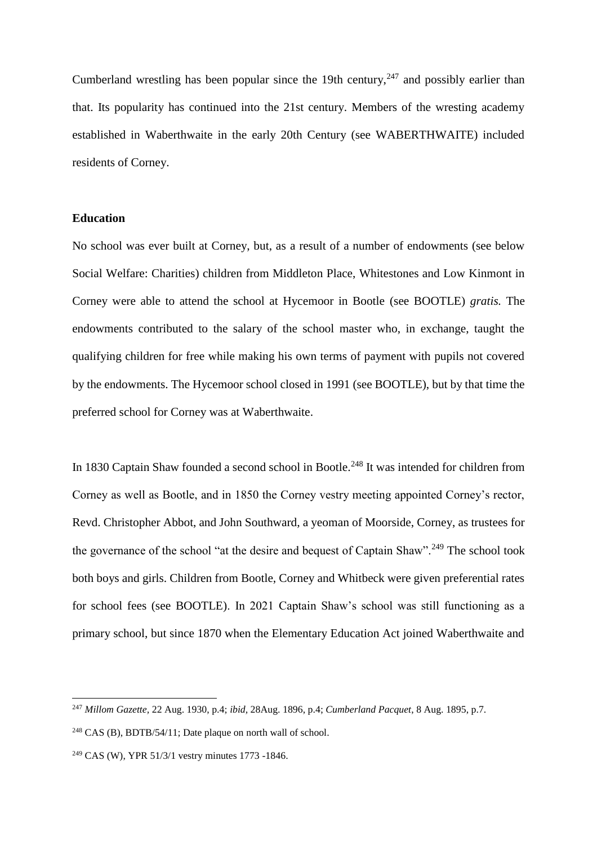Cumberland wrestling has been popular since the 19th century,  $247$  and possibly earlier than that. Its popularity has continued into the 21st century. Members of the wresting academy established in Waberthwaite in the early 20th Century (see WABERTHWAITE) included residents of Corney.

# **Education**

No school was ever built at Corney, but, as a result of a number of endowments (see below Social Welfare: Charities) children from Middleton Place, Whitestones and Low Kinmont in Corney were able to attend the school at Hycemoor in Bootle (see BOOTLE) *gratis.* The endowments contributed to the salary of the school master who, in exchange, taught the qualifying children for free while making his own terms of payment with pupils not covered by the endowments. The Hycemoor school closed in 1991 (see BOOTLE), but by that time the preferred school for Corney was at Waberthwaite.

In 1830 Captain Shaw founded a second school in Bootle.<sup>248</sup> It was intended for children from Corney as well as Bootle, and in 1850 the Corney vestry meeting appointed Corney's rector, Revd. Christopher Abbot, and John Southward, a yeoman of Moorside, Corney, as trustees for the governance of the school "at the desire and bequest of Captain Shaw".<sup>249</sup> The school took both boys and girls. Children from Bootle, Corney and Whitbeck were given preferential rates for school fees (see BOOTLE). In 2021 Captain Shaw's school was still functioning as a primary school, but since 1870 when the Elementary Education Act joined Waberthwaite and

<sup>247</sup> *Millom Gazette,* 22 Aug. 1930, p.4; *ibid,* 28Aug. 1896, p.4; *Cumberland Pacquet*, 8 Aug. 1895, p.7.

<sup>248</sup> CAS (B), BDTB/54/11; Date plaque on north wall of school.

<sup>249</sup> CAS (W), YPR 51/3/1 vestry minutes 1773 -1846.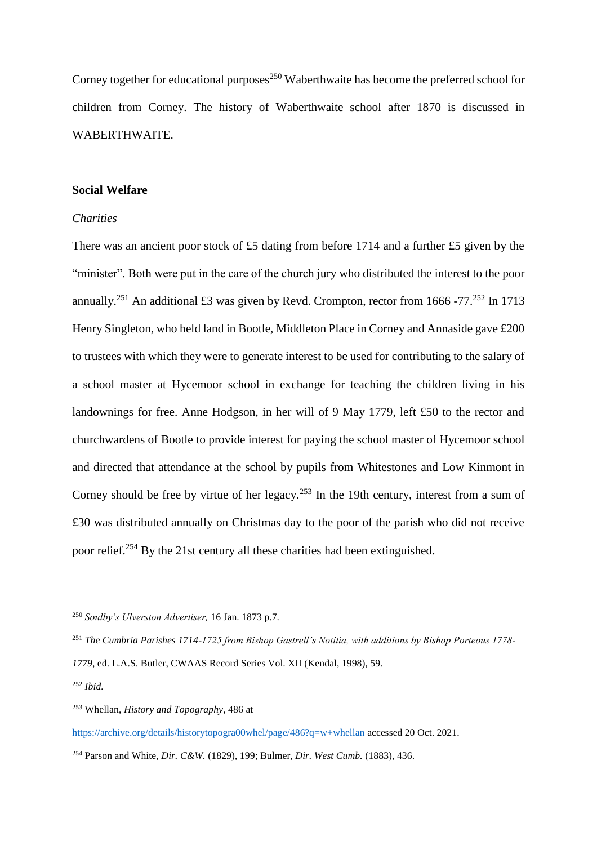Corney together for educational purposes<sup>250</sup> Waberthwaite has become the preferred school for children from Corney. The history of Waberthwaite school after 1870 is discussed in WABERTHWAITE.

#### **Social Welfare**

# *Charities*

There was an ancient poor stock of £5 dating from before 1714 and a further £5 given by the "minister". Both were put in the care of the church jury who distributed the interest to the poor annually.<sup>251</sup> An additional £3 was given by Revd. Crompton, rector from 1666 -77.<sup>252</sup> In 1713 Henry Singleton, who held land in Bootle, Middleton Place in Corney and Annaside gave £200 to trustees with which they were to generate interest to be used for contributing to the salary of a school master at Hycemoor school in exchange for teaching the children living in his landownings for free. Anne Hodgson, in her will of 9 May 1779, left £50 to the rector and churchwardens of Bootle to provide interest for paying the school master of Hycemoor school and directed that attendance at the school by pupils from Whitestones and Low Kinmont in Corney should be free by virtue of her legacy.<sup>253</sup> In the 19th century, interest from a sum of £30 was distributed annually on Christmas day to the poor of the parish who did not receive poor relief.<sup>254</sup> By the 21st century all these charities had been extinguished.

<sup>250</sup> *Soulby's Ulverston Advertiser,* 16 Jan. 1873 p.7.

<sup>251</sup> *The Cumbria Parishes 1714-1725 from Bishop Gastrell's Notitia, with additions by Bishop Porteous 1778- 1779*, ed. L.A.S. Butler, CWAAS Record Series Vol. XII (Kendal, 1998), 59.

<sup>252</sup> *Ibid.*

<sup>253</sup> Whellan, *History and Topography,* 486 at

<https://archive.org/details/historytopogra00whel/page/486?q=w+whellan> accessed 20 Oct. 2021.

<sup>254</sup> Parson and White, *Dir. C&W.* (1829), 199; Bulmer, *Dir. West Cumb.* (1883), 436.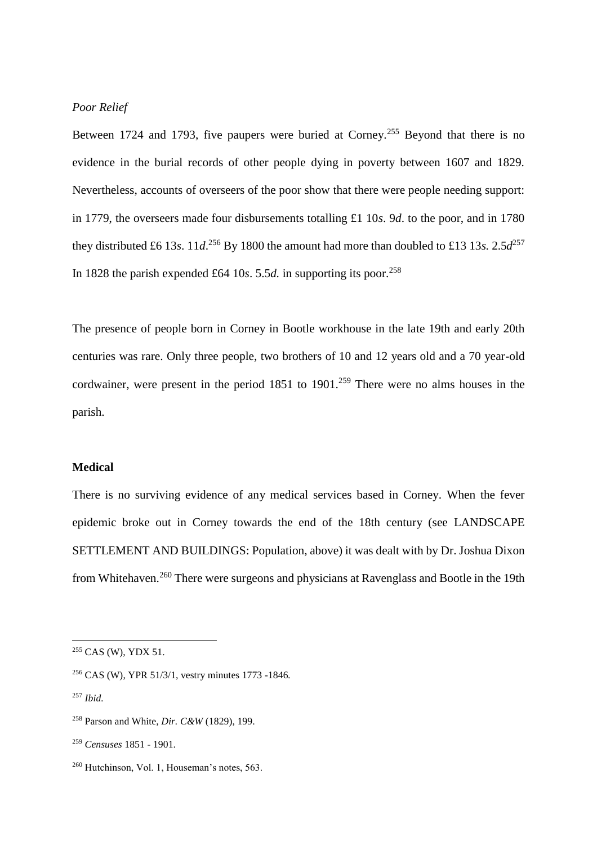# *Poor Relief*

Between 1724 and 1793, five paupers were buried at Corney.<sup>255</sup> Beyond that there is no evidence in the burial records of other people dying in poverty between 1607 and 1829. Nevertheless, accounts of overseers of the poor show that there were people needing support: in 1779, the overseers made four disbursements totalling £1 10*s*. 9*d*. to the poor, and in 1780 they distributed £6 13*s*. 11*d*.<sup>256</sup> By 1800 the amount had more than doubled to £13 13*s*. 2.5*d*<sup>257</sup> In 1828 the parish expended £64 10*s*. 5.5*d*. in supporting its poor.<sup>258</sup>

The presence of people born in Corney in Bootle workhouse in the late 19th and early 20th centuries was rare. Only three people, two brothers of 10 and 12 years old and a 70 year-old cordwainer, were present in the period  $1851$  to  $1901$ .<sup>259</sup> There were no alms houses in the parish.

### **Medical**

There is no surviving evidence of any medical services based in Corney. When the fever epidemic broke out in Corney towards the end of the 18th century (see LANDSCAPE SETTLEMENT AND BUILDINGS: Population, above) it was dealt with by Dr. Joshua Dixon from Whitehaven.<sup>260</sup> There were surgeons and physicians at Ravenglass and Bootle in the 19th

<sup>255</sup> CAS (W), YDX 51.

<sup>256</sup> CAS (W), YPR 51/3/1, vestry minutes 1773 -1846*.*

<sup>257</sup> *Ibid.*

<sup>258</sup> Parson and White, *Dir. C&W* (1829), 199.

<sup>259</sup> *Censuses* 1851 - 1901.

<sup>260</sup> Hutchinson, Vol. 1, Houseman's notes, 563.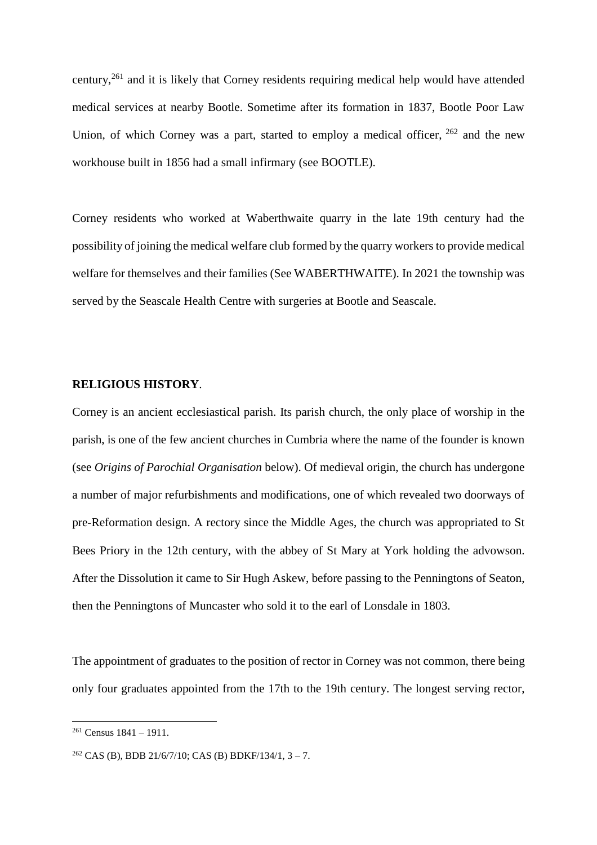century,<sup>261</sup> and it is likely that Corney residents requiring medical help would have attended medical services at nearby Bootle. Sometime after its formation in 1837, Bootle Poor Law Union, of which Corney was a part, started to employ a medical officer, <sup>262</sup> and the new workhouse built in 1856 had a small infirmary (see BOOTLE).

Corney residents who worked at Waberthwaite quarry in the late 19th century had the possibility of joining the medical welfare club formed by the quarry workers to provide medical welfare for themselves and their families (See WABERTHWAITE). In 2021 the township was served by the Seascale Health Centre with surgeries at Bootle and Seascale.

# **RELIGIOUS HISTORY**.

Corney is an ancient ecclesiastical parish. Its parish church, the only place of worship in the parish, is one of the few ancient churches in Cumbria where the name of the founder is known (see *Origins of Parochial Organisation* below). Of medieval origin, the church has undergone a number of major refurbishments and modifications, one of which revealed two doorways of pre-Reformation design. A rectory since the Middle Ages, the church was appropriated to St Bees Priory in the 12th century, with the abbey of St Mary at York holding the advowson. After the Dissolution it came to Sir Hugh Askew, before passing to the Penningtons of Seaton, then the Penningtons of Muncaster who sold it to the earl of Lonsdale in 1803.

The appointment of graduates to the position of rector in Corney was not common, there being only four graduates appointed from the 17th to the 19th century. The longest serving rector,

 $261$  Census  $1841 - 1911$ .

<sup>&</sup>lt;sup>262</sup> CAS (B), BDB 21/6/7/10; CAS (B) BDKF/134/1,  $3 - 7$ .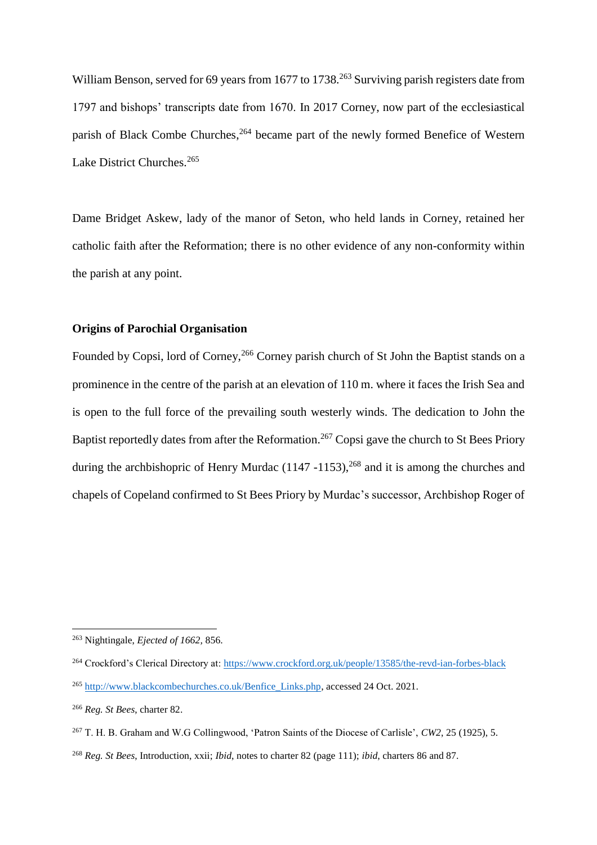William Benson, served for 69 years from 1677 to 1738.<sup>263</sup> Surviving parish registers date from 1797 and bishops' transcripts date from 1670. In 2017 Corney, now part of the ecclesiastical parish of Black Combe Churches,<sup>264</sup> became part of the newly formed Benefice of Western Lake District Churches.<sup>265</sup>

Dame Bridget Askew, lady of the manor of Seton, who held lands in Corney, retained her catholic faith after the Reformation; there is no other evidence of any non-conformity within the parish at any point.

# **Origins of Parochial Organisation**

Founded by Copsi, lord of Corney,<sup>266</sup> Corney parish church of St John the Baptist stands on a prominence in the centre of the parish at an elevation of 110 m. where it faces the Irish Sea and is open to the full force of the prevailing south westerly winds. The dedication to John the Baptist reportedly dates from after the Reformation.<sup>267</sup> Copsi gave the church to St Bees Priory during the archbishopric of Henry Murdac (1147 -1153),<sup>268</sup> and it is among the churches and chapels of Copeland confirmed to St Bees Priory by Murdac's successor, Archbishop Roger of

<sup>263</sup> Nightingale, *Ejected of 1662,* 856.

<sup>264</sup> Crockford's Clerical Directory at[: https://www.crockford.org.uk/people/13585/the-revd-ian-forbes-black](https://www.crockford.org.uk/people/13585/the-revd-ian-forbes-black)

<sup>265</sup> [http://www.blackcombechurches.co.uk/Benfice\\_Links.php,](http://www.blackcombechurches.co.uk/Benfice_Links.php) accessed 24 Oct. 2021.

<sup>266</sup> *Reg. St Bees*, charter 82.

<sup>267</sup> T. H. B. Graham and W.G Collingwood, 'Patron Saints of the Diocese of Carlisle', *CW2*, 25 (1925), 5.

<sup>268</sup> *Reg. St Bees*, Introduction, xxii; *Ibid*, notes to charter 82 (page 111); *ibid*, charters 86 and 87.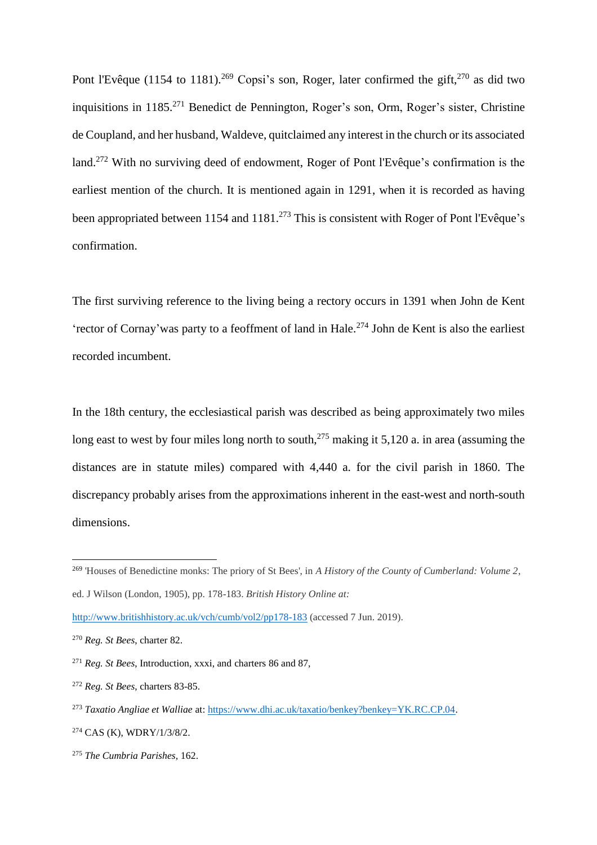Pont l'Evêque (1154 to 1181).<sup>269</sup> Copsi's son, Roger, later confirmed the gift,<sup>270</sup> as did two inquisitions in 1185.<sup>271</sup> Benedict de Pennington, Roger's son, Orm, Roger's sister, Christine de Coupland, and her husband, Waldeve, quitclaimed any interest in the church or its associated land.<sup>272</sup> With no surviving deed of endowment, Roger of Pont l'Evêque's confirmation is the earliest mention of the church. It is mentioned again in 1291, when it is recorded as having been appropriated between 1154 and 1181.<sup>273</sup> This is consistent with Roger of Pont l'Evêque's confirmation.

The first surviving reference to the living being a rectory occurs in 1391 when John de Kent 'rector of Cornay'was party to a feoffment of land in Hale.<sup>274</sup> John de Kent is also the earliest recorded incumbent.

In the 18th century, the ecclesiastical parish was described as being approximately two miles long east to west by four miles long north to south,<sup>275</sup> making it 5,120 a. in area (assuming the distances are in statute miles) compared with 4,440 a. for the civil parish in 1860. The discrepancy probably arises from the approximations inherent in the east-west and north-south dimensions.

<sup>269</sup> 'Houses of Benedictine monks: The priory of St Bees', in *A History of the County of Cumberland: Volume 2*,

ed. J Wilson (London, 1905), pp. 178-183. *British History Online at:* 

<http://www.britishhistory.ac.uk/vch/cumb/vol2/pp178-183> (accessed 7 Jun. 2019).

<sup>270</sup> *Reg. St Bees*, charter 82.

<sup>271</sup> *Reg. St Bees*, Introduction, xxxi, and charters 86 and 87,

<sup>272</sup> *Reg. St Bees*, charters 83-85.

<sup>273</sup> *Taxatio Angliae et Walliae* at[: https://www.dhi.ac.uk/taxatio/benkey?benkey=YK.RC.CP.04.](https://www.dhi.ac.uk/taxatio/benkey?benkey=YK.RC.CP.04)

<sup>274</sup> CAS (K), WDRY/1/3/8/2.

<sup>275</sup> *The Cumbria Parishes,* 162.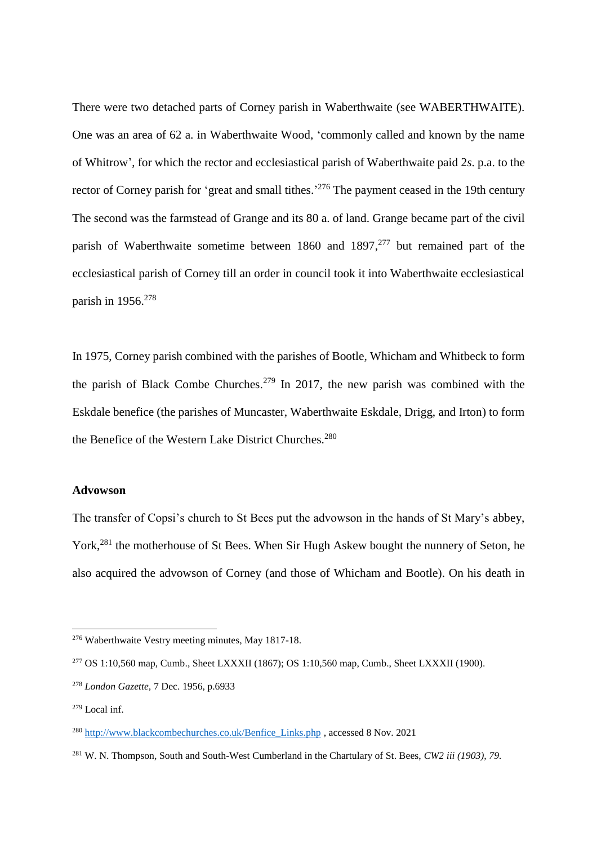There were two detached parts of Corney parish in Waberthwaite (see WABERTHWAITE). One was an area of 62 a. in Waberthwaite Wood, 'commonly called and known by the name of Whitrow', for which the rector and ecclesiastical parish of Waberthwaite paid 2*s*. p.a. to the rector of Corney parish for 'great and small tithes.<sup>276</sup> The payment ceased in the 19th century The second was the farmstead of Grange and its 80 a. of land. Grange became part of the civil parish of Waberthwaite sometime between 1860 and 1897,<sup>277</sup> but remained part of the ecclesiastical parish of Corney till an order in council took it into Waberthwaite ecclesiastical parish in 1956.<sup>278</sup>

In 1975, Corney parish combined with the parishes of Bootle, Whicham and Whitbeck to form the parish of Black Combe Churches.<sup>279</sup> In 2017, the new parish was combined with the Eskdale benefice (the parishes of Muncaster, Waberthwaite Eskdale, Drigg, and Irton) to form the Benefice of the Western Lake District Churches.<sup>280</sup>

#### **Advowson**

The transfer of Copsi's church to St Bees put the advowson in the hands of St Mary's abbey, York, <sup>281</sup> the motherhouse of St Bees. When Sir Hugh Askew bought the nunnery of Seton, he also acquired the advowson of Corney (and those of Whicham and Bootle). On his death in

<sup>276</sup> Waberthwaite Vestry meeting minutes, May 1817-18.

<sup>277</sup> OS 1:10,560 map, Cumb., Sheet LXXXII (1867); OS 1:10,560 map, Cumb., Sheet LXXXII (1900).

<sup>278</sup> *London Gazette,* 7 Dec. 1956, p.6933

<sup>279</sup> Local inf.

<sup>280</sup> [http://www.blackcombechurches.co.uk/Benfice\\_Links.php](http://www.blackcombechurches.co.uk/Benfice_Links.php) , accessed 8 Nov. 2021

<sup>281</sup> W. N. Thompson, South and South-West Cumberland in the Chartulary of St. Bees, *CW2 iii (1903), 79.*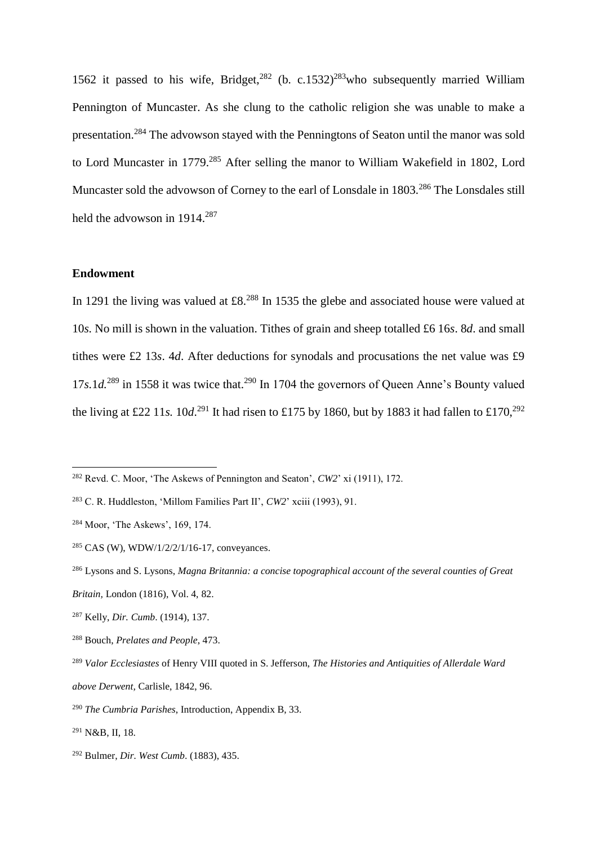1562 it passed to his wife, Bridget,<sup>282</sup> (b. c.1532)<sup>283</sup>who subsequently married William Pennington of Muncaster. As she clung to the catholic religion she was unable to make a presentation.<sup>284</sup> The advowson stayed with the Penningtons of Seaton until the manor was sold to Lord Muncaster in 1779.<sup>285</sup> After selling the manor to William Wakefield in 1802, Lord Muncaster sold the advowson of Corney to the earl of Lonsdale in 1803.<sup>286</sup> The Lonsdales still held the advowson in 1914.<sup>287</sup>

### **Endowment**

 $\overline{a}$ 

In 1291 the living was valued at £8.<sup>288</sup> In 1535 the glebe and associated house were valued at 10*s.* No mill is shown in the valuation. Tithes of grain and sheep totalled £6 16*s*. 8*d*. and small tithes were £2 13*s*. 4*d*. After deductions for synodals and procusations the net value was £9 17*s*.1*d*.<sup>289</sup> in 1558 it was twice that.<sup>290</sup> In 1704 the governors of Queen Anne's Bounty valued the living at £22 11*s*. 10*d*.<sup>291</sup> It had risen to £175 by 1860, but by 1883 it had fallen to £170,<sup>292</sup>

<sup>282</sup> Revd. C. Moor, 'The Askews of Pennington and Seaton', *CW2*' xi (1911), 172.

<sup>283</sup> C. R. Huddleston, 'Millom Families Part II', *CW2*' xciii (1993), 91.

<sup>284</sup> Moor, 'The Askews', 169, 174.

 $285$  CAS (W), WDW/1/2/2/1/16-17, conveyances.

<sup>286</sup> Lysons and S. Lysons, *Magna Britannia: a concise topographical account of the several counties of Great Britain,* London (1816), Vol. 4, 82.

<sup>287</sup> Kelly, *Dir. Cumb*. (1914), 137.

<sup>288</sup> Bouch, *Prelates and People*, 473.

<sup>289</sup> *Valor Ecclesiastes* of Henry VIII quoted in S. Jefferson, *The Histories and Antiquities of Allerdale Ward above Derwent,* Carlisle, 1842, 96.

<sup>290</sup> *The Cumbria Parishes*, Introduction, Appendix B, 33.

<sup>291</sup> N&B, II, 18.

<sup>292</sup> Bulmer, *Dir. West Cumb*. (1883), 435.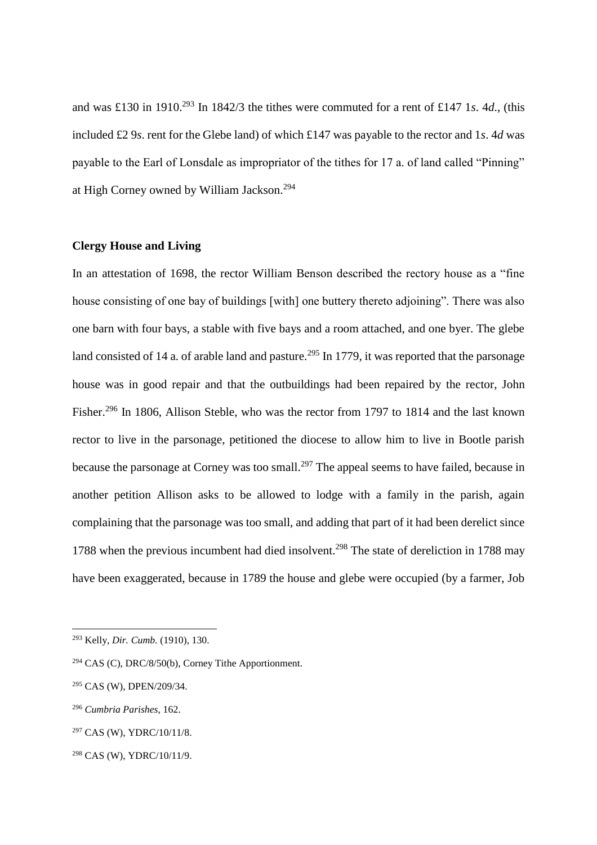and was £130 in 1910.<sup>293</sup> In 1842/3 the tithes were commuted for a rent of £147 1*s*. 4*d*., (this included £2 9*s*. rent for the Glebe land) of which £147 was payable to the rector and 1*s*. 4*d* was payable to the Earl of Lonsdale as impropriator of the tithes for 17 a. of land called "Pinning" at High Corney owned by William Jackson.<sup>294</sup>

### **Clergy House and Living**

In an attestation of 1698, the rector William Benson described the rectory house as a "fine house consisting of one bay of buildings [with] one buttery thereto adjoining". There was also one barn with four bays, a stable with five bays and a room attached, and one byer. The glebe land consisted of 14 a. of arable land and pasture.<sup>295</sup> In 1779, it was reported that the parsonage house was in good repair and that the outbuildings had been repaired by the rector, John Fisher.<sup>296</sup> In 1806, Allison Steble, who was the rector from 1797 to 1814 and the last known rector to live in the parsonage, petitioned the diocese to allow him to live in Bootle parish because the parsonage at Corney was too small.<sup>297</sup> The appeal seems to have failed, because in another petition Allison asks to be allowed to lodge with a family in the parish, again complaining that the parsonage was too small, and adding that part of it had been derelict since 1788 when the previous incumbent had died insolvent.<sup>298</sup> The state of dereliction in 1788 may have been exaggerated, because in 1789 the house and glebe were occupied (by a farmer, Job

<sup>293</sup> Kelly, *Dir. Cumb.* (1910), 130.

<sup>294</sup> CAS (C), DRC/8/50(b), Corney Tithe Apportionment.

<sup>295</sup> CAS (W), DPEN/209/34.

<sup>296</sup> *Cumbria Parishes*, 162.

<sup>297</sup> CAS (W), YDRC/10/11/8.

<sup>298</sup> CAS (W), YDRC/10/11/9.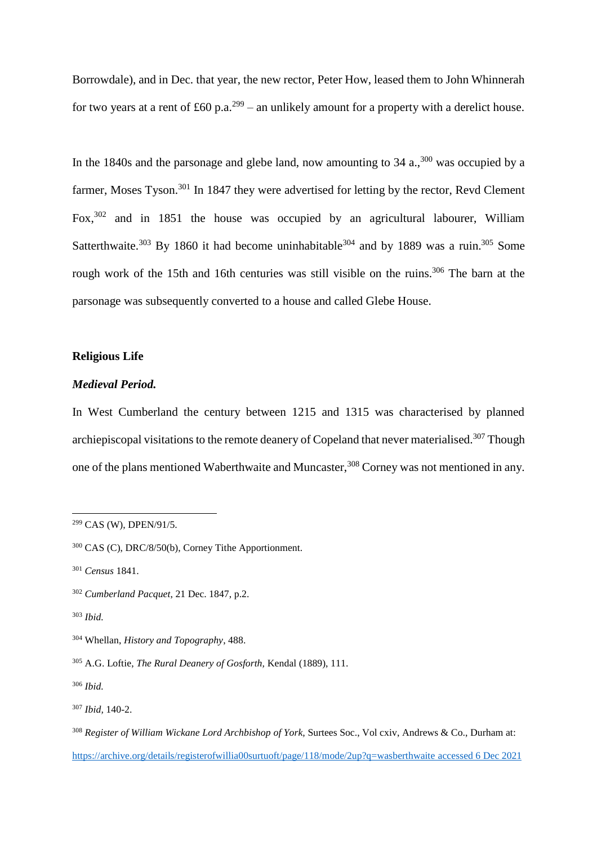Borrowdale), and in Dec. that year, the new rector, Peter How, leased them to John Whinnerah for two years at a rent of £60 p.a.<sup>299</sup> – an unlikely amount for a property with a derelict house.

In the 1840s and the parsonage and glebe land, now amounting to  $34$  a.,  $300$  was occupied by a farmer, Moses Tyson.<sup>301</sup> In 1847 they were advertised for letting by the rector, Revd Clement Fox,<sup>302</sup> and in 1851 the house was occupied by an agricultural labourer, William Satterthwaite.<sup>303</sup> By 1860 it had become uninhabitable<sup>304</sup> and by 1889 was a ruin.<sup>305</sup> Some rough work of the 15th and 16th centuries was still visible on the ruins.<sup>306</sup> The barn at the parsonage was subsequently converted to a house and called Glebe House.

## **Religious Life**

### *Medieval Period.*

In West Cumberland the century between 1215 and 1315 was characterised by planned archiepiscopal visitations to the remote deanery of Copeland that never materialised.<sup>307</sup> Though one of the plans mentioned Waberthwaite and Muncaster,<sup>308</sup> Corney was not mentioned in any.

<sup>299</sup> CAS (W), DPEN/91/5.

<sup>300</sup> CAS (C), DRC/8/50(b), Corney Tithe Apportionment.

<sup>301</sup> *Census* 1841.

<sup>302</sup> *Cumberland Pacquet*, 21 Dec. 1847, p.2.

<sup>303</sup> *Ibid.*

<sup>304</sup> Whellan, *History and Topography*, 488.

<sup>305</sup> A.G. Loftie, *The Rural Deanery of Gosforth,* Kendal (1889), 111.

<sup>306</sup> *Ibid.*

<sup>307</sup> *Ibid,* 140-2.

<sup>308</sup> *Register of William Wickane Lord Archbishop of York,* Surtees Soc., Vol cxiv, Andrews & Co., Durham at: <https://archive.org/details/registerofwillia00surtuoft/page/118/mode/2up?q=wasberthwaite> accessed 6 Dec 2021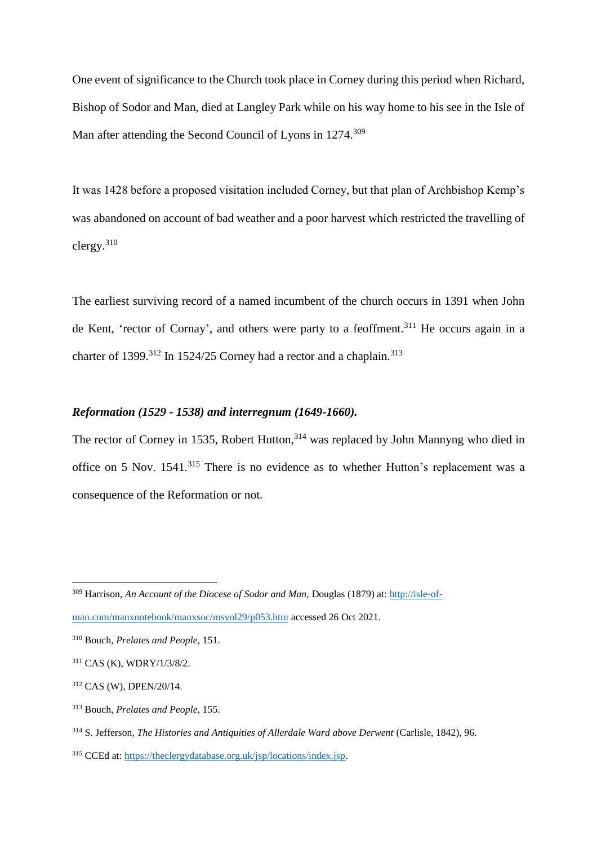One event of significance to the Church took place in Corney during this period when Richard, Bishop of Sodor and Man, died at Langley Park while on his way home to his see in the Isle of Man after attending the Second Council of Lyons in 1274.<sup>309</sup>

It was 1428 before a proposed visitation included Corney, but that plan of Archbishop Kemp's was abandoned on account of bad weather and a poor harvest which restricted the travelling of clergy.<sup>310</sup>

The earliest surviving record of a named incumbent of the church occurs in 1391 when John de Kent, 'rector of Cornay', and others were party to a feoffment.<sup>311</sup> He occurs again in a charter of 1399.<sup>312</sup> In 1524/25 Corney had a rector and a chaplain.<sup>313</sup>

# *Reformation (1529 - 1538) and interregnum (1649-1660).*

The rector of Corney in 1535, Robert Hutton,<sup>314</sup> was replaced by John Mannyng who died in office on 5 Nov. 1541.<sup>315</sup> There is no evidence as to whether Hutton's replacement was a consequence of the Reformation or not.

<sup>309</sup> Harrison, *An Account of the Diocese of Sodor and Man,* Douglas (1879) at: [http://isle-of-](http://isle-of-man.com/manxnotebook/manxsoc/msvol29/p053.htm)

[man.com/manxnotebook/manxsoc/msvol29/p053.htm](http://isle-of-man.com/manxnotebook/manxsoc/msvol29/p053.htm) accessed 26 Oct 2021.

<sup>310</sup> Bouch, *Prelates and People*, 151.

<sup>311</sup> CAS (K), WDRY/1/3/8/2.

<sup>312</sup> CAS (W), DPEN/20/14.

<sup>313</sup> Bouch, *Prelates and People*, 155.

<sup>314</sup> S. Jefferson, *The Histories and Antiquities of Allerdale Ward above Derwent* (Carlisle, 1842), 96.

<sup>315</sup> CCEd at[: https://theclergydatabase.org.uk/jsp/locations/index.jsp.](https://theclergydatabase.org.uk/jsp/locations/index.jsp)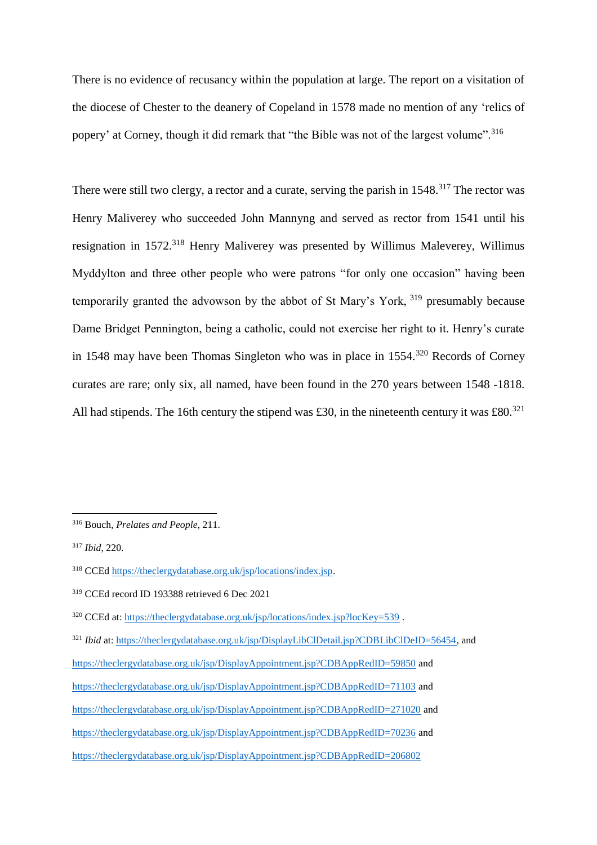There is no evidence of recusancy within the population at large. The report on a visitation of the diocese of Chester to the deanery of Copeland in 1578 made no mention of any 'relics of popery' at Corney, though it did remark that "the Bible was not of the largest volume".<sup>316</sup>

There were still two clergy, a rector and a curate, serving the parish in 1548.<sup>317</sup> The rector was Henry Maliverey who succeeded John Mannyng and served as rector from 1541 until his resignation in 1572.<sup>318</sup> Henry Maliverey was presented by Willimus Maleverey, Willimus Myddylton and three other people who were patrons "for only one occasion" having been temporarily granted the advowson by the abbot of St Mary's York, <sup>319</sup> presumably because Dame Bridget Pennington, being a catholic, could not exercise her right to it. Henry's curate in 1548 may have been Thomas Singleton who was in place in 1554.<sup>320</sup> Records of Corney curates are rare; only six, all named, have been found in the 270 years between 1548 -1818. All had stipends. The 16th century the stipend was £30, in the nineteenth century it was £80.<sup>321</sup>

<sup>316</sup> Bouch, *Prelates and People*, 211.

<sup>317</sup> *Ibid*, 220.

<sup>318</sup> CCE[d https://theclergydatabase.org.uk/jsp/locations/index.jsp.](https://theclergydatabase.org.uk/jsp/locations/index.jsp)

<sup>319</sup> CCEd record ID 193388 retrieved 6 Dec 2021

<sup>&</sup>lt;sup>320</sup> CCEd at[: https://theclergydatabase.org.uk/jsp/locations/index.jsp?locKey=539](https://theclergydatabase.org.uk/jsp/locations/index.jsp?locKey=539).

<sup>&</sup>lt;sup>321</sup> *Ibid at[: https://theclergydatabase.org.uk/jsp/DisplayLibClDetail.jsp?CDBLibClDeID=56454,](https://theclergydatabase.org.uk/jsp/DisplayLibClDetail.jsp?CDBLibClDeID=56454) and* <https://theclergydatabase.org.uk/jsp/DisplayAppointment.jsp?CDBAppRedID=59850> and <https://theclergydatabase.org.uk/jsp/DisplayAppointment.jsp?CDBAppRedID=71103> and <https://theclergydatabase.org.uk/jsp/DisplayAppointment.jsp?CDBAppRedID=271020> and <https://theclergydatabase.org.uk/jsp/DisplayAppointment.jsp?CDBAppRedID=70236> and <https://theclergydatabase.org.uk/jsp/DisplayAppointment.jsp?CDBAppRedID=206802>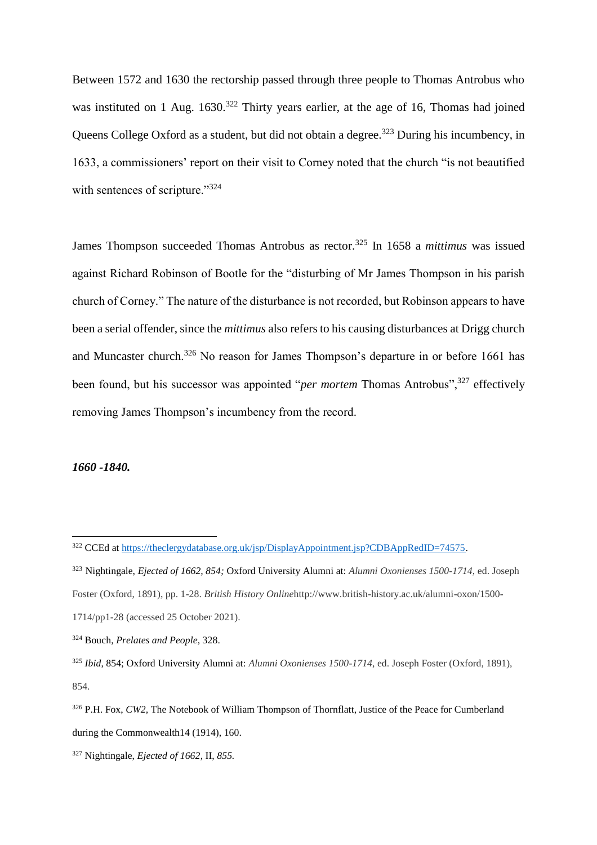Between 1572 and 1630 the rectorship passed through three people to Thomas Antrobus who was instituted on 1 Aug. 1630.<sup>322</sup> Thirty years earlier, at the age of 16, Thomas had joined Queens College Oxford as a student, but did not obtain a degree.<sup>323</sup> During his incumbency, in 1633, a commissioners' report on their visit to Corney noted that the church "is not beautified with sentences of scripture."<sup>324</sup>

James Thompson succeeded Thomas Antrobus as rector.<sup>325</sup> In 1658 a *mittimus* was issued against Richard Robinson of Bootle for the "disturbing of Mr James Thompson in his parish church of Corney." The nature of the disturbance is not recorded, but Robinson appears to have been a serial offender, since the *mittimus* also refers to his causing disturbances at Drigg church and Muncaster church.<sup>326</sup> No reason for James Thompson's departure in or before 1661 has been found, but his successor was appointed "*per mortem* Thomas Antrobus",<sup>327</sup> effectively removing James Thompson's incumbency from the record.

#### *1660 -1840.*

<sup>&</sup>lt;sup>322</sup> CCEd at [https://theclergydatabase.org.uk/jsp/DisplayAppointment.jsp?CDBAppRedID=74575.](https://theclergydatabase.org.uk/jsp/DisplayAppointment.jsp?CDBAppRedID=74575)

<sup>323</sup> Nightingale, *Ejected of 1662, 854;* Oxford University Alumni at: *Alumni Oxonienses 1500-1714*, ed. Joseph Foster (Oxford, 1891), pp. 1-28. *British History Online*http://www.british-history.ac.uk/alumni-oxon/1500- 1714/pp1-28 (accessed 25 October 2021).

<sup>324</sup> Bouch, *Prelates and People*, 328.

<sup>325</sup> *Ibid*, 854; Oxford University Alumni at: *Alumni Oxonienses 1500-1714*, ed. Joseph Foster (Oxford, 1891), 854.

<sup>326</sup> P.H. Fox, *CW2,* The Notebook of William Thompson of Thornflatt, Justice of the Peace for Cumberland during the Commonwealth14 (1914), 160.

<sup>327</sup> Nightingale, *Ejected of 1662*, II, *855.*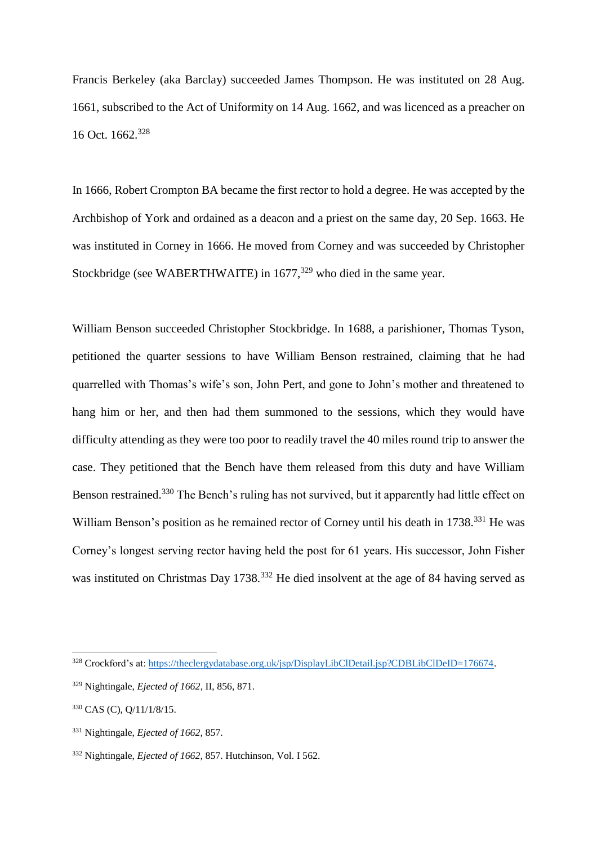Francis Berkeley (aka Barclay) succeeded James Thompson. He was instituted on 28 Aug. 1661, subscribed to the Act of Uniformity on 14 Aug. 1662, and was licenced as a preacher on 16 Oct. 1662.<sup>328</sup>

In 1666, Robert Crompton BA became the first rector to hold a degree. He was accepted by the Archbishop of York and ordained as a deacon and a priest on the same day, 20 Sep. 1663. He was instituted in Corney in 1666. He moved from Corney and was succeeded by Christopher Stockbridge (see WABERTHWAITE) in  $1677,^{329}$  who died in the same year.

William Benson succeeded Christopher Stockbridge. In 1688, a parishioner, Thomas Tyson, petitioned the quarter sessions to have William Benson restrained, claiming that he had quarrelled with Thomas's wife's son, John Pert, and gone to John's mother and threatened to hang him or her, and then had them summoned to the sessions, which they would have difficulty attending as they were too poor to readily travel the 40 miles round trip to answer the case. They petitioned that the Bench have them released from this duty and have William Benson restrained.<sup>330</sup> The Bench's ruling has not survived, but it apparently had little effect on William Benson's position as he remained rector of Corney until his death in 1738.<sup>331</sup> He was Corney's longest serving rector having held the post for 61 years. His successor, John Fisher was instituted on Christmas Day 1738.<sup>332</sup> He died insolvent at the age of 84 having served as

<sup>328</sup> Crockford's at: https://theclergydatabase.org.uk/jsp/DisplayLibClDetail.jsp?CDBLibClDeID=176674.

<sup>329</sup> Nightingale, *Ejected of 1662*, II, 856, 871.

<sup>330</sup> CAS (C), Q/11/1/8/15.

<sup>331</sup> Nightingale, *Ejected of 1662,* 857.

<sup>332</sup> Nightingale, *Ejected of 1662,* 857. Hutchinson, Vol. I 562.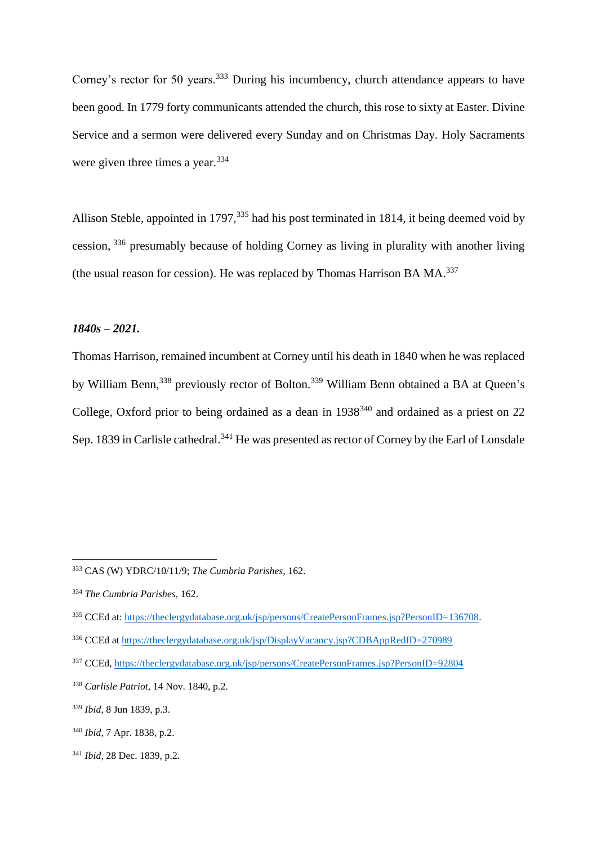Corney's rector for 50 years.<sup>333</sup> During his incumbency, church attendance appears to have been good. In 1779 forty communicants attended the church, this rose to sixty at Easter. Divine Service and a sermon were delivered every Sunday and on Christmas Day. Holy Sacraments were given three times a year.<sup>334</sup>

Allison Steble, appointed in 1797,<sup>335</sup> had his post terminated in 1814, it being deemed void by cession, <sup>336</sup> presumably because of holding Corney as living in plurality with another living (the usual reason for cession). He was replaced by Thomas Harrison BA MA.<sup>337</sup>

## *1840s – 2021.*

Thomas Harrison, remained incumbent at Corney until his death in 1840 when he was replaced by William Benn,<sup>338</sup> previously rector of Bolton.<sup>339</sup> William Benn obtained a BA at Queen's College, Oxford prior to being ordained as a dean in 1938<sup>340</sup> and ordained as a priest on 22 Sep. 1839 in Carlisle cathedral.<sup>341</sup> He was presented as rector of Corney by the Earl of Lonsdale

 $\overline{a}$ 

<sup>341</sup> *Ibid*, 28 Dec. 1839, p.2.

<sup>333</sup> CAS (W) YDRC/10/11/9; *The Cumbria Parishes*, 162.

<sup>334</sup> *The Cumbria Parishes*, 162.

<sup>335</sup> CCEd at[: https://theclergydatabase.org.uk/jsp/persons/CreatePersonFrames.jsp?PersonID=136708.](https://theclergydatabase.org.uk/jsp/persons/CreatePersonFrames.jsp?PersonID=136708)

<sup>336</sup> CCEd at<https://theclergydatabase.org.uk/jsp/DisplayVacancy.jsp?CDBAppRedID=270989>

<sup>337</sup> CCEd, <https://theclergydatabase.org.uk/jsp/persons/CreatePersonFrames.jsp?PersonID=92804>

<sup>338</sup> *Carlisle Patriot*, 14 Nov. 1840, p.2.

<sup>339</sup> *Ibid*, 8 Jun 1839, p.3.

<sup>340</sup> *Ibid*, 7 Apr. 1838, p.2.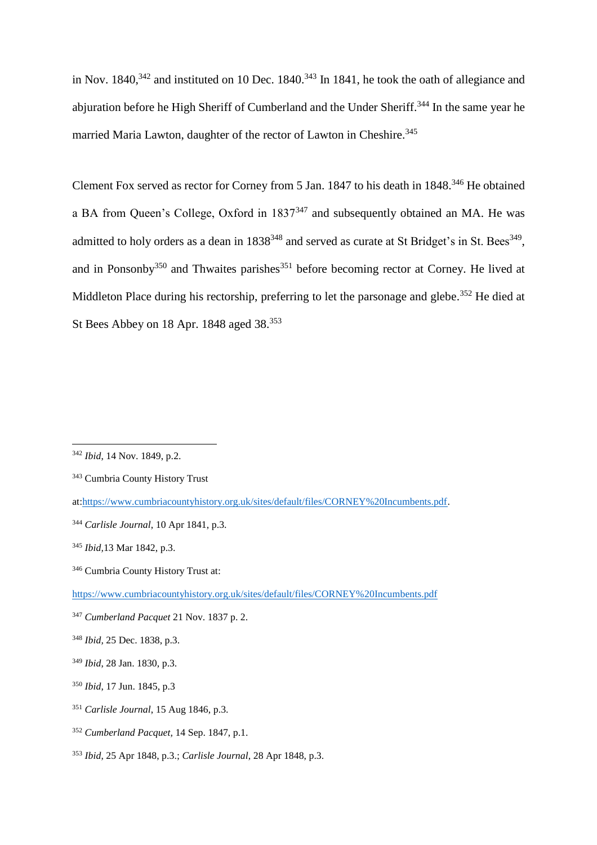in Nov.  $1840$ <sup>342</sup> and instituted on 10 Dec.  $1840$ <sup>343</sup> In 1841, he took the oath of allegiance and abjuration before he High Sheriff of Cumberland and the Under Sheriff.<sup>344</sup> In the same year he married Maria Lawton, daughter of the rector of Lawton in Cheshire. 345

Clement Fox served as rector for Corney from 5 Jan. 1847 to his death in 1848. <sup>346</sup> He obtained a BA from Queen's College, Oxford in 1837<sup>347</sup> and subsequently obtained an MA. He was admitted to holy orders as a dean in  $1838^{348}$  and served as curate at St Bridget's in St. Bees<sup>349</sup>, and in Ponsonby<sup>350</sup> and Thwaites parishes<sup>351</sup> before becoming rector at Corney. He lived at Middleton Place during his rectorship, preferring to let the parsonage and glebe.<sup>352</sup> He died at St Bees Abbey on 18 Apr. 1848 aged 38.<sup>353</sup>

 $\overline{a}$ 

<sup>351</sup> *Carlisle Journal*, 15 Aug 1846, p.3.

<sup>353</sup> *Ibid*, 25 Apr 1848, p.3.; *Carlisle Journal*, 28 Apr 1848, p.3.

<sup>342</sup> *Ibid*, 14 Nov. 1849, p.2.

<sup>343</sup> Cumbria County History Trust

at[:https://www.cumbriacountyhistory.org.uk/sites/default/files/CORNEY%20Incumbents.pdf.](https://www.cumbriacountyhistory.org.uk/sites/default/files/CORNEY%20Incumbents.pdf)

<sup>344</sup> *Carlisle Journal*, 10 Apr 1841, p.3.

<sup>345</sup> *Ibid,*13 Mar 1842, p.3.

<sup>346</sup> Cumbria County History Trust at:

<https://www.cumbriacountyhistory.org.uk/sites/default/files/CORNEY%20Incumbents.pdf>

<sup>347</sup> *Cumberland Pacquet* 21 Nov. 1837 p. 2.

<sup>348</sup> *Ibid,* 25 Dec. 1838, p.3.

<sup>349</sup> *Ibid*, 28 Jan. 1830, p.3.

<sup>350</sup> *Ibid*, 17 Jun. 1845, p.3

<sup>352</sup> *Cumberland Pacquet,* 14 Sep. 1847, p.1.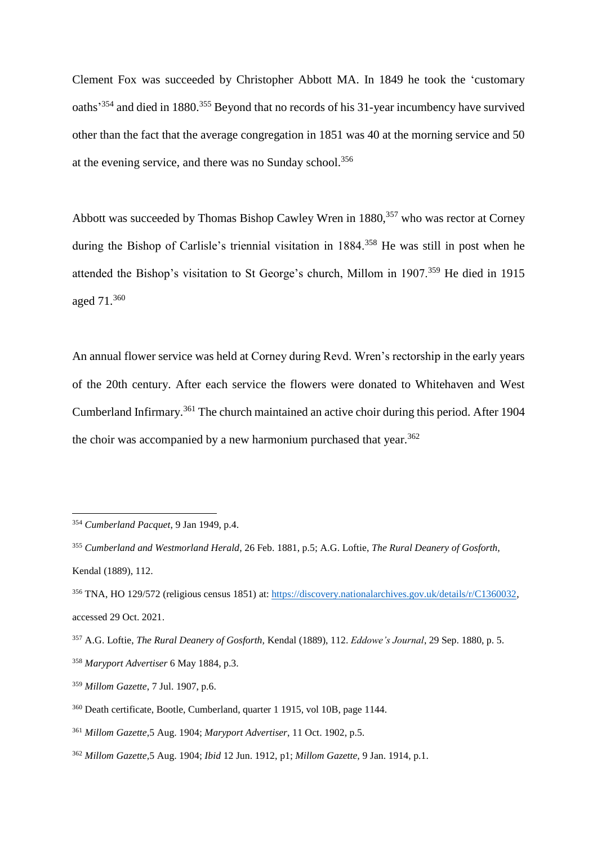Clement Fox was succeeded by Christopher Abbott MA. In 1849 he took the 'customary oaths<sup>354</sup> and died in 1880.<sup>355</sup> Beyond that no records of his 31-year incumbency have survived other than the fact that the average congregation in 1851 was 40 at the morning service and 50 at the evening service, and there was no Sunday school. 356

Abbott was succeeded by Thomas Bishop Cawley Wren in 1880,<sup>357</sup> who was rector at Corney during the Bishop of Carlisle's triennial visitation in 1884.<sup>358</sup> He was still in post when he attended the Bishop's visitation to St George's church, Millom in 1907.<sup>359</sup> He died in 1915 aged 71.<sup>360</sup>

An annual flower service was held at Corney during Revd. Wren's rectorship in the early years of the 20th century. After each service the flowers were donated to Whitehaven and West Cumberland Infirmary.<sup>361</sup> The church maintained an active choir during this period. After 1904 the choir was accompanied by a new harmonium purchased that year.<sup>362</sup>

<sup>354</sup> *Cumberland Pacquet*, 9 Jan 1949, p.4.

<sup>355</sup> *Cumberland and Westmorland Herald*, 26 Feb. 1881, p.5; A.G. Loftie, *The Rural Deanery of Gosforth,*  Kendal (1889), 112.

<sup>356</sup> TNA, HO 129/572 (religious census 1851) at[: https://discovery.nationalarchives.gov.uk/details/r/C1360032,](https://discovery.nationalarchives.gov.uk/details/r/C1360032) accessed 29 Oct. 2021.

<sup>357</sup> A.G. Loftie, *The Rural Deanery of Gosforth,* Kendal (1889), 112. *Eddowe's Journal*, 29 Sep. 1880, p. 5. <sup>358</sup> *Maryport Advertiser* 6 May 1884, p.3.

<sup>359</sup> *Millom Gazette*, 7 Jul. 1907, p.6.

<sup>360</sup> Death certificate, Bootle, Cumberland, quarter 1 1915, vol 10B, page 1144.

<sup>361</sup> *Millom Gazette,*5 Aug. 1904; *Maryport Advertiser*, 11 Oct. 1902, p.5.

<sup>362</sup> *Millom Gazette,*5 Aug. 1904; *Ibid* 12 Jun. 1912, p1; *Millom Gazette,* 9 Jan. 1914, p.1.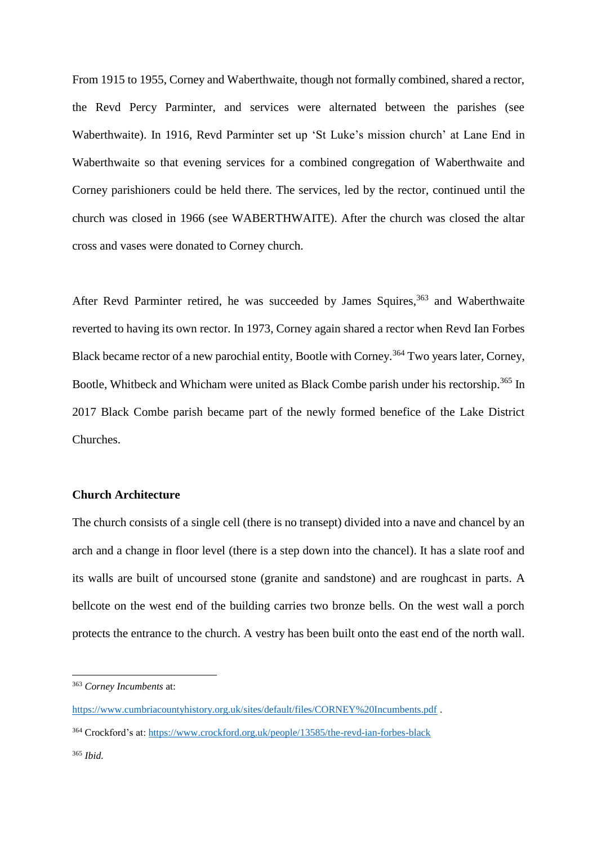From 1915 to 1955, Corney and Waberthwaite, though not formally combined, shared a rector, the Revd Percy Parminter, and services were alternated between the parishes (see Waberthwaite). In 1916, Revd Parminter set up 'St Luke's mission church' at Lane End in Waberthwaite so that evening services for a combined congregation of Waberthwaite and Corney parishioners could be held there. The services, led by the rector, continued until the church was closed in 1966 (see WABERTHWAITE). After the church was closed the altar cross and vases were donated to Corney church.

After Revd Parminter retired, he was succeeded by James Squires,<sup>363</sup> and Waberthwaite reverted to having its own rector. In 1973, Corney again shared a rector when Revd Ian Forbes Black became rector of a new parochial entity, Bootle with Corney.<sup>364</sup> Two years later, Corney, Bootle, Whitbeck and Whicham were united as Black Combe parish under his rectorship.<sup>365</sup> In 2017 Black Combe parish became part of the newly formed benefice of the Lake District Churches.

## **Church Architecture**

The church consists of a single cell (there is no transept) divided into a nave and chancel by an arch and a change in floor level (there is a step down into the chancel). It has a slate roof and its walls are built of uncoursed stone (granite and sandstone) and are roughcast in parts. A bellcote on the west end of the building carries two bronze bells. On the west wall a porch protects the entrance to the church. A vestry has been built onto the east end of the north wall.

<sup>363</sup> *Corney Incumbents* at:

<https://www.cumbriacountyhistory.org.uk/sites/default/files/CORNEY%20Incumbents.pdf> .

<sup>364</sup> Crockford's at[: https://www.crockford.org.uk/people/13585/the-revd-ian-forbes-black](https://www.crockford.org.uk/people/13585/the-revd-ian-forbes-black)

<sup>365</sup> *Ibid.*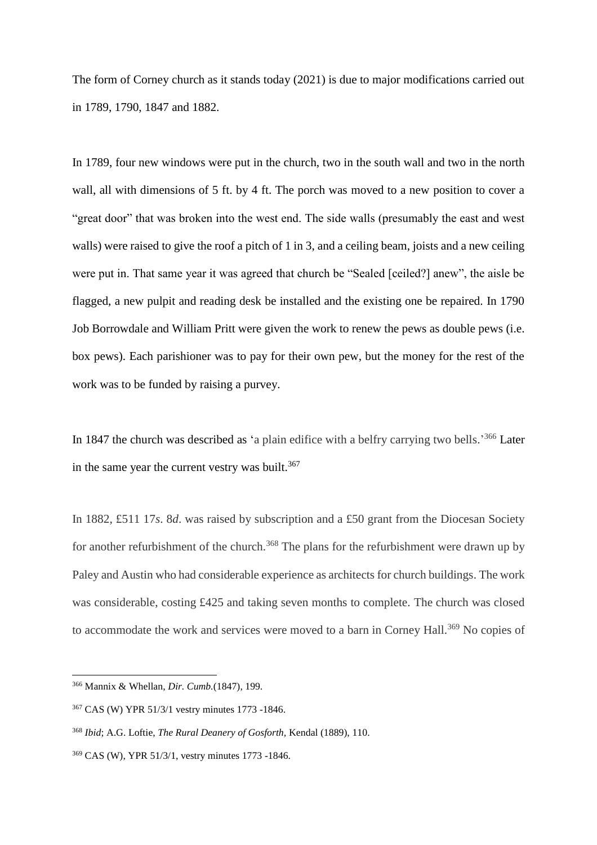The form of Corney church as it stands today (2021) is due to major modifications carried out in 1789, 1790, 1847 and 1882.

In 1789, four new windows were put in the church, two in the south wall and two in the north wall, all with dimensions of 5 ft. by 4 ft. The porch was moved to a new position to cover a "great door" that was broken into the west end. The side walls (presumably the east and west walls) were raised to give the roof a pitch of 1 in 3, and a ceiling beam, joists and a new ceiling were put in. That same year it was agreed that church be "Sealed [ceiled?] anew", the aisle be flagged, a new pulpit and reading desk be installed and the existing one be repaired. In 1790 Job Borrowdale and William Pritt were given the work to renew the pews as double pews (i.e. box pews). Each parishioner was to pay for their own pew, but the money for the rest of the work was to be funded by raising a purvey.

In 1847 the church was described as 'a plain edifice with a belfry carrying two bells.<sup>366</sup> Later in the same year the current vestry was built.<sup>367</sup>

In 1882, £511 17*s*. 8*d*. was raised by subscription and a £50 grant from the Diocesan Society for another refurbishment of the church.<sup>368</sup> The plans for the refurbishment were drawn up by Paley and Austin who had considerable experience as architects for church buildings. The work was considerable, costing £425 and taking seven months to complete. The church was closed to accommodate the work and services were moved to a barn in Corney Hall.<sup>369</sup> No copies of

<sup>366</sup> Mannix & Whellan, *Dir. Cumb.*(1847), 199.

<sup>367</sup> CAS (W) YPR 51/3/1 vestry minutes 1773 -1846.

<sup>368</sup> *Ibid*; A.G. Loftie, *The Rural Deanery of Gosforth,* Kendal (1889), 110.

<sup>369</sup> CAS (W), YPR 51/3/1, vestry minutes 1773 -1846.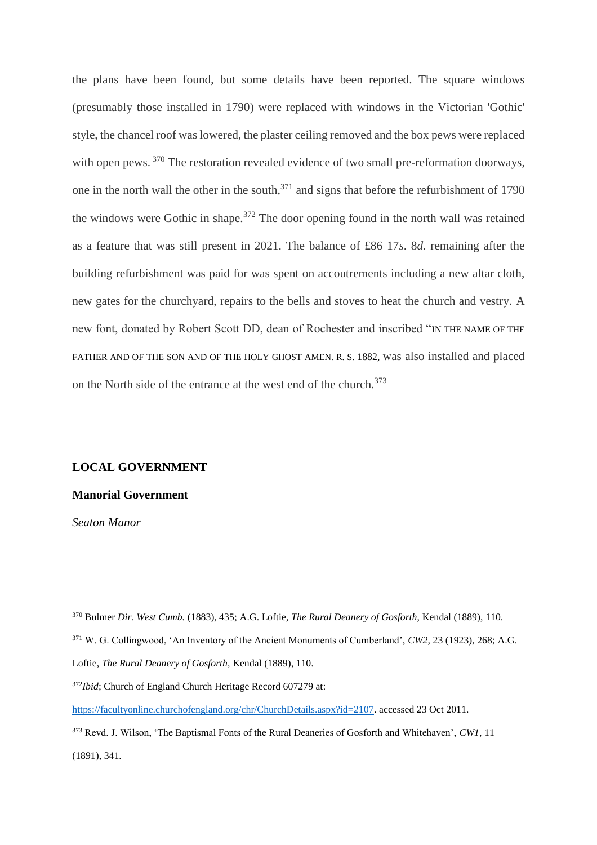the plans have been found, but some details have been reported. The square windows (presumably those installed in 1790) were replaced with windows in the Victorian 'Gothic' style, the chancel roof was lowered, the plaster ceiling removed and the box pews were replaced with open pews. <sup>370</sup> The restoration revealed evidence of two small pre-reformation doorways, one in the north wall the other in the south, $371$  and signs that before the refurbishment of 1790 the windows were Gothic in shape.<sup>372</sup> The door opening found in the north wall was retained as a feature that was still present in 2021. The balance of £86 17*s*. 8*d.* remaining after the building refurbishment was paid for was spent on accoutrements including a new altar cloth, new gates for the churchyard, repairs to the bells and stoves to heat the church and vestry. A new font, donated by Robert Scott DD, dean of Rochester and inscribed "IN THE NAME OF THE FATHER AND OF THE SON AND OF THE HOLY GHOST AMEN. R. S. 1882, was also installed and placed on the North side of the entrance at the west end of the church.<sup>373</sup>

#### **LOCAL GOVERNMENT**

#### **Manorial Government**

*Seaton Manor*

<sup>370</sup> Bulmer *Dir. West Cumb.* (1883), 435; A.G. Loftie, *The Rural Deanery of Gosforth,* Kendal (1889), 110.

<sup>371</sup> W. G. Collingwood, 'An Inventory of the Ancient Monuments of Cumberland', *CW2,* 23 (1923), 268; A.G.

Loftie, *The Rural Deanery of Gosforth,* Kendal (1889), 110.

<sup>372</sup>*Ibid*; Church of England Church Heritage Record 607279 at:

[https://facultyonline.churchofengland.org/chr/ChurchDetails.aspx?id=2107.](https://facultyonline.churchofengland.org/chr/ChurchDetails.aspx?id=2107) accessed 23 Oct 2011.

<sup>373</sup> Revd. J. Wilson, 'The Baptismal Fonts of the Rural Deaneries of Gosforth and Whitehaven', *CW1*, 11 (1891), 341.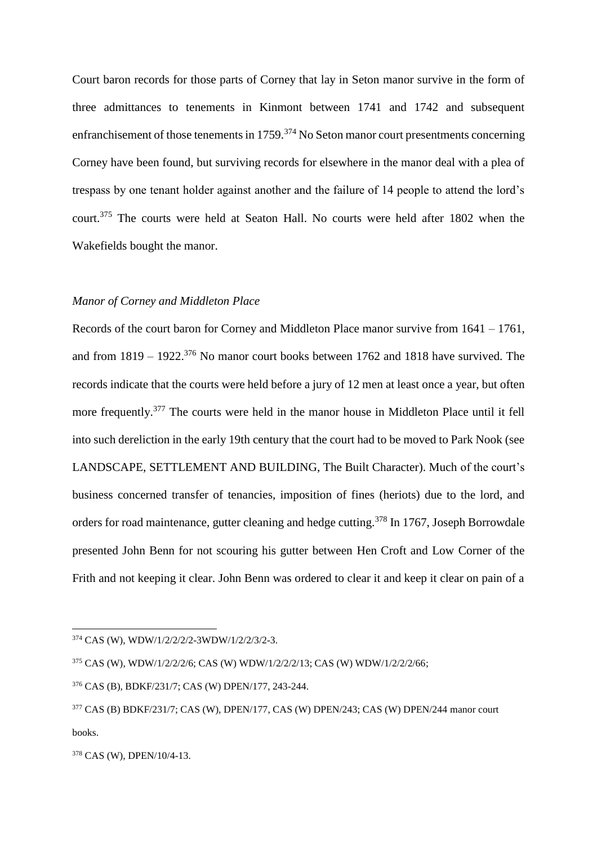Court baron records for those parts of Corney that lay in Seton manor survive in the form of three admittances to tenements in Kinmont between 1741 and 1742 and subsequent enfranchisement of those tenements in 1759.<sup>374</sup> No Seton manor court presentments concerning Corney have been found, but surviving records for elsewhere in the manor deal with a plea of trespass by one tenant holder against another and the failure of 14 people to attend the lord's court.<sup>375</sup> The courts were held at Seaton Hall. No courts were held after 1802 when the Wakefields bought the manor.

#### *Manor of Corney and Middleton Place*

Records of the court baron for Corney and Middleton Place manor survive from 1641 – 1761, and from  $1819 - 1922$ .<sup>376</sup> No manor court books between 1762 and 1818 have survived. The records indicate that the courts were held before a jury of 12 men at least once a year, but often more frequently.<sup>377</sup> The courts were held in the manor house in Middleton Place until it fell into such dereliction in the early 19th century that the court had to be moved to Park Nook (see LANDSCAPE, SETTLEMENT AND BUILDING, The Built Character). Much of the court's business concerned transfer of tenancies, imposition of fines (heriots) due to the lord, and orders for road maintenance, gutter cleaning and hedge cutting.<sup>378</sup> In 1767, Joseph Borrowdale presented John Benn for not scouring his gutter between Hen Croft and Low Corner of the Frith and not keeping it clear. John Benn was ordered to clear it and keep it clear on pain of a

<sup>374</sup> CAS (W), WDW/1/2/2/2/2-3WDW/1/2/2/3/2-3.

<sup>375</sup> CAS (W), WDW/1/2/2/2/6; CAS (W) WDW/1/2/2/2/13; CAS (W) WDW/1/2/2/2/66;

<sup>376</sup> CAS (B), BDKF/231/7; CAS (W) DPEN/177, 243-244.

<sup>377</sup> CAS (B) BDKF/231/7; CAS (W), DPEN/177, CAS (W) DPEN/243; CAS (W) DPEN/244 manor court books.

<sup>378</sup> CAS (W), DPEN/10/4-13.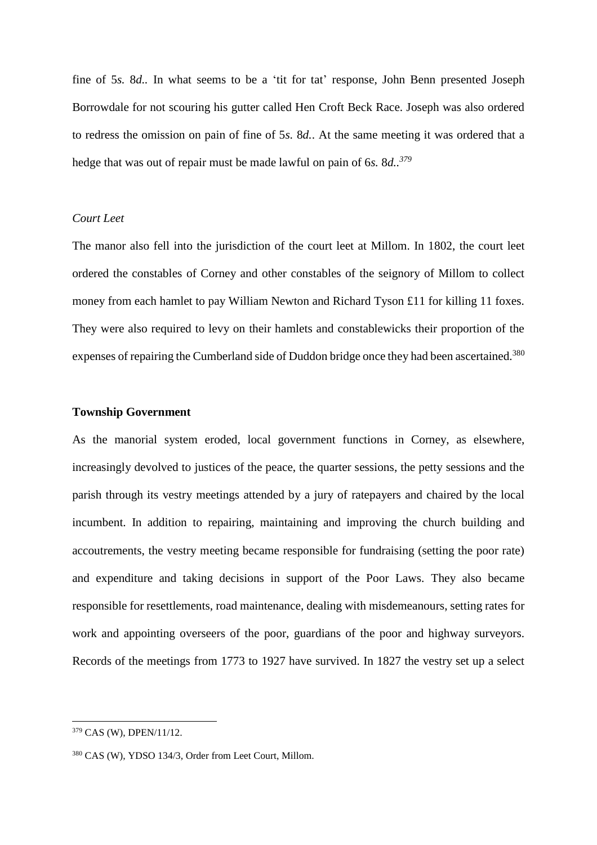fine of 5*s.* 8*d..* In what seems to be a 'tit for tat' response, John Benn presented Joseph Borrowdale for not scouring his gutter called Hen Croft Beck Race. Joseph was also ordered to redress the omission on pain of fine of 5*s.* 8*d.*. At the same meeting it was ordered that a hedge that was out of repair must be made lawful on pain of 6*s.* 8*d.. 379*

# *Court Leet*

The manor also fell into the jurisdiction of the court leet at Millom. In 1802, the court leet ordered the constables of Corney and other constables of the seignory of Millom to collect money from each hamlet to pay William Newton and Richard Tyson £11 for killing 11 foxes. They were also required to levy on their hamlets and constablewicks their proportion of the expenses of repairing the Cumberland side of Duddon bridge once they had been ascertained.<sup>380</sup>

## **Township Government**

As the manorial system eroded, local government functions in Corney, as elsewhere, increasingly devolved to justices of the peace, the quarter sessions, the petty sessions and the parish through its vestry meetings attended by a jury of ratepayers and chaired by the local incumbent. In addition to repairing, maintaining and improving the church building and accoutrements, the vestry meeting became responsible for fundraising (setting the poor rate) and expenditure and taking decisions in support of the Poor Laws. They also became responsible for resettlements, road maintenance, dealing with misdemeanours, setting rates for work and appointing overseers of the poor, guardians of the poor and highway surveyors. Records of the meetings from 1773 to 1927 have survived. In 1827 the vestry set up a select

<sup>379</sup> CAS (W), DPEN/11/12.

<sup>380</sup> CAS (W), YDSO 134/3, Order from Leet Court, Millom.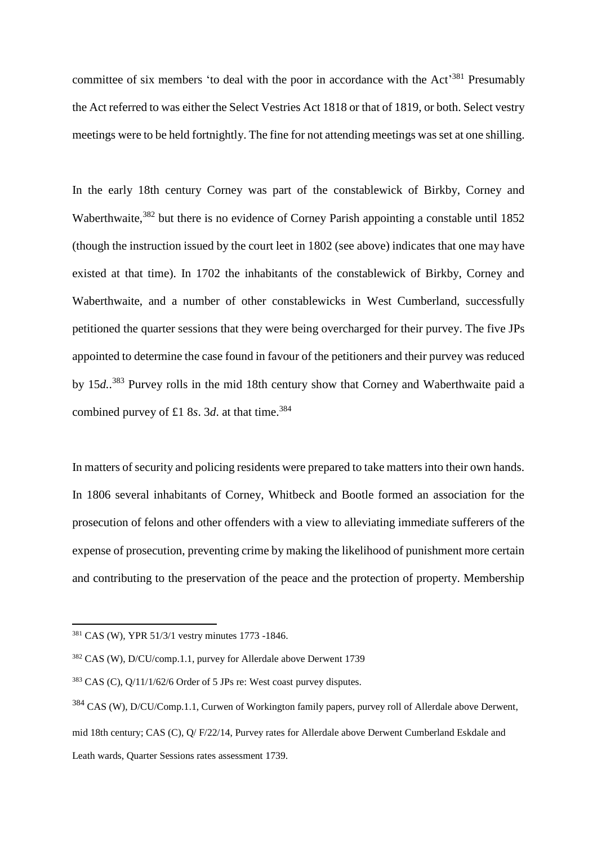committee of six members 'to deal with the poor in accordance with the Act<sup>381</sup> Presumably the Act referred to was either the Select Vestries Act 1818 or that of 1819, or both. Select vestry meetings were to be held fortnightly. The fine for not attending meetings was set at one shilling.

In the early 18th century Corney was part of the constablewick of Birkby, Corney and Waberthwaite,<sup>382</sup> but there is no evidence of Corney Parish appointing a constable until 1852 (though the instruction issued by the court leet in 1802 (see above) indicates that one may have existed at that time). In 1702 the inhabitants of the constablewick of Birkby, Corney and Waberthwaite, and a number of other constablewicks in West Cumberland, successfully petitioned the quarter sessions that they were being overcharged for their purvey. The five JPs appointed to determine the case found in favour of the petitioners and their purvey was reduced by 15*d.*. <sup>383</sup> Purvey rolls in the mid 18th century show that Corney and Waberthwaite paid a combined purvey of £1 8*s*. 3*d*. at that time.<sup>384</sup>

In matters of security and policing residents were prepared to take matters into their own hands. In 1806 several inhabitants of Corney, Whitbeck and Bootle formed an association for the prosecution of felons and other offenders with a view to alleviating immediate sufferers of the expense of prosecution, preventing crime by making the likelihood of punishment more certain and contributing to the preservation of the peace and the protection of property. Membership

 $381$  CAS (W), YPR 51/3/1 vestry minutes 1773 -1846.

<sup>382</sup> CAS (W), D/CU/comp.1.1, purvey for Allerdale above Derwent 1739

 $383$  CAS (C),  $Q/11/1/62/6$  Order of 5 JPs re: West coast purvey disputes.

<sup>384</sup> CAS (W), D/CU/Comp.1.1, Curwen of Workington family papers, purvey roll of Allerdale above Derwent, mid 18th century; CAS (C), Q/ F/22/14, Purvey rates for Allerdale above Derwent Cumberland Eskdale and Leath wards, Quarter Sessions rates assessment 1739.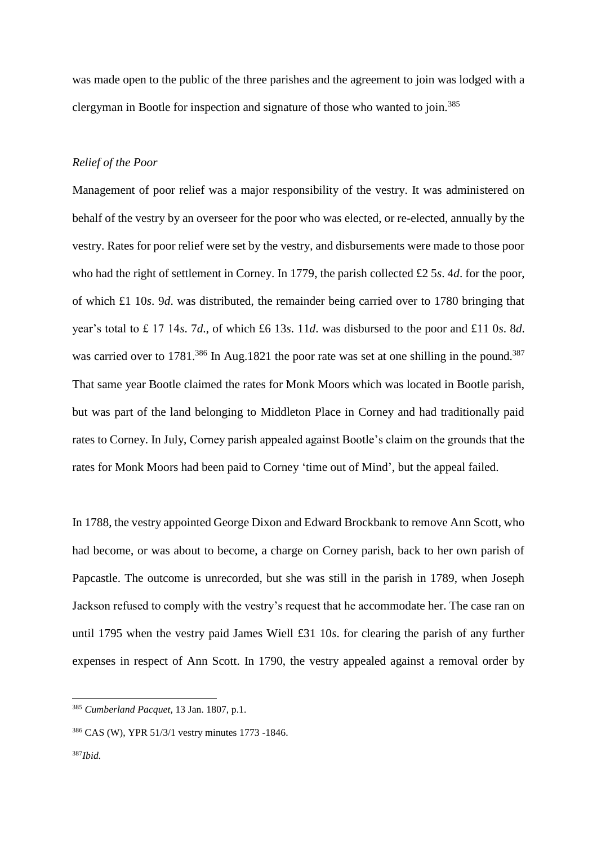was made open to the public of the three parishes and the agreement to join was lodged with a clergyman in Bootle for inspection and signature of those who wanted to join.<sup>385</sup>

#### *Relief of the Poor*

Management of poor relief was a major responsibility of the vestry. It was administered on behalf of the vestry by an overseer for the poor who was elected, or re-elected, annually by the vestry. Rates for poor relief were set by the vestry, and disbursements were made to those poor who had the right of settlement in Corney. In 1779, the parish collected £2 5*s*. 4*d*. for the poor, of which £1 10*s*. 9*d*. was distributed, the remainder being carried over to 1780 bringing that year's total to £ 17 14*s*. 7*d*., of which £6 13*s*. 11*d*. was disbursed to the poor and £11 0*s*. 8*d*. was carried over to 1781.<sup>386</sup> In Aug.1821 the poor rate was set at one shilling in the pound.<sup>387</sup> That same year Bootle claimed the rates for Monk Moors which was located in Bootle parish, but was part of the land belonging to Middleton Place in Corney and had traditionally paid rates to Corney. In July, Corney parish appealed against Bootle's claim on the grounds that the rates for Monk Moors had been paid to Corney 'time out of Mind', but the appeal failed.

In 1788, the vestry appointed George Dixon and Edward Brockbank to remove Ann Scott, who had become, or was about to become, a charge on Corney parish, back to her own parish of Papcastle. The outcome is unrecorded, but she was still in the parish in 1789, when Joseph Jackson refused to comply with the vestry's request that he accommodate her. The case ran on until 1795 when the vestry paid James Wiell £31 10*s*. for clearing the parish of any further expenses in respect of Ann Scott. In 1790, the vestry appealed against a removal order by

<sup>385</sup> *Cumberland Pacquet,* 13 Jan. 1807, p.1.

<sup>386</sup> CAS (W), YPR 51/3/1 vestry minutes 1773 -1846.

<sup>387</sup>*Ibid.*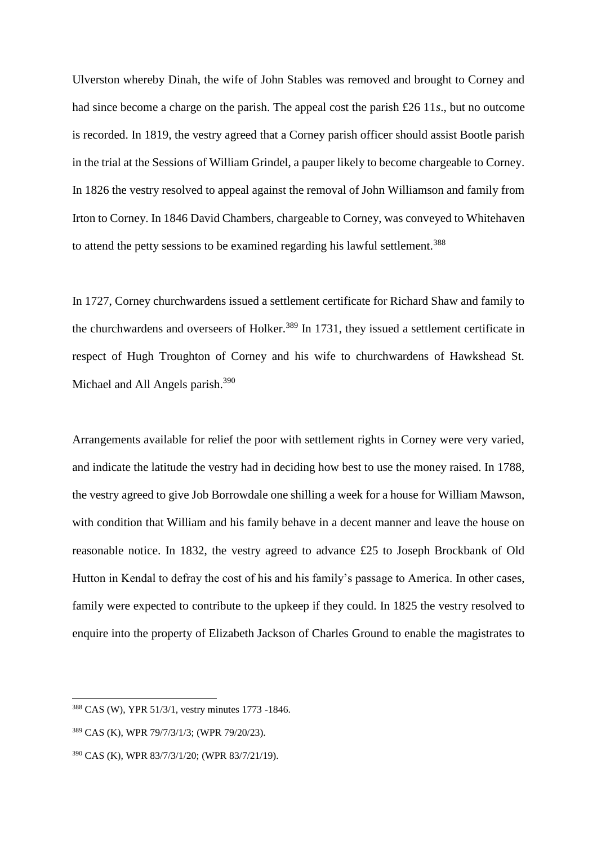Ulverston whereby Dinah, the wife of John Stables was removed and brought to Corney and had since become a charge on the parish. The appeal cost the parish £26 11*s*., but no outcome is recorded. In 1819, the vestry agreed that a Corney parish officer should assist Bootle parish in the trial at the Sessions of William Grindel, a pauper likely to become chargeable to Corney. In 1826 the vestry resolved to appeal against the removal of John Williamson and family from Irton to Corney. In 1846 David Chambers, chargeable to Corney, was conveyed to Whitehaven to attend the petty sessions to be examined regarding his lawful settlement.<sup>388</sup>

In 1727, Corney churchwardens issued a settlement certificate for Richard Shaw and family to the churchwardens and overseers of Holker.<sup>389</sup> In 1731, they issued a settlement certificate in respect of Hugh Troughton of Corney and his wife to churchwardens of Hawkshead St. Michael and All Angels parish.<sup>390</sup>

Arrangements available for relief the poor with settlement rights in Corney were very varied, and indicate the latitude the vestry had in deciding how best to use the money raised. In 1788, the vestry agreed to give Job Borrowdale one shilling a week for a house for William Mawson, with condition that William and his family behave in a decent manner and leave the house on reasonable notice. In 1832, the vestry agreed to advance £25 to Joseph Brockbank of Old Hutton in Kendal to defray the cost of his and his family's passage to America. In other cases, family were expected to contribute to the upkeep if they could. In 1825 the vestry resolved to enquire into the property of Elizabeth Jackson of Charles Ground to enable the magistrates to

<sup>388</sup> CAS (W), YPR 51/3/1, vestry minutes 1773 -1846.

<sup>389</sup> CAS (K), WPR 79/7/3/1/3; (WPR 79/20/23).

<sup>390</sup> CAS (K), WPR 83/7/3/1/20; (WPR 83/7/21/19).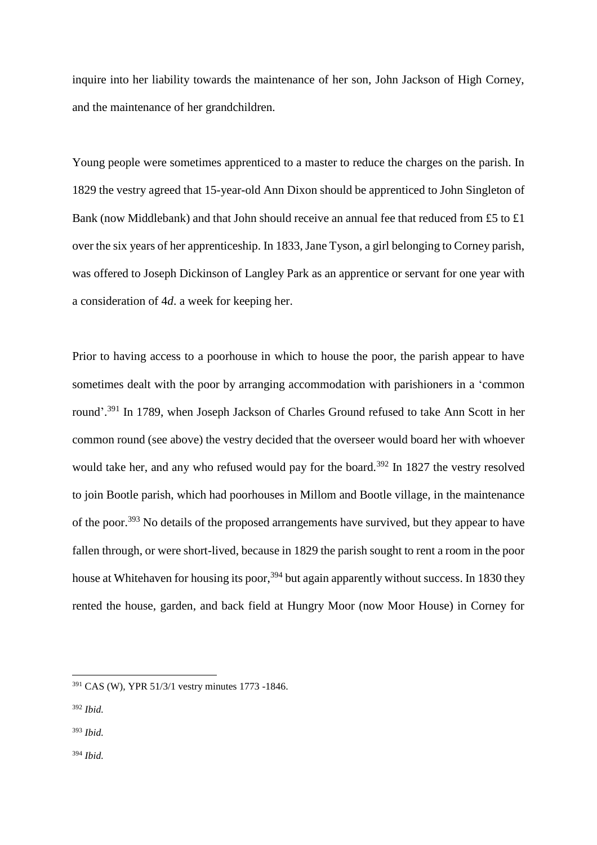inquire into her liability towards the maintenance of her son, John Jackson of High Corney, and the maintenance of her grandchildren.

Young people were sometimes apprenticed to a master to reduce the charges on the parish. In 1829 the vestry agreed that 15-year-old Ann Dixon should be apprenticed to John Singleton of Bank (now Middlebank) and that John should receive an annual fee that reduced from £5 to £1 over the six years of her apprenticeship. In 1833, Jane Tyson, a girl belonging to Corney parish, was offered to Joseph Dickinson of Langley Park as an apprentice or servant for one year with a consideration of 4*d*. a week for keeping her.

Prior to having access to a poorhouse in which to house the poor, the parish appear to have sometimes dealt with the poor by arranging accommodation with parishioners in a 'common round'.<sup>391</sup> In 1789, when Joseph Jackson of Charles Ground refused to take Ann Scott in her common round (see above) the vestry decided that the overseer would board her with whoever would take her, and any who refused would pay for the board.<sup>392</sup> In 1827 the vestry resolved to join Bootle parish, which had poorhouses in Millom and Bootle village, in the maintenance of the poor.<sup>393</sup> No details of the proposed arrangements have survived, but they appear to have fallen through, or were short-lived, because in 1829 the parish sought to rent a room in the poor house at Whitehaven for housing its poor,<sup>394</sup> but again apparently without success. In 1830 they rented the house, garden, and back field at Hungry Moor (now Moor House) in Corney for

- <sup>393</sup> *Ibid.*
- <sup>394</sup> *Ibid.*

<sup>391</sup> CAS (W), YPR 51/3/1 vestry minutes 1773 -1846.

<sup>392</sup> *Ibid.*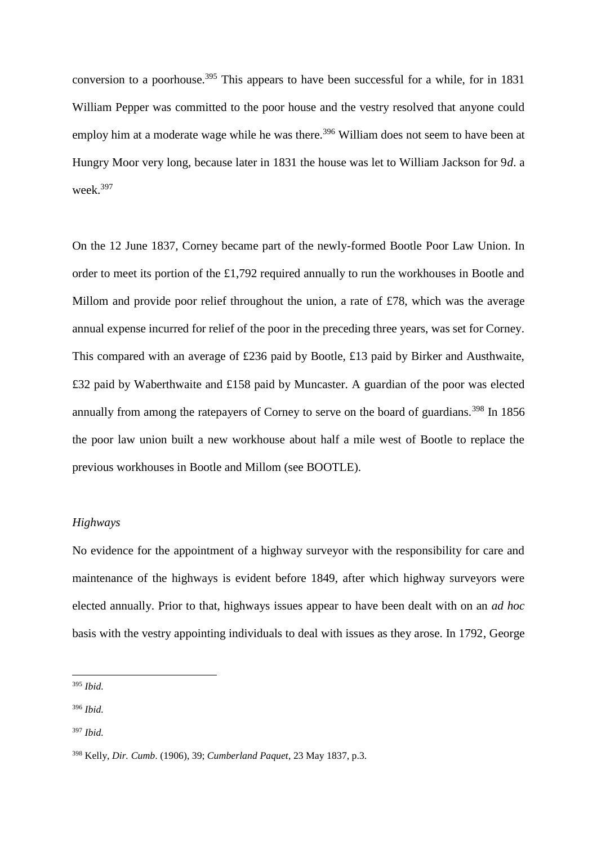conversion to a poorhouse.<sup>395</sup> This appears to have been successful for a while, for in 1831 William Pepper was committed to the poor house and the vestry resolved that anyone could employ him at a moderate wage while he was there.<sup>396</sup> William does not seem to have been at Hungry Moor very long, because later in 1831 the house was let to William Jackson for 9*d*. a week.<sup>397</sup>

On the 12 June 1837, Corney became part of the newly-formed Bootle Poor Law Union. In order to meet its portion of the £1,792 required annually to run the workhouses in Bootle and Millom and provide poor relief throughout the union, a rate of £78, which was the average annual expense incurred for relief of the poor in the preceding three years, was set for Corney. This compared with an average of £236 paid by Bootle, £13 paid by Birker and Austhwaite, £32 paid by Waberthwaite and £158 paid by Muncaster. A guardian of the poor was elected annually from among the ratepayers of Corney to serve on the board of guardians.<sup>398</sup> In 1856 the poor law union built a new workhouse about half a mile west of Bootle to replace the previous workhouses in Bootle and Millom (see BOOTLE).

## *Highways*

No evidence for the appointment of a highway surveyor with the responsibility for care and maintenance of the highways is evident before 1849, after which highway surveyors were elected annually. Prior to that, highways issues appear to have been dealt with on an *ad hoc* basis with the vestry appointing individuals to deal with issues as they arose. In 1792, George

<sup>395</sup> *Ibid.*

<sup>396</sup> *Ibid.*

<sup>397</sup> *Ibid.*

<sup>398</sup> Kelly, *Dir. Cumb*. (1906), 39; *Cumberland Paquet*, 23 May 1837, p.3.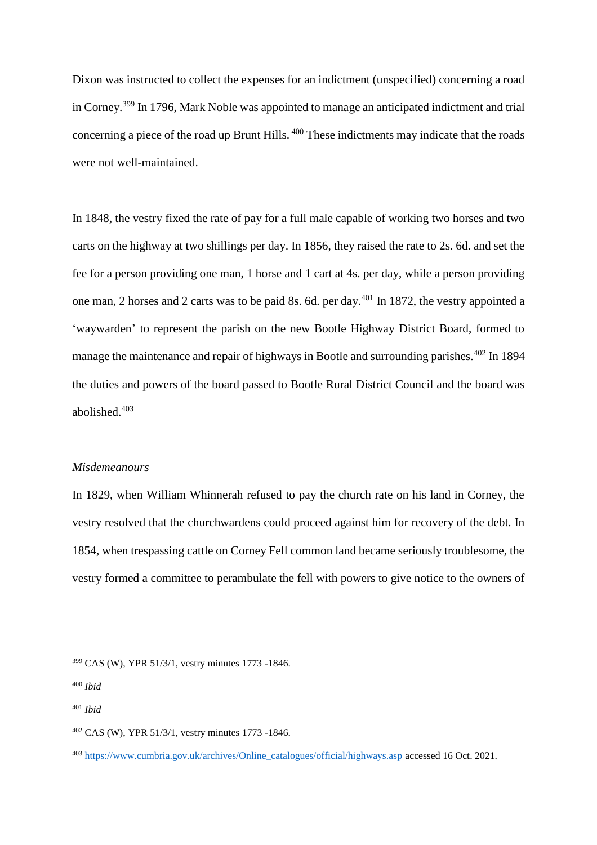Dixon was instructed to collect the expenses for an indictment (unspecified) concerning a road in Corney.<sup>399</sup> In 1796, Mark Noble was appointed to manage an anticipated indictment and trial concerning a piece of the road up Brunt Hills. <sup>400</sup> These indictments may indicate that the roads were not well-maintained.

In 1848, the vestry fixed the rate of pay for a full male capable of working two horses and two carts on the highway at two shillings per day. In 1856, they raised the rate to 2s. 6d. and set the fee for a person providing one man, 1 horse and 1 cart at 4s. per day, while a person providing one man, 2 horses and 2 carts was to be paid 8s. 6d. per day.<sup>401</sup> In 1872, the vestry appointed a 'waywarden' to represent the parish on the new Bootle Highway District Board, formed to manage the maintenance and repair of highways in Bootle and surrounding parishes.<sup>402</sup> In 1894 the duties and powers of the board passed to Bootle Rural District Council and the board was abolished.<sup>403</sup>

## *Misdemeanours*

In 1829, when William Whinnerah refused to pay the church rate on his land in Corney, the vestry resolved that the churchwardens could proceed against him for recovery of the debt. In 1854, when trespassing cattle on Corney Fell common land became seriously troublesome, the vestry formed a committee to perambulate the fell with powers to give notice to the owners of

<sup>399</sup> CAS (W), YPR 51/3/1, vestry minutes 1773 -1846.

<sup>400</sup> *Ibid*

<sup>401</sup> *Ibid*

<sup>402</sup> CAS (W), YPR 51/3/1, vestry minutes 1773 -1846.

<sup>403</sup> [https://www.cumbria.gov.uk/archives/Online\\_catalogues/official/highways.asp](https://www.cumbria.gov.uk/archives/Online_catalogues/official/highways.asp) accessed 16 Oct. 2021.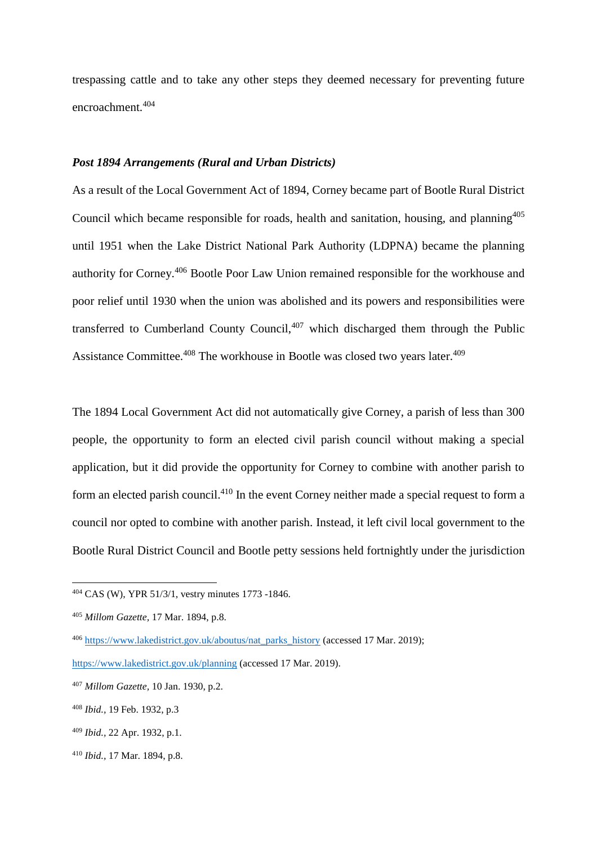trespassing cattle and to take any other steps they deemed necessary for preventing future encroachment.<sup>404</sup>

## *Post 1894 Arrangements (Rural and Urban Districts)*

As a result of the Local Government Act of 1894, Corney became part of Bootle Rural District Council which became responsible for roads, health and sanitation, housing, and planning<sup>405</sup> until 1951 when the Lake District National Park Authority (LDPNA) became the planning authority for Corney.<sup>406</sup> Bootle Poor Law Union remained responsible for the workhouse and poor relief until 1930 when the union was abolished and its powers and responsibilities were transferred to Cumberland County Council, $407$  which discharged them through the Public Assistance Committee.<sup>408</sup> The workhouse in Bootle was closed two years later.<sup>409</sup>

The 1894 Local Government Act did not automatically give Corney, a parish of less than 300 people, the opportunity to form an elected civil parish council without making a special application, but it did provide the opportunity for Corney to combine with another parish to form an elected parish council.<sup>410</sup> In the event Corney neither made a special request to form a council nor opted to combine with another parish. Instead, it left civil local government to the Bootle Rural District Council and Bootle petty sessions held fortnightly under the jurisdiction

<sup>404</sup> CAS (W), YPR 51/3/1, vestry minutes 1773 -1846.

<sup>405</sup> *Millom Gazette,* 17 Mar. 1894, p.8.

<sup>406</sup> [https://www.lakedistrict.gov.uk/aboutus/nat\\_parks\\_history](https://www.lakedistrict.gov.uk/aboutus/nat_parks_history) (accessed 17 Mar. 2019);

<https://www.lakedistrict.gov.uk/planning> (accessed 17 Mar. 2019).

<sup>407</sup> *Millom Gazette,* 10 Jan. 1930, p.2.

<sup>408</sup> *Ibid.,* 19 Feb. 1932, p.3

<sup>409</sup> *Ibid.,* 22 Apr. 1932, p.1.

<sup>410</sup> *Ibid.,* 17 Mar. 1894, p.8.